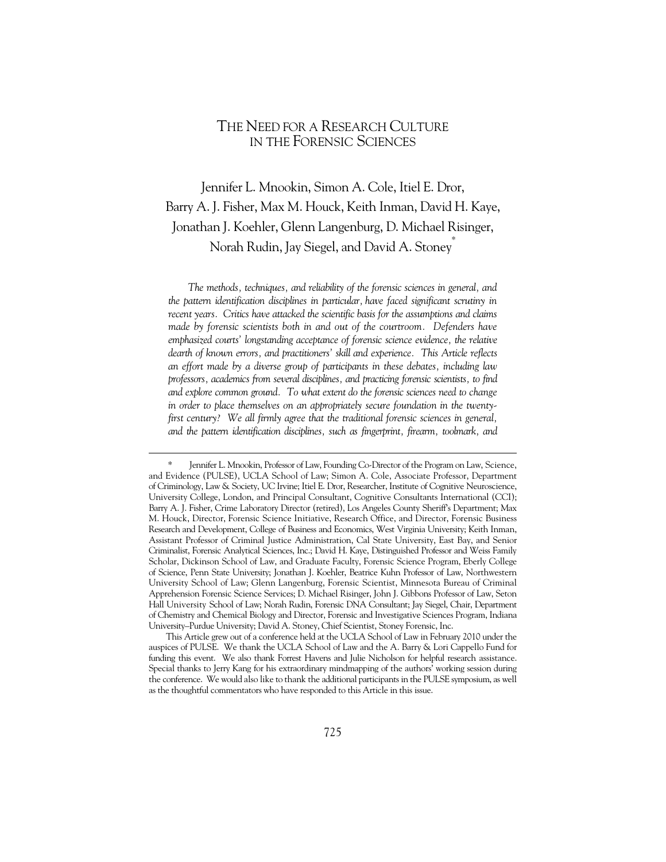# THE NEED FOR A RESEARCH CULTURE IN THE FORENSIC SCIENCES

Jennifer L. Mnookin, Simon A. Cole, Itiel E. Dror, Barry A. J. Fisher, Max M. Houck, Keith Inman, David H. Kaye, Jonathan J. Koehler, Glenn Langenburg, D. Michael Risinger, Norah Rudin, Jay Siegel, and David A. Stoney\*

*The methods, techniques, and reliability of the forensic sciences in general, and the pattern identification disciplines in particular, have faced significant scrutiny in recent years. Critics have attacked the scientific basis for the assumptions and claims made by forensic scientists both in and out of the courtroom. Defenders have emphasized courts' longstanding acceptance of forensic science evidence, the relative dearth of known errors, and practitioners' skill and experience. This Article reflects an effort made by a diverse group of participants in these debates, including law professors, academics from several disciplines, and practicing forensic scientists, to find and explore common ground. To what extent do the forensic sciences need to change in order to place themselves on an appropriately secure foundation in the twentyfirst century? We all firmly agree that the traditional forensic sciences in general, and the pattern identification disciplines, such as fingerprint, firearm, toolmark, and* 

 <sup>\*</sup> Jennifer L. Mnookin, Professor of Law, Founding Co-Director of the Program on Law, Science, and Evidence (PULSE), UCLA School of Law; Simon A. Cole, Associate Professor, Department of Criminology, Law & Society, UC Irvine; Itiel E. Dror, Researcher, Institute of Cognitive Neuroscience, University College, London, and Principal Consultant, Cognitive Consultants International (CCI); Barry A. J. Fisher, Crime Laboratory Director (retired), Los Angeles County Sheriff's Department; Max M. Houck, Director, Forensic Science Initiative, Research Office, and Director, Forensic Business Research and Development, College of Business and Economics, West Virginia University; Keith Inman, Assistant Professor of Criminal Justice Administration, Cal State University, East Bay, and Senior Criminalist, Forensic Analytical Sciences, Inc.; David H. Kaye, Distinguished Professor and Weiss Family Scholar, Dickinson School of Law, and Graduate Faculty, Forensic Science Program, Eberly College of Science, Penn State University; Jonathan J. Koehler, Beatrice Kuhn Professor of Law, Northwestern University School of Law; Glenn Langenburg, Forensic Scientist, Minnesota Bureau of Criminal Apprehension Forensic Science Services; D. Michael Risinger, John J. Gibbons Professor of Law, Seton Hall University School of Law; Norah Rudin, Forensic DNA Consultant; Jay Siegel, Chair, Department of Chemistry and Chemical Biology and Director, Forensic and Investigative Sciences Program, Indiana University–Purdue University; David A. Stoney, Chief Scientist, Stoney Forensic, Inc.

This Article grew out of a conference held at the UCLA School of Law in February 2010 under the auspices of PULSE. We thank the UCLA School of Law and the A. Barry & Lori Cappello Fund for funding this event. We also thank Forrest Havens and Julie Nicholson for helpful research assistance. Special thanks to Jerry Kang for his extraordinary mindmapping of the authors' working session during the conference. We would also like to thank the additional participants in the PULSE symposium, as well as the thoughtful commentators who have responded to this Article in this issue.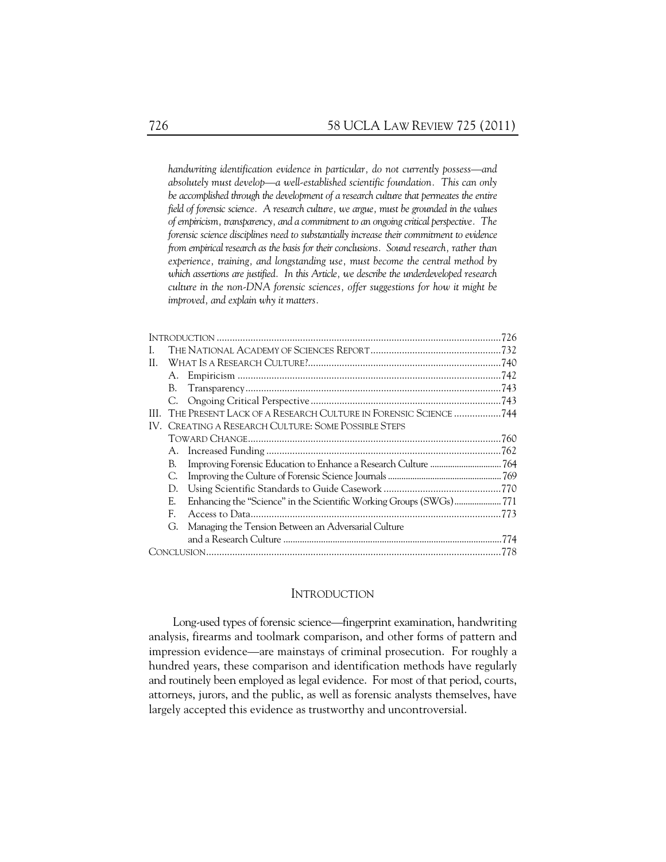*handwriting identification evidence in particular, do not currently possess—and absolutely must develop—a well-established scientific foundation. This can only be accomplished through the development of a research culture that permeates the entire field of forensic science. A research culture, we argue, must be grounded in the values of empiricism, transparency, and a commitment to an ongoing critical perspective. The forensic science disciplines need to substantially increase their commitment to evidence from empirical research as the basis for their conclusions. Sound research, rather than experience, training, and longstanding use, must become the central method by which assertions are justified. In this Article, we describe the underdeveloped research culture in the non-DNA forensic sciences, offer suggestions for how it might be improved, and explain why it matters.* 

| L.  |                                                      |                                                                 |  |
|-----|------------------------------------------------------|-----------------------------------------------------------------|--|
| Н.  |                                                      |                                                                 |  |
|     |                                                      |                                                                 |  |
|     |                                                      |                                                                 |  |
|     |                                                      |                                                                 |  |
| HL. |                                                      | THE PRESENT LACK OF A RESEARCH CULTURE IN FORENSIC SCIENCE  744 |  |
|     | IV. CREATING A RESEARCH CULTURE: SOME POSSIBLE STEPS |                                                                 |  |
|     |                                                      |                                                                 |  |
|     |                                                      |                                                                 |  |
|     | B.                                                   |                                                                 |  |
|     | C.                                                   |                                                                 |  |
|     | D.                                                   |                                                                 |  |
|     | E.                                                   |                                                                 |  |
|     | F.                                                   |                                                                 |  |
|     | G.                                                   | Managing the Tension Between an Adversarial Culture             |  |
|     |                                                      |                                                                 |  |
|     |                                                      |                                                                 |  |
|     |                                                      |                                                                 |  |

#### INTRODUCTION

Long-used types of forensic science—fingerprint examination, handwriting analysis, firearms and toolmark comparison, and other forms of pattern and impression evidence—are mainstays of criminal prosecution. For roughly a hundred years, these comparison and identification methods have regularly and routinely been employed as legal evidence. For most of that period, courts, attorneys, jurors, and the public, as well as forensic analysts themselves, have largely accepted this evidence as trustworthy and uncontroversial.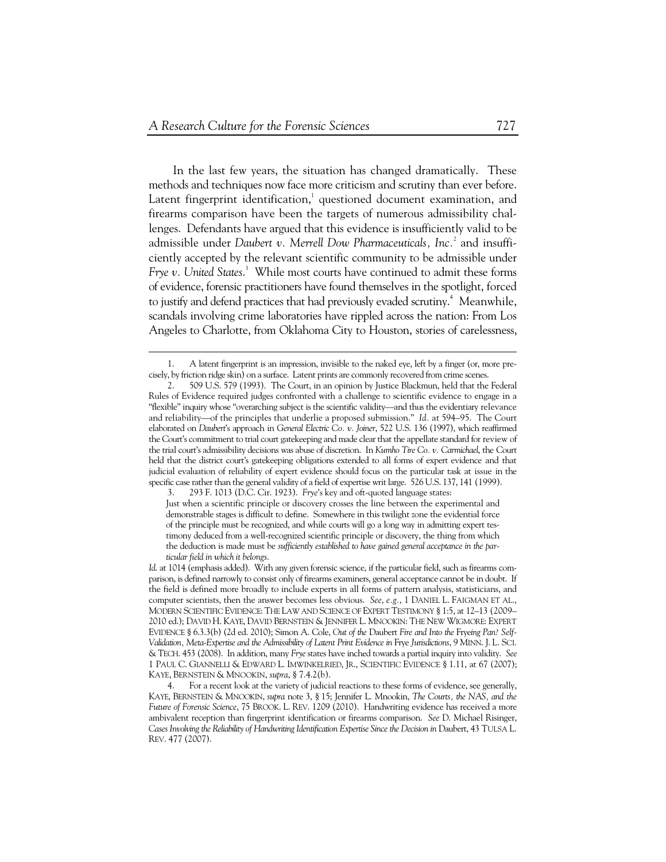In the last few years, the situation has changed dramatically. These methods and techniques now face more criticism and scrutiny than ever before. Latent fingerprint identification,<sup>1</sup> questioned document examination, and firearms comparison have been the targets of numerous admissibility challenges. Defendants have argued that this evidence is insufficiently valid to be admissible under *Daubert v. Merrell Dow Pharmaceuticals, Inc.*<sup>2</sup> and insufficiently accepted by the relevant scientific community to be admissible under *Frye v. United States*. 3 While most courts have continued to admit these forms of evidence, forensic practitioners have found themselves in the spotlight, forced to justify and defend practices that had previously evaded scrutiny.<sup>4</sup> Meanwhile, scandals involving crime laboratories have rippled across the nation: From Los Angeles to Charlotte, from Oklahoma City to Houston, stories of carelessness,

 3. 293 F. 1013 (D.C. Cir. 1923). *Frye*'s key and oft-quoted language states: Just when a scientific principle or discovery crosses the line between the experimental and demonstrable stages is difficult to define. Somewhere in this twilight zone the evidential force of the principle must be recognized, and while courts will go a long way in admitting expert testimony deduced from a well-recognized scientific principle or discovery, the thing from which the deduction is made must be *sufficiently established to have gained general acceptance in the particular field in which it belongs*.

 <sup>1.</sup> A latent fingerprint is an impression, invisible to the naked eye, left by a finger (or, more precisely, by friction ridge skin) on a surface. Latent prints are commonly recovered from crime scenes.

 <sup>2. 509</sup> U.S. 579 (1993). The Court, in an opinion by Justice Blackmun, held that the Federal Rules of Evidence required judges confronted with a challenge to scientific evidence to engage in a "flexible" inquiry whose "overarching subject is the scientific validity—and thus the evidentiary relevance and reliability—of the principles that underlie a proposed submission." *Id.* at 594–95. The Court elaborated on *Daubert*'s approach in *General Electric Co. v. Joiner*, 522 U.S. 136 (1997), which reaffirmed the Court's commitment to trial court gatekeeping and made clear that the appellate standard for review of the trial court's admissibility decisions was abuse of discretion. In *Kumho Tire Co. v. Carmichael*, the Court held that the district court's gatekeeping obligations extended to all forms of expert evidence and that judicial evaluation of reliability of expert evidence should focus on the particular task at issue in the specific case rather than the general validity of a field of expertise writ large. 526 U.S. 137, 141 (1999).

*Id*. at 1014 (emphasis added). With any given forensic science, if the particular field, such as firearms comparison, is defined narrowly to consist only of firearms examiners, general acceptance cannot be in doubt. If the field is defined more broadly to include experts in all forms of pattern analysis, statisticians, and computer scientists, then the answer becomes less obvious. *See*, *e.g.*, 1 DANIEL L. FAIGMAN ET AL., MODERN SCIENTIFIC EVIDENCE: THE LAW AND SCIENCE OF EXPERT TESTIMONY § 1:5, at 12–13 (2009– 2010 ed.); DAVID H. KAYE, DAVID BERNSTEIN & JENNIFER L. MNOOKIN: THE NEW WIGMORE: EXPERT EVIDENCE § 6.3.3(b) (2d ed. 2010); Simon A. Cole, *Out of the* Daubert *Fire and Into the* Frye*ing Pan? Self-Validation, Meta-Expertise and the Admissibility of Latent Print Evidence in* Frye *Jurisdictions*, 9 MINN. J. L. SCI. &TECH. 453 (2008). In addition, many *Frye* states have inched towards a partial inquiry into validity. *See* 1 PAUL C. GIANNELLI & EDWARD L. IMWINKELRIED, JR., SCIENTIFIC EVIDENCE § 1.11, at 67 (2007); KAYE, BERNSTEIN & MNOOKIN, *supra*, § 7.4.2(b).

 <sup>4.</sup> For a recent look at the variety of judicial reactions to these forms of evidence, see generally, KAYE, BERNSTEIN & MNOOKIN, *supra* note 3, § 15; Jennifer L. Mnookin, *The Courts, the NAS, and the Future of Forensic Science*, 75 BROOK. L. REV. 1209 (2010). Handwriting evidence has received a more ambivalent reception than fingerprint identification or firearms comparison. *See* D. Michael Risinger, Cases Involving the Reliability of Handwriting Identification Expertise Since the Decision in Daubert, 43 TULSA L. REV. 477 (2007).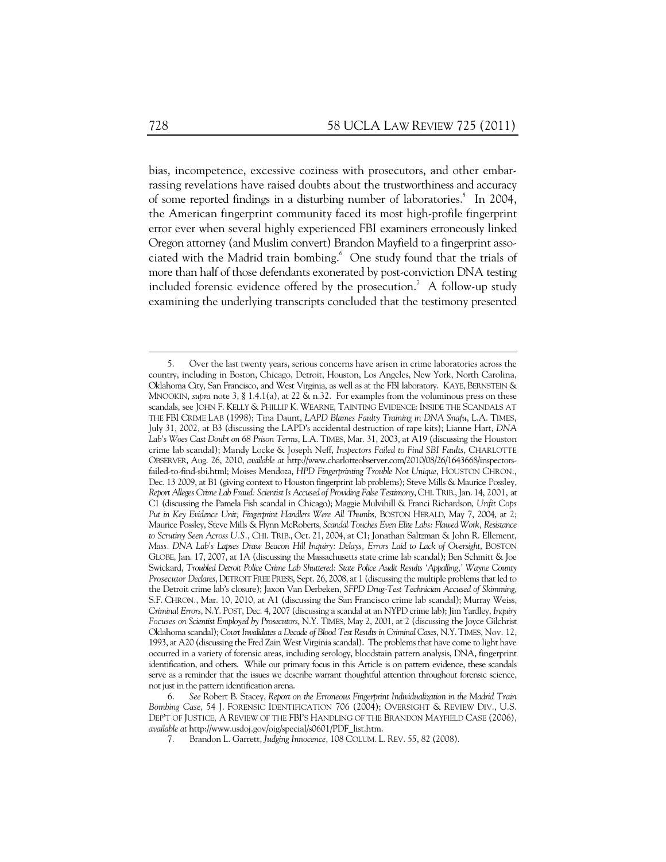bias, incompetence, excessive coziness with prosecutors, and other embarrassing revelations have raised doubts about the trustworthiness and accuracy of some reported findings in a disturbing number of laboratories.<sup>5</sup> In 2004, the American fingerprint community faced its most high-profile fingerprint error ever when several highly experienced FBI examiners erroneously linked Oregon attorney (and Muslim convert) Brandon Mayfield to a fingerprint associated with the Madrid train bombing.<sup>6</sup> One study found that the trials of more than half of those defendants exonerated by post-conviction DNA testing included forensic evidence offered by the prosecution.<sup>7</sup> A follow-up study examining the underlying transcripts concluded that the testimony presented

 <sup>5.</sup> Over the last twenty years, serious concerns have arisen in crime laboratories across the country, including in Boston, Chicago, Detroit, Houston, Los Angeles, New York, North Carolina, Oklahoma City, San Francisco, and West Virginia, as well as at the FBI laboratory. KAYE, BERNSTEIN & MNOOKIN, *supra* note 3, § 1.4.1(a), at 22 & n.32. For examples from the voluminous press on these scandals, see JOHN F. KELLY & PHILLIP K. WEARNE, TAINTING EVIDENCE: INSIDE THE SCANDALS AT THE FBI CRIME LAB (1998); Tina Daunt, *LAPD Blames Faulty Training in DNA Snafu*, L.A. TIMES, July 31, 2002, at B3 (discussing the LAPD's accidental destruction of rape kits); Lianne Hart, *DNA Lab's Woes Cast Doubt on 68 Prison Terms*, L.A. TIMES, Mar. 31, 2003, at A19 (discussing the Houston crime lab scandal); Mandy Locke & Joseph Neff, *Inspectors Failed to Find SBI Faults*, CHARLOTTE OBSERVER, Aug. 26, 2010, *available at* http://www.charlotteobserver.com/2010/08/26/1643668/inspectorsfailed-to-find-sbi.html; Moises Mendoza, *HPD Fingerprinting Trouble Not Unique*, HOUSTON CHRON., Dec. 13 2009, at B1 (giving context to Houston fingerprint lab problems); Steve Mills & Maurice Possley, *Report Alleges Crime Lab Fraud: Scientist Is Accused of Providing False Testimony*, CHI.TRIB., Jan. 14, 2001, at C1 (discussing the Pamela Fish scandal in Chicago); Maggie Mulvihill & Franci Richardson, *Unfit Cops Put in Key Evidence Unit; Fingerprint Handlers Were All Thumbs*, BOSTON HERALD, May 7, 2004, at 2; Maurice Possley, Steve Mills & Flynn McRoberts, *Scandal Touches Even Elite Labs: Flawed Work, Resistance to Scrutiny Seen Across U.S.*, CHI. TRIB., Oct. 21, 2004, at C1; Jonathan Saltzman & John R. Ellement, *Mass. DNA Lab's Lapses Draw Beacon Hill Inquiry: Delays, Errors Laid to Lack of Oversight*, BOSTON GLOBE, Jan. 17, 2007, at 1A (discussing the Massachusetts state crime lab scandal); Ben Schmitt & Joe Swickard, *Troubled Detroit Police Crime Lab Shuttered: State Police Audit Results 'Appalling,' Wayne County Prosecutor Declares*, DETROIT FREE PRESS, Sept. 26, 2008, at 1 (discussing the multiple problems that led to the Detroit crime lab's closure); Jaxon Van Derbeken, *SFPD Drug-Test Technician Accused of Skimming*, S.F. CHRON., Mar. 10, 2010, at A1 (discussing the San Francisco crime lab scandal); Murray Weiss, *Criminal Errors*, N.Y. POST, Dec. 4, 2007 (discussing a scandal at an NYPD crime lab); Jim Yardley, *Inquiry Focuses on Scientist Employed by Prosecutors*, N.Y. TIMES, May 2, 2001, at 2 (discussing the Joyce Gilchrist Oklahoma scandal); *Court Invalidates a Decade of Blood Test Results in Criminal Cases*, N.Y.TIMES, Nov. 12, 1993, at A20 (discussing the Fred Zain West Virginia scandal). The problems that have come to light have occurred in a variety of forensic areas, including serology, bloodstain pattern analysis, DNA, fingerprint identification, and others. While our primary focus in this Article is on pattern evidence, these scandals serve as a reminder that the issues we describe warrant thoughtful attention throughout forensic science, not just in the pattern identification arena.

 <sup>6.</sup> *See* Robert B. Stacey, *Report on the Erroneous Fingerprint Individualization in the Madrid Train Bombing Case*, 54 J. FORENSIC IDENTIFICATION 706 (2004); OVERSIGHT & REVIEW DIV., U.S. DEP'T OF JUSTICE, A REVIEW OF THE FBI'S HANDLING OF THE BRANDON MAYFIELD CASE (2006), *available at* http://www.usdoj.gov/oig/special/s0601/PDF\_list.htm.

 <sup>7.</sup> Brandon L. Garrett, *Judging Innocence*, 108 COLUM. L. REV. 55, 82 (2008).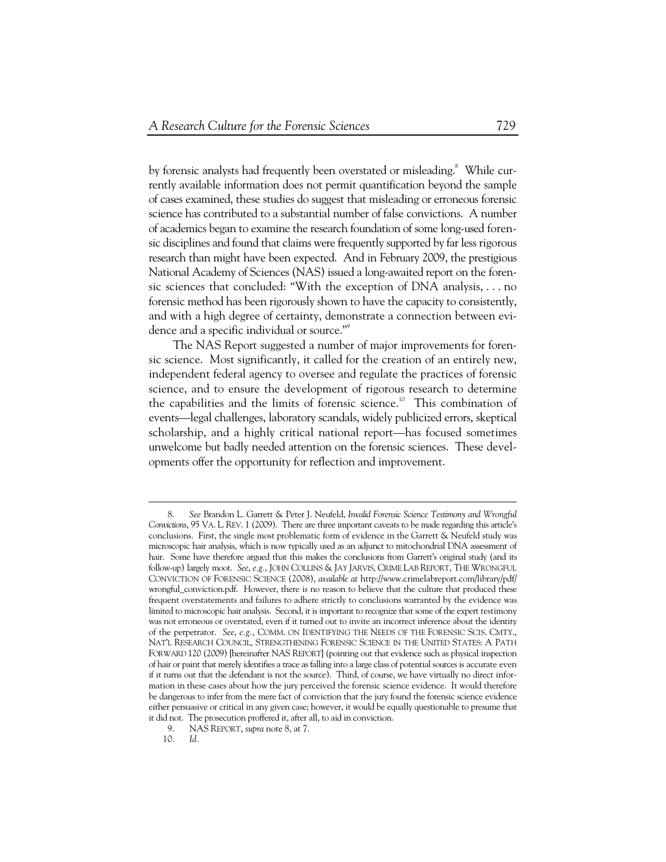by forensic analysts had frequently been overstated or misleading.<sup>8</sup> While currently available information does not permit quantification beyond the sample of cases examined, these studies do suggest that misleading or erroneous forensic science has contributed to a substantial number of false convictions. A number of academics began to examine the research foundation of some long-used forensic disciplines and found that claims were frequently supported by far less rigorous research than might have been expected. And in February 2009, the prestigious National Academy of Sciences (NAS) issued a long-awaited report on the forensic sciences that concluded: "With the exception of DNA analysis, . . . no forensic method has been rigorously shown to have the capacity to consistently, and with a high degree of certainty, demonstrate a connection between evidence and a specific individual or source."<sup>9</sup>

The NAS Report suggested a number of major improvements for forensic science. Most significantly, it called for the creation of an entirely new, independent federal agency to oversee and regulate the practices of forensic science, and to ensure the development of rigorous research to determine the capabilities and the limits of forensic science.<sup>10</sup> This combination of events—legal challenges, laboratory scandals, widely publicized errors, skeptical scholarship, and a highly critical national report—has focused sometimes unwelcome but badly needed attention on the forensic sciences. These developments offer the opportunity for reflection and improvement.

 <sup>8.</sup> *See* Brandon L. Garrett & Peter J. Neufeld, *Invalid Forensic Science Testimony and Wrongful Convictions*, 95 VA. L.REV. 1 (2009). There are three important caveats to be made regarding this article's conclusions. First, the single most problematic form of evidence in the Garrett & Neufeld study was microscopic hair analysis, which is now typically used as an adjunct to mitochondrial DNA assessment of hair. Some have therefore argued that this makes the conclusions from Garrett's original study (and its follow-up) largely moot. *See*, *e.g.*, JOHN COLLINS & JAY JARVIS, CRIME LAB REPORT, THE WRONGFUL CONVICTION OF FORENSIC SCIENCE (2008), *available at* http://www.crimelabreport.com/library/pdf/ wrongful conviction.pdf. However, there is no reason to believe that the culture that produced these frequent overstatements and failures to adhere strictly to conclusions warranted by the evidence was limited to microscopic hair analysis. Second, it is important to recognize that some of the expert testimony was not erroneous or overstated, even if it turned out to invite an incorrect inference about the identity of the perpetrator. *See*, *e.g.*, COMM. ON IDENTIFYING THE NEEDS OF THE FORENSIC SCIS. CMTY., NAT'L RESEARCH COUNCIL, STRENGTHENING FORENSIC SCIENCE IN THE UNITED STATES: A PATH FORWARD 120 (2009) [hereinafter NAS REPORT] (pointing out that evidence such as physical inspection of hair or paint that merely identifies a trace as falling into a large class of potential sources is accurate even if it turns out that the defendant is not the source). Third, of course, we have virtually no direct information in these cases about how the jury perceived the forensic science evidence. It would therefore be dangerous to infer from the mere fact of conviction that the jury found the forensic science evidence either persuasive or critical in any given case; however, it would be equally questionable to presume that it did not. The prosecution proffered it, after all, to aid in conviction.

 <sup>9.</sup> NAS REPORT, *supra* note 8, at 7.

 <sup>10.</sup> *Id.*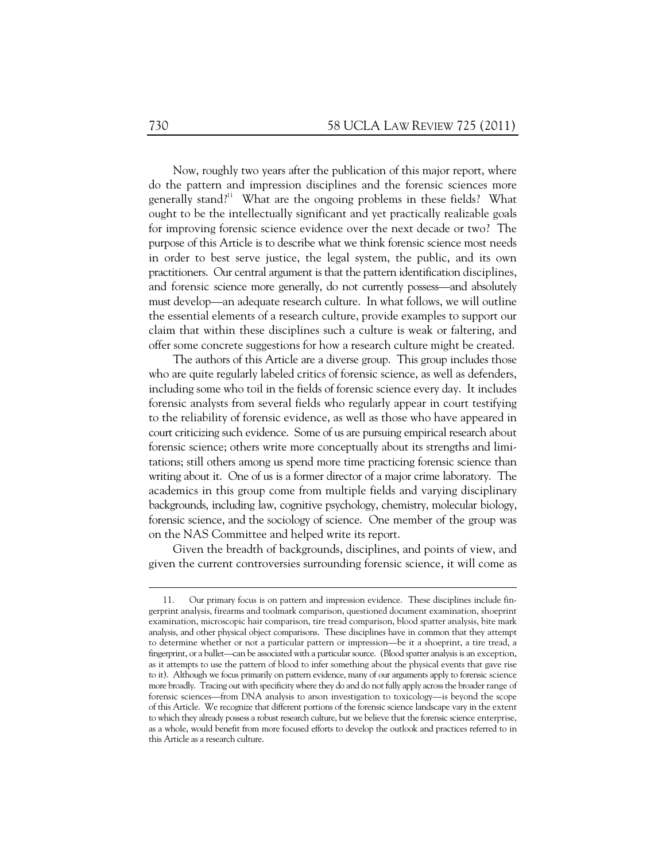Now, roughly two years after the publication of this major report, where do the pattern and impression disciplines and the forensic sciences more generally stand?<sup>11</sup> What are the ongoing problems in these fields? What ought to be the intellectually significant and yet practically realizable goals for improving forensic science evidence over the next decade or two? The purpose of this Article is to describe what we think forensic science most needs in order to best serve justice, the legal system, the public, and its own practitioners. Our central argument is that the pattern identification disciplines, and forensic science more generally, do not currently possess—and absolutely must develop—an adequate research culture. In what follows, we will outline the essential elements of a research culture, provide examples to support our claim that within these disciplines such a culture is weak or faltering, and offer some concrete suggestions for how a research culture might be created.

The authors of this Article are a diverse group. This group includes those who are quite regularly labeled critics of forensic science, as well as defenders, including some who toil in the fields of forensic science every day. It includes forensic analysts from several fields who regularly appear in court testifying to the reliability of forensic evidence, as well as those who have appeared in court criticizing such evidence. Some of us are pursuing empirical research about forensic science; others write more conceptually about its strengths and limitations; still others among us spend more time practicing forensic science than writing about it. One of us is a former director of a major crime laboratory. The academics in this group come from multiple fields and varying disciplinary backgrounds, including law, cognitive psychology, chemistry, molecular biology, forensic science, and the sociology of science. One member of the group was on the NAS Committee and helped write its report.

Given the breadth of backgrounds, disciplines, and points of view, and given the current controversies surrounding forensic science, it will come as

 <sup>11.</sup> Our primary focus is on pattern and impression evidence. These disciplines include fingerprint analysis, firearms and toolmark comparison, questioned document examination, shoeprint examination, microscopic hair comparison, tire tread comparison, blood spatter analysis, bite mark analysis, and other physical object comparisons. These disciplines have in common that they attempt to determine whether or not a particular pattern or impression—be it a shoeprint, a tire tread, a fingerprint, or a bullet—can be associated with a particular source. (Blood spatter analysis is an exception, as it attempts to use the pattern of blood to infer something about the physical events that gave rise to it). Although we focus primarily on pattern evidence, many of our arguments apply to forensic science more broadly. Tracing out with specificity where they do and do not fully apply across the broader range of forensic sciences—from DNA analysis to arson investigation to toxicology—is beyond the scope of this Article. We recognize that different portions of the forensic science landscape vary in the extent to which they already possess a robust research culture, but we believe that the forensic science enterprise, as a whole, would benefit from more focused efforts to develop the outlook and practices referred to in this Article as a research culture.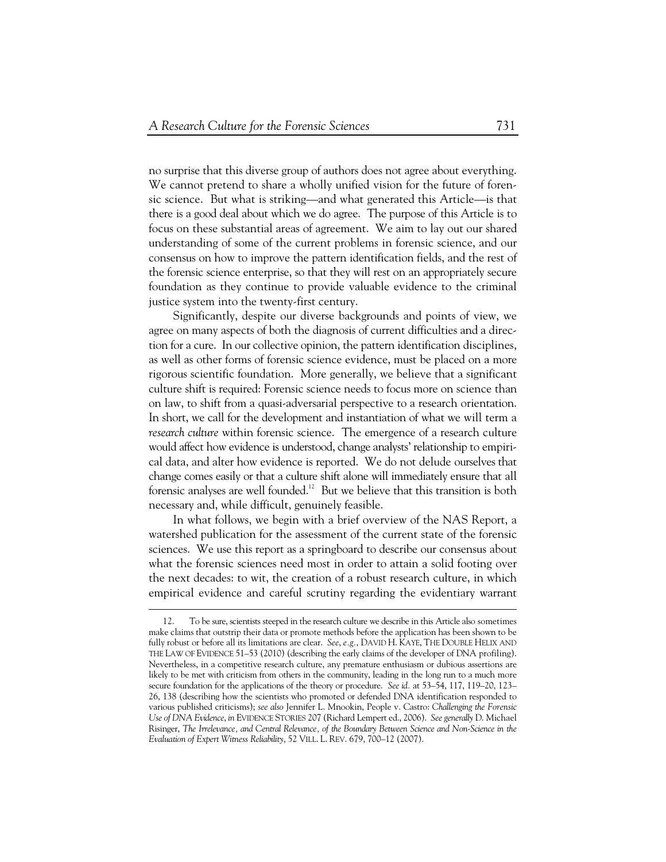no surprise that this diverse group of authors does not agree about everything. We cannot pretend to share a wholly unified vision for the future of forensic science. But what is striking—and what generated this Article—is that there is a good deal about which we do agree. The purpose of this Article is to focus on these substantial areas of agreement. We aim to lay out our shared understanding of some of the current problems in forensic science, and our consensus on how to improve the pattern identification fields, and the rest of the forensic science enterprise, so that they will rest on an appropriately secure foundation as they continue to provide valuable evidence to the criminal justice system into the twenty-first century.

Significantly, despite our diverse backgrounds and points of view, we agree on many aspects of both the diagnosis of current difficulties and a direction for a cure. In our collective opinion, the pattern identification disciplines, as well as other forms of forensic science evidence, must be placed on a more rigorous scientific foundation. More generally, we believe that a significant culture shift is required: Forensic science needs to focus more on science than on law, to shift from a quasi-adversarial perspective to a research orientation. In short, we call for the development and instantiation of what we will term a *research culture* within forensic science. The emergence of a research culture would affect how evidence is understood, change analysts' relationship to empirical data, and alter how evidence is reported. We do not delude ourselves that change comes easily or that a culture shift alone will immediately ensure that all forensic analyses are well founded.<sup>12</sup> But we believe that this transition is both necessary and, while difficult, genuinely feasible.

In what follows, we begin with a brief overview of the NAS Report, a watershed publication for the assessment of the current state of the forensic sciences. We use this report as a springboard to describe our consensus about what the forensic sciences need most in order to attain a solid footing over the next decades: to wit, the creation of a robust research culture, in which empirical evidence and careful scrutiny regarding the evidentiary warrant

 <sup>12.</sup> To be sure, scientists steeped in the research culture we describe in this Article also sometimes make claims that outstrip their data or promote methods before the application has been shown to be fully robust or before all its limitations are clear. *See*, *e.g.*, DAVID H. KAYE, THE DOUBLE HELIX AND THE LAW OF EVIDENCE 51–53 (2010) (describing the early claims of the developer of DNA profiling). Nevertheless, in a competitive research culture, any premature enthusiasm or dubious assertions are likely to be met with criticism from others in the community, leading in the long run to a much more secure foundation for the applications of the theory or procedure. *See id.* at 53–54, 117, 119–20, 123– 26, 138 (describing how the scientists who promoted or defended DNA identification responded to various published criticisms); *see also* Jennifer L. Mnookin, People v. Castro: *Challenging the Forensic Use of DNA Evidence*, *in* EVIDENCE STORIES 207 (Richard Lempert ed., 2006). *See generally* D. Michael Risinger, *The Irrelevance, and Central Relevance, of the Boundary Between Science and Non-Science in the Evaluation of Expert Witness Reliability*, 52 VILL. L. REV. 679, 700–12 (2007).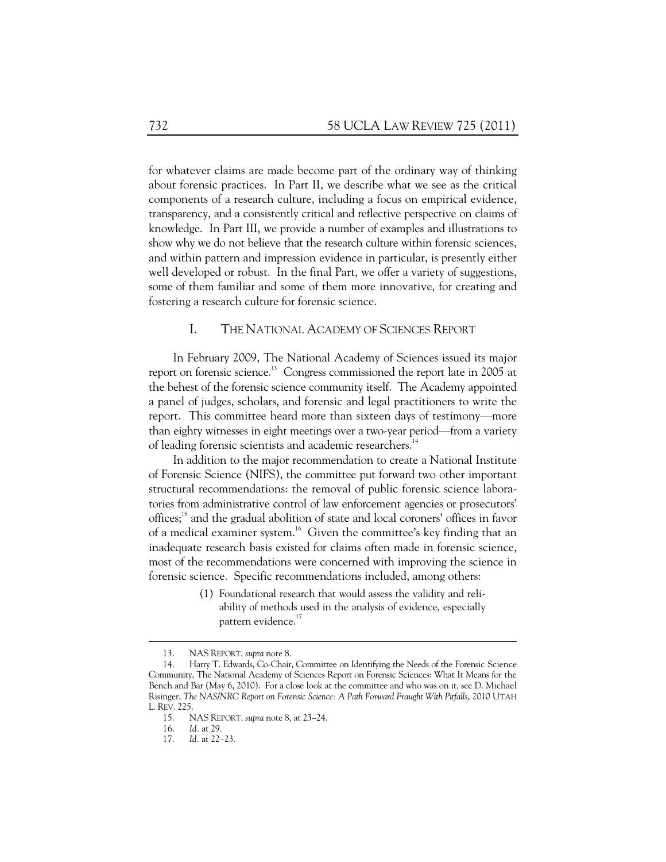for whatever claims are made become part of the ordinary way of thinking about forensic practices. In Part II, we describe what we see as the critical components of a research culture, including a focus on empirical evidence, transparency, and a consistently critical and reflective perspective on claims of knowledge. In Part III, we provide a number of examples and illustrations to show why we do not believe that the research culture within forensic sciences, and within pattern and impression evidence in particular, is presently either well developed or robust. In the final Part, we offer a variety of suggestions, some of them familiar and some of them more innovative, for creating and fostering a research culture for forensic science.

# I. THE NATIONAL ACADEMY OF SCIENCES REPORT

In February 2009, The National Academy of Sciences issued its major report on forensic science.<sup>13</sup> Congress commissioned the report late in 2005 at the behest of the forensic science community itself. The Academy appointed a panel of judges, scholars, and forensic and legal practitioners to write the report. This committee heard more than sixteen days of testimony—more than eighty witnesses in eight meetings over a two-year period—from a variety of leading forensic scientists and academic researchers.<sup>14</sup>

In addition to the major recommendation to create a National Institute of Forensic Science (NIFS), the committee put forward two other important structural recommendations: the removal of public forensic science laboratories from administrative control of law enforcement agencies or prosecutors' offices;<sup>15</sup> and the gradual abolition of state and local coroners' offices in favor of a medical examiner system.<sup>16</sup> Given the committee's key finding that an inadequate research basis existed for claims often made in forensic science, most of the recommendations were concerned with improving the science in forensic science. Specific recommendations included, among others:

> (1) Foundational research that would assess the validity and reliability of methods used in the analysis of evidence, especially pattern evidence.<sup>17</sup>

 <sup>13.</sup> NAS REPORT, *supra* note 8.

 <sup>14.</sup> Harry T. Edwards, Co-Chair, Committee on Identifying the Needs of the Forensic Science Community, The National Academy of Sciences Report on Forensic Sciences: What It Means for the Bench and Bar (May 6, 2010). For a close look at the committee and who was on it, see D. Michael Risinger, *The NAS/NRC Report on Forensic Science: A Path Forward Fraught With Pitfalls*, 2010 UTAH L. REV. 225.

 <sup>15.</sup> NAS REPORT, *supra* note 8, at 23–24.

 <sup>16.</sup> *Id.* at 29.

 <sup>17.</sup> *Id.* at 22–23.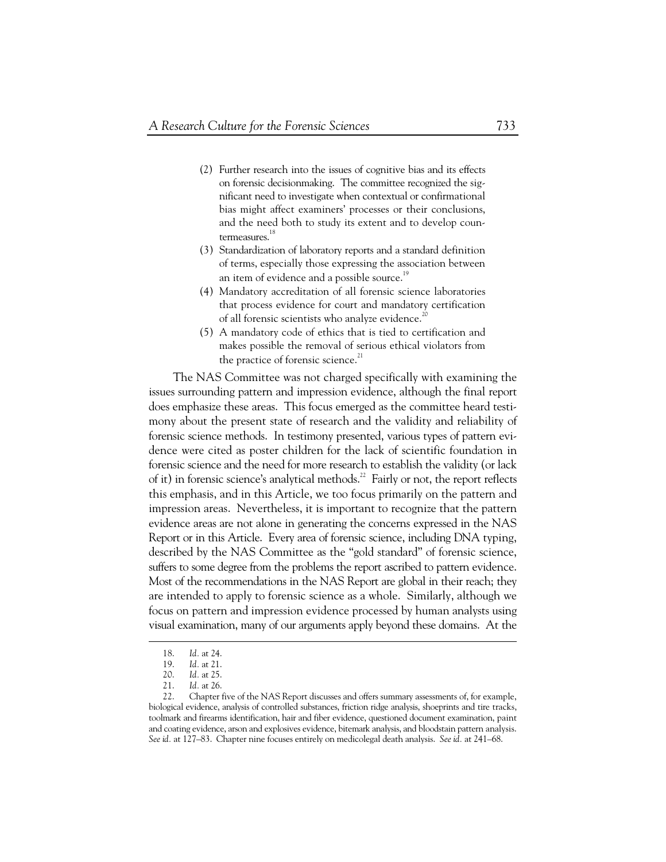- (2) Further research into the issues of cognitive bias and its effects on forensic decisionmaking. The committee recognized the significant need to investigate when contextual or confirmational bias might affect examiners' processes or their conclusions, and the need both to study its extent and to develop countermeasures.<sup>18</sup>
- (3) Standardization of laboratory reports and a standard definition of terms, especially those expressing the association between an item of evidence and a possible source.<sup>19</sup>
- (4) Mandatory accreditation of all forensic science laboratories that process evidence for court and mandatory certification of all forensic scientists who analyze evidence.<sup>20</sup>
- (5) A mandatory code of ethics that is tied to certification and makes possible the removal of serious ethical violators from the practice of forensic science. $21$

The NAS Committee was not charged specifically with examining the issues surrounding pattern and impression evidence, although the final report does emphasize these areas. This focus emerged as the committee heard testimony about the present state of research and the validity and reliability of forensic science methods. In testimony presented, various types of pattern evidence were cited as poster children for the lack of scientific foundation in forensic science and the need for more research to establish the validity (or lack of it) in forensic science's analytical methods.<sup>22</sup> Fairly or not, the report reflects this emphasis, and in this Article, we too focus primarily on the pattern and impression areas. Nevertheless, it is important to recognize that the pattern evidence areas are not alone in generating the concerns expressed in the NAS Report or in this Article. Every area of forensic science, including DNA typing, described by the NAS Committee as the "gold standard" of forensic science, suffers to some degree from the problems the report ascribed to pattern evidence. Most of the recommendations in the NAS Report are global in their reach; they are intended to apply to forensic science as a whole. Similarly, although we focus on pattern and impression evidence processed by human analysts using visual examination, many of our arguments apply beyond these domains. At the

 <sup>18.</sup> *Id.* at 24.

 <sup>19.</sup> *Id.* at 21.

 <sup>20.</sup> *Id.* at 25.

 <sup>21.</sup> *Id.* at 26.

 <sup>22.</sup> Chapter five of the NAS Report discusses and offers summary assessments of, for example, biological evidence, analysis of controlled substances, friction ridge analysis, shoeprints and tire tracks, toolmark and firearms identification, hair and fiber evidence, questioned document examination, paint and coating evidence, arson and explosives evidence, bitemark analysis, and bloodstain pattern analysis. *See id.* at 127–83. Chapter nine focuses entirely on medicolegal death analysis. *See id.* at 241–68.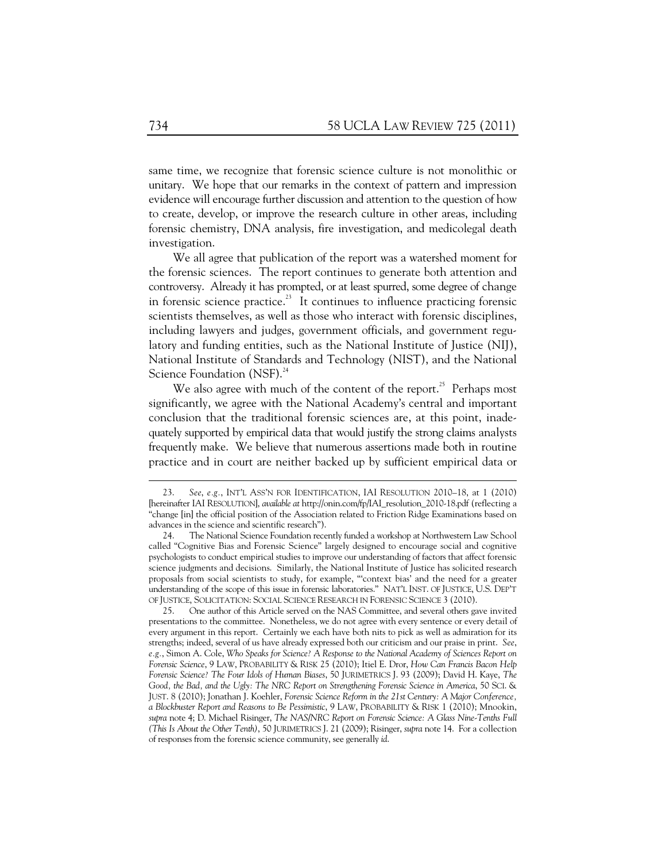same time, we recognize that forensic science culture is not monolithic or unitary. We hope that our remarks in the context of pattern and impression evidence will encourage further discussion and attention to the question of how to create, develop, or improve the research culture in other areas, including forensic chemistry, DNA analysis, fire investigation, and medicolegal death investigation.

We all agree that publication of the report was a watershed moment for the forensic sciences. The report continues to generate both attention and controversy. Already it has prompted, or at least spurred, some degree of change in forensic science practice.<sup>23</sup> It continues to influence practicing forensic scientists themselves, as well as those who interact with forensic disciplines, including lawyers and judges, government officials, and government regulatory and funding entities, such as the National Institute of Justice (NIJ), National Institute of Standards and Technology (NIST), and the National Science Foundation (NSF).<sup>24</sup>

We also agree with much of the content of the report.<sup>25</sup> Perhaps most significantly, we agree with the National Academy's central and important conclusion that the traditional forensic sciences are, at this point, inadequately supported by empirical data that would justify the strong claims analysts frequently make. We believe that numerous assertions made both in routine practice and in court are neither backed up by sufficient empirical data or

 <sup>23.</sup> *See*, *e.g.*, INT'L ASS'N FOR IDENTIFICATION, IAI RESOLUTION 2010–18, at 1 (2010) [hereinafter IAI RESOLUTION], *available at* http://onin.com/fp/IAI\_resolution\_2010-18.pdf (reflecting a "change [in] the official position of the Association related to Friction Ridge Examinations based on advances in the science and scientific research").

 <sup>24.</sup> The National Science Foundation recently funded a workshop at Northwestern Law School called "Cognitive Bias and Forensic Science" largely designed to encourage social and cognitive psychologists to conduct empirical studies to improve our understanding of factors that affect forensic science judgments and decisions. Similarly, the National Institute of Justice has solicited research proposals from social scientists to study, for example, "'context bias' and the need for a greater understanding of the scope of this issue in forensic laboratories." NAT'L INST. OF JUSTICE, U.S. DEP'T OF JUSTICE, SOLICITATION: SOCIAL SCIENCE RESEARCH IN FORENSIC SCIENCE 3 (2010).

 <sup>25.</sup> One author of this Article served on the NAS Committee, and several others gave invited presentations to the committee. Nonetheless, we do not agree with every sentence or every detail of every argument in this report. Certainly we each have both nits to pick as well as admiration for its strengths; indeed, several of us have already expressed both our criticism and our praise in print. *See*, *e.g.*, Simon A. Cole, *Who Speaks for Science? A Response to the National Academy of Sciences Report on Forensic Science*, 9 LAW, PROBABILITY & RISK 25 (2010); Itiel E. Dror, *How Can Francis Bacon Help Forensic Science? The Four Idols of Human Biases*, 50 JURIMETRICS J. 93 (2009); David H. Kaye, *The Good, the Bad, and the Ugly: The NRC Report on Strengthening Forensic Science in America*, 50 SCI. & JUST. 8 (2010); Jonathan J. Koehler, *Forensic Science Reform in the 21st Century: A Major Conference, a Blockbuster Report and Reasons to Be Pessimistic*, 9 LAW, PROBABILITY & RISK 1 (2010); Mnookin, *supra* note 4; D. Michael Risinger, *The NAS/NRC Report on Forensic Science: A Glass Nine-Tenths Full (This Is About the Other Tenth)*, 50 JURIMETRICS J. 21 (2009); Risinger, *supra* note 14. For a collection of responses from the forensic science community, see generally *id*.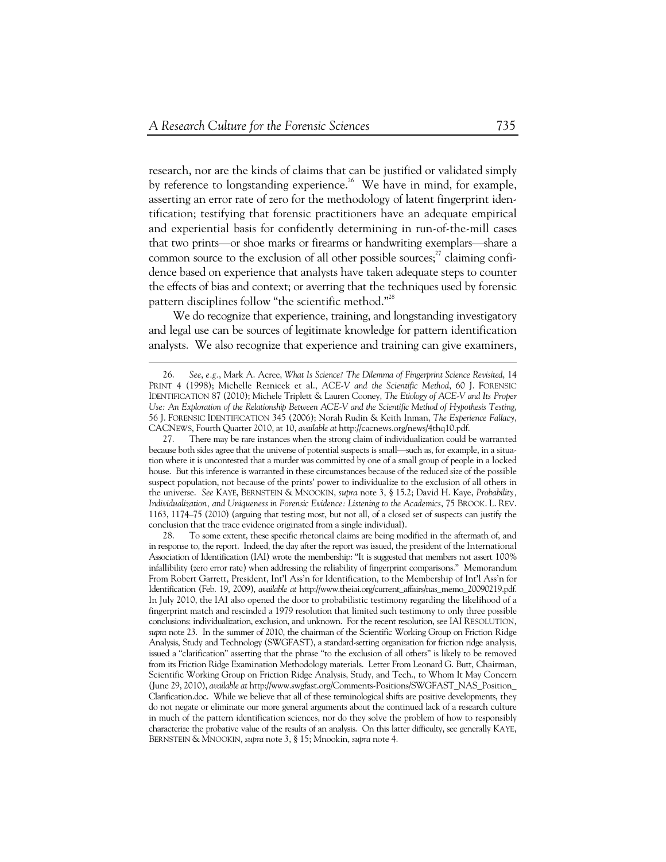-

research, nor are the kinds of claims that can be justified or validated simply by reference to longstanding experience.<sup>26</sup> We have in mind, for example, asserting an error rate of zero for the methodology of latent fingerprint identification; testifying that forensic practitioners have an adequate empirical and experiential basis for confidently determining in run-of-the-mill cases that two prints—or shoe marks or firearms or handwriting exemplars—share a common source to the exclusion of all other possible sources;<sup>27</sup> claiming confidence based on experience that analysts have taken adequate steps to counter the effects of bias and context; or averring that the techniques used by forensic pattern disciplines follow "the scientific method."<sup>28</sup>

We do recognize that experience, training, and longstanding investigatory and legal use can be sources of legitimate knowledge for pattern identification analysts. We also recognize that experience and training can give examiners,

 <sup>26.</sup> *See*, *e.g.*, Mark A. Acree, *What Is Science? The Dilemma of Fingerprint Science Revisited*, 14 PRINT 4 (1998); Michelle Reznicek et al., *ACE-V and the Scientific Method*, 60 J. FORENSIC IDENTIFICATION 87 (2010); Michele Triplett & Lauren Cooney, *The Etiology of ACE-V and Its Proper Use: An Exploration of the Relationship Between ACE-V and the Scientific Method of Hypothesis Testing*, 56 J. FORENSIC IDENTIFICATION 345 (2006); Norah Rudin & Keith Inman, *The Experience Fallacy*, CACNEWS, Fourth Quarter 2010, at 10, *available at* http://cacnews.org/news/4thq10.pdf.

 <sup>27.</sup> There may be rare instances when the strong claim of individualization could be warranted because both sides agree that the universe of potential suspects is small—such as, for example, in a situation where it is uncontested that a murder was committed by one of a small group of people in a locked house. But this inference is warranted in these circumstances because of the reduced size of the possible suspect population, not because of the prints' power to individualize to the exclusion of all others in the universe. *See* KAYE, BERNSTEIN & MNOOKIN, *supra* note 3, § 15.2; David H. Kaye, *Probability, Individualization, and Uniqueness in Forensic Evidence: Listening to the Academics*, 75 BROOK. L. REV. 1163, 1174–75 (2010) (arguing that testing most, but not all, of a closed set of suspects can justify the conclusion that the trace evidence originated from a single individual).

 <sup>28.</sup> To some extent, these specific rhetorical claims are being modified in the aftermath of, and in response to, the report. Indeed, the day after the report was issued, the president of the International Association of Identification (IAI) wrote the membership: "It is suggested that members not assert 100% infallibility (zero error rate) when addressing the reliability of fingerprint comparisons." Memorandum From Robert Garrett, President, Int'l Ass'n for Identification, to the Membership of Int'l Ass'n for Identification (Feb. 19, 2009), *available at* http://www.theiai.org/current\_affairs/nas\_memo\_20090219.pdf. In July 2010, the IAI also opened the door to probabilistic testimony regarding the likelihood of a fingerprint match and rescinded a 1979 resolution that limited such testimony to only three possible conclusions: individualization, exclusion, and unknown. For the recent resolution, see IAI RESOLUTION, *supra* note 23. In the summer of 2010, the chairman of the Scientific Working Group on Friction Ridge Analysis, Study and Technology (SWGFAST), a standard-setting organization for friction ridge analysis, issued a "clarification" asserting that the phrase "to the exclusion of all others" is likely to be removed from its Friction Ridge Examination Methodology materials. Letter From Leonard G. Butt, Chairman, Scientific Working Group on Friction Ridge Analysis, Study, and Tech., to Whom It May Concern (June 29, 2010), *available at* http://www.swgfast.org/Comments-Positions/SWGFAST\_NAS\_Position\_ Clarification.doc. While we believe that all of these terminological shifts are positive developments, they do not negate or eliminate our more general arguments about the continued lack of a research culture in much of the pattern identification sciences, nor do they solve the problem of how to responsibly characterize the probative value of the results of an analysis. On this latter difficulty, see generally KAYE, BERNSTEIN & MNOOKIN, *supra* note 3, § 15; Mnookin, *supra* note 4.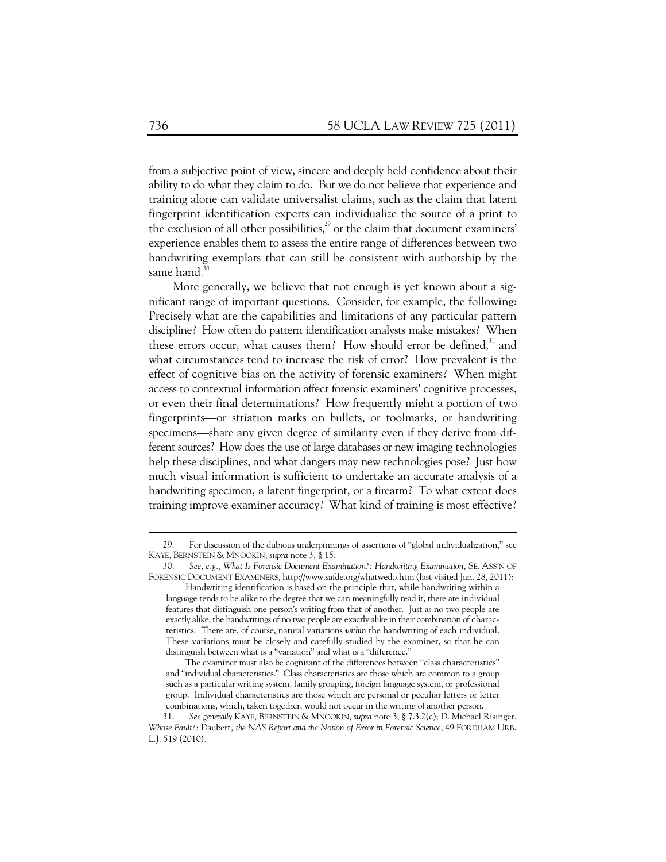from a subjective point of view, sincere and deeply held confidence about their ability to do what they claim to do. But we do not believe that experience and training alone can validate universalist claims, such as the claim that latent fingerprint identification experts can individualize the source of a print to the exclusion of all other possibilities, $29$  or the claim that document examiners' experience enables them to assess the entire range of differences between two handwriting exemplars that can still be consistent with authorship by the same hand. $30$ 

More generally, we believe that not enough is yet known about a significant range of important questions. Consider, for example, the following: Precisely what are the capabilities and limitations of any particular pattern discipline? How often do pattern identification analysts make mistakes? When these errors occur, what causes them? How should error be defined, $31$  and what circumstances tend to increase the risk of error? How prevalent is the effect of cognitive bias on the activity of forensic examiners? When might access to contextual information affect forensic examiners' cognitive processes, or even their final determinations? How frequently might a portion of two fingerprints—or striation marks on bullets, or toolmarks, or handwriting specimens—share any given degree of similarity even if they derive from different sources? How does the use of large databases or new imaging technologies help these disciplines, and what dangers may new technologies pose? Just how much visual information is sufficient to undertake an accurate analysis of a handwriting specimen, a latent fingerprint, or a firearm? To what extent does training improve examiner accuracy? What kind of training is most effective?

 <sup>29.</sup> For discussion of the dubious underpinnings of assertions of "global individualization," see KAYE, BERNSTEIN & MNOOKIN, *supra* note 3, § 15.

 <sup>30.</sup> *See*, *e.g.*, *What Is Forensic Document Examination?: Handwriting Examination*, SE. ASS'N OF FORENSIC DOCUMENT EXAMINERS, http://www.safde.org/whatwedo.htm (last visited Jan. 28, 2011):

Handwriting identification is based on the principle that, while handwriting within a language tends to be alike to the degree that we can meaningfully read it, there are individual features that distinguish one person's writing from that of another. Just as no two people are exactly alike, the handwritings of no two people are exactly alike in their combination of characteristics. There are, of course, natural variations *within* the handwriting of each individual. These variations must be closely and carefully studied by the examiner, so that he can distinguish between what is a "variation" and what is a "difference."

The examiner must also be cognizant of the differences between "class characteristics" and "individual characteristics." Class characteristics are those which are common to a group such as a particular writing system, family grouping, foreign language system, or professional group. Individual characteristics are those which are personal or peculiar letters or letter combinations, which, taken together, would not occur in the writing of another person.

 <sup>31.</sup> *See generally* KAYE, BERNSTEIN & MNOOKIN, *supra* note 3, § 7.3.2(c); D. Michael Risinger, *Whose Fault?:* Daubert*, the NAS Report and the Notion of Error in Forensic Science*, 49 FORDHAM URB. L.J. 519 (2010).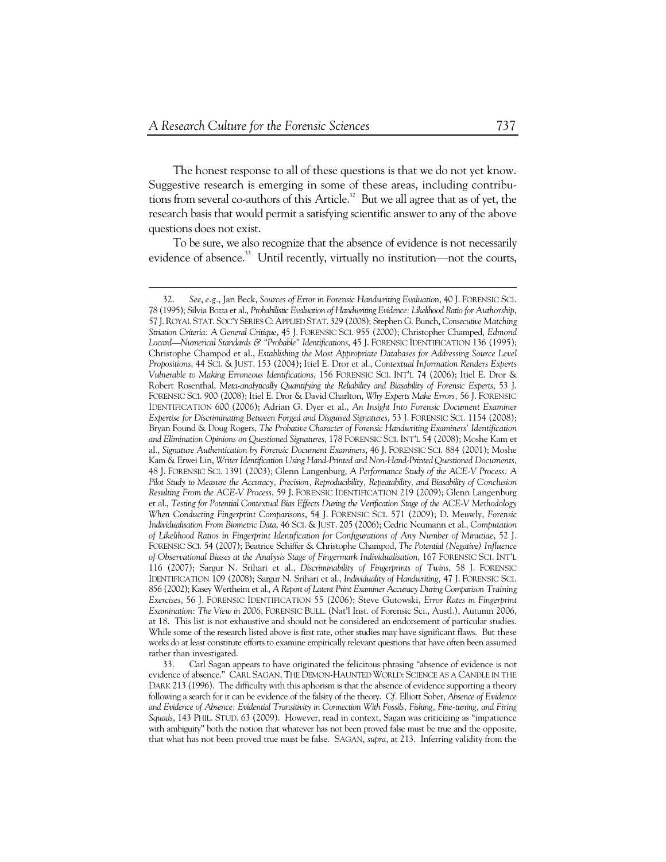-

The honest response to all of these questions is that we do not yet know. Suggestive research is emerging in some of these areas, including contributions from several co-authors of this Article.<sup>32</sup> But we all agree that as of yet, the research basis that would permit a satisfying scientific answer to any of the above questions does not exist.

To be sure, we also recognize that the absence of evidence is not necessarily evidence of absence.<sup>33</sup> Until recently, virtually no institution—not the courts,

 <sup>32.</sup> *See*, *e.g.*, Jan Beck, *Sources of Error in Forensic Handwriting Evaluation*, 40 J. FORENSIC SCI. 78 (1995); Silvia Bozza et al., *Probabilistic Evaluation of Handwriting Evidence: Likelihood Ratio for Authorship*, 57 J.ROYAL STAT. SOC'Y SERIES C: APPLIED STAT. 329 (2008); Stephen G. Bunch, *Consecutive Matching Striation Criteria: A General Critique*, 45 J. FORENSIC SCI. 955 (2000); Christopher Champed, *Edmond Locard—Numerical Standards & "Probable" Identifications*, 45 J. FORENSIC IDENTIFICATION 136 (1995); Christophe Champod et al., *Establishing the Most Appropriate Databases for Addressing Source Level Propositions*, 44 SCI. & JUST. 153 (2004); Itiel E. Dror et al., *Contextual Information Renders Experts Vulnerable to Making Erroneous Identifications*, 156 FORENSIC SCI. INT'L 74 (2006); Itiel E. Dror & Robert Rosenthal, *Meta-analytically Quantifying the Reliability and Biasability of Forensic Experts*, 53 J. FORENSIC SCI. 900 (2008); Itiel E. Dror & David Charlton, *Why Experts Make Errors,* 56 J. FORENSIC IDENTIFICATION 600 (2006); Adrian G. Dyer et al., *An Insight Into Forensic Document Examiner Expertise for Discriminating Between Forged and Disguised Signatures*, 53 J. FORENSIC SCI. 1154 (2008); Bryan Found & Doug Rogers, *The Probative Character of Forensic Handwriting Examiners' Identification and Elimination Opinions on Questioned Signatures*, 178 FORENSIC SCI. INT'L 54 (2008); Moshe Kam et al., *Signature Authentication by Forensic Document Examiners*, 46 J. FORENSIC SCI. 884 (2001); Moshe Kam & Erwei Lin, *Writer Identification Using Hand-Printed and Non-Hand-Printed Questioned Documents*, 48 J. FORENSIC SCI. 1391 (2003); Glenn Langenburg, *A Performance Study of the ACE-V Process: A Pilot Study to Measure the Accuracy, Precision, Reproducibility, Repeatability, and Biasability of Conclusion Resulting From the ACE-V Process*, 59 J. FORENSIC IDENTIFICATION 219 (2009); Glenn Langenburg et al., *Testing for Potential Contextual Bias Effects During the Verification Stage of the ACE-V Methodology When Conducting Fingerprint Comparisons*, 54 J. FORENSIC SCI. 571 (2009); D. Meuwly, *Forensic Individualisation From Biometric Data*, 46 SCI. & JUST. 205 (2006); Cedric Neumann et al., *Computation of Likelihood Ratios in Fingerprint Identification for Configurations of Any Number of Minutiae*, 52 J. FORENSIC SCI. 54 (2007); Beatrice Schiffer & Christophe Champod, *The Potential (Negative) Influence of Observational Biases at the Analysis Stage of Fingermark Individualisation*, 167 FORENSIC SCI. INT'L 116 (2007); Sargur N. Srihari et al., *Discriminability of Fingerprints of Twins*, 58 J. FORENSIC IDENTIFICATION 109 (2008); Sargur N. Srihari et al., *Individuality of Handwriting,* 47 J. FORENSIC SCI. 856 (2002); Kasey Wertheim et al., *A Report of Latent Print Examiner Accuracy During Comparison Training Exercises*, 56 J. FORENSIC IDENTIFICATION 55 (2006); Steve Gutowski, *Error Rates in Fingerprint Examination: The View in 2006*, FORENSIC BULL. (Nat'l Inst. of Forensic Sci., Austl.), Autumn 2006, at 18. This list is not exhaustive and should not be considered an endorsement of particular studies. While some of the research listed above is first rate, other studies may have significant flaws. But these works do at least constitute efforts to examine empirically relevant questions that have often been assumed rather than investigated.

 <sup>33.</sup> Carl Sagan appears to have originated the felicitous phrasing "absence of evidence is not evidence of absence." CARL SAGAN, THE DEMON-HAUNTED WORLD: SCIENCE AS A CANDLE IN THE DARK 213 (1996). The difficulty with this aphorism is that the absence of evidence supporting a theory following a search for it can be evidence of the falsity of the theory. *Cf.* Elliott Sober, *Absence of Evidence and Evidence of Absence: Evidential Transitivity in Connection With Fossils, Fishing, Fine-tuning, and Firing Squads*, 143 PHIL. STUD. 63 (2009). However, read in context, Sagan was criticizing as "impatience with ambiguity" both the notion that whatever has not been proved false must be true and the opposite, that what has not been proved true must be false. SAGAN, *supra*, at 213. Inferring validity from the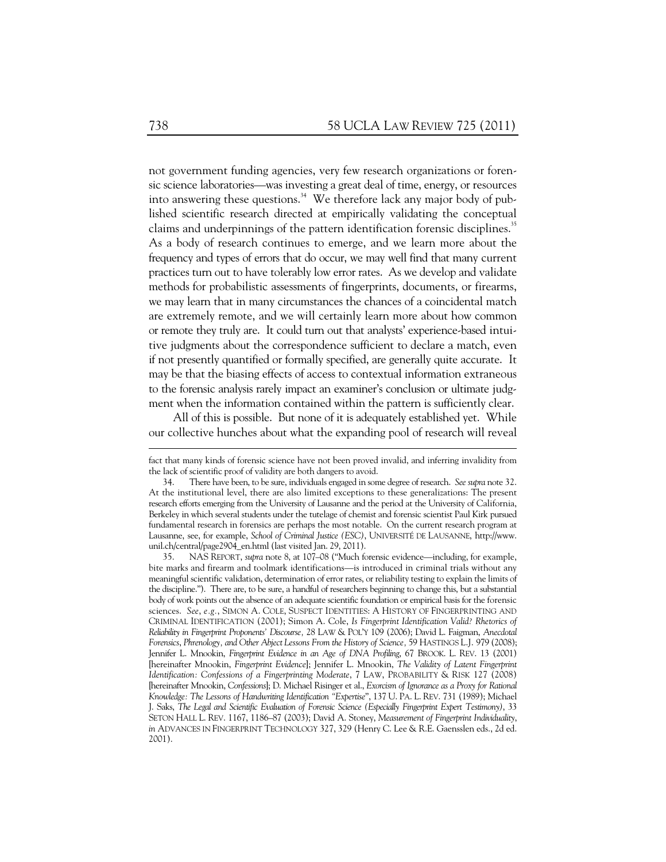not government funding agencies, very few research organizations or forensic science laboratories—was investing a great deal of time, energy, or resources into answering these questions.<sup>34</sup> We therefore lack any major body of published scientific research directed at empirically validating the conceptual claims and underpinnings of the pattern identification forensic disciplines.<sup>35</sup> As a body of research continues to emerge, and we learn more about the frequency and types of errors that do occur, we may well find that many current practices turn out to have tolerably low error rates. As we develop and validate methods for probabilistic assessments of fingerprints, documents, or firearms, we may learn that in many circumstances the chances of a coincidental match are extremely remote, and we will certainly learn more about how common or remote they truly are. It could turn out that analysts' experience-based intuitive judgments about the correspondence sufficient to declare a match, even if not presently quantified or formally specified, are generally quite accurate. It may be that the biasing effects of access to contextual information extraneous to the forensic analysis rarely impact an examiner's conclusion or ultimate judgment when the information contained within the pattern is sufficiently clear.

All of this is possible. But none of it is adequately established yet. While our collective hunches about what the expanding pool of research will reveal

fact that many kinds of forensic science have not been proved invalid, and inferring invalidity from the lack of scientific proof of validity are both dangers to avoid.

 <sup>34.</sup> There have been, to be sure, individuals engaged in some degree of research. *Seesupra* note 32. At the institutional level, there are also limited exceptions to these generalizations: The present research efforts emerging from the University of Lausanne and the period at the University of California, Berkeley in which several students under the tutelage of chemist and forensic scientist Paul Kirk pursued fundamental research in forensics are perhaps the most notable. On the current research program at Lausanne, see, for example, *School of Criminal Justice (ESC)*, UNIVERSITÉ DE LAUSANNE, http://www. unil.ch/central/page2904\_en.html (last visited Jan. 29, 2011).

 <sup>35.</sup> NAS REPORT, *supra* note 8, at 107–08 ("Much forensic evidence—including, for example, bite marks and firearm and toolmark identifications—is introduced in criminal trials without any meaningful scientific validation, determination of error rates, or reliability testing to explain the limits of the discipline."). There are, to be sure, a handful of researchers beginning to change this, but a substantial body of work points out the absence of an adequate scientific foundation or empirical basis for the forensic sciences. *See*, *e.g.*, SIMON A. COLE, SUSPECT IDENTITIES: A HISTORY OF FINGERPRINTING AND CRIMINAL IDENTIFICATION (2001); Simon A. Cole, *Is Fingerprint Identification Valid? Rhetorics of Reliability in Fingerprint Proponents' Discourse,* 28 LAW & POL'Y 109 (2006); David L. Faigman, *Anecdotal Forensics*, *Phrenology, and Other Abject Lessons From the History of Science,* 59 HASTINGS L.J. 979 (2008); Jennifer L. Mnookin, *Fingerprint Evidence in an Age of DNA Profiling*, 67 BROOK. L. REV. 13 (2001) [hereinafter Mnookin, *Fingerprint Evidence*]; Jennifer L. Mnookin, *The Validity of Latent Fingerprint Identification: Confessions of a Fingerprinting Moderate*, 7 LAW, PROBABILITY & RISK 127 (2008) [hereinafter Mnookin, *Confessions*]; D. Michael Risinger et al., *Exorcism of Ignorance as a Proxy for Rational Knowledge: The Lessons of Handwriting Identification "Expertise*", 137 U. PA. L. REV. 731 (1989); Michael J. Saks, *The Legal and Scientific Evaluation of Forensic Science (Especially Fingerprint Expert Testimony)*, 33 SETON HALL L. REV. 1167, 1186–87 (2003); David A. Stoney, *Measurement of Fingerprint Individuality*, *in* ADVANCES IN FINGERPRINT TECHNOLOGY 327, 329 (Henry C. Lee & R.E. Gaensslen eds., 2d ed. 2001).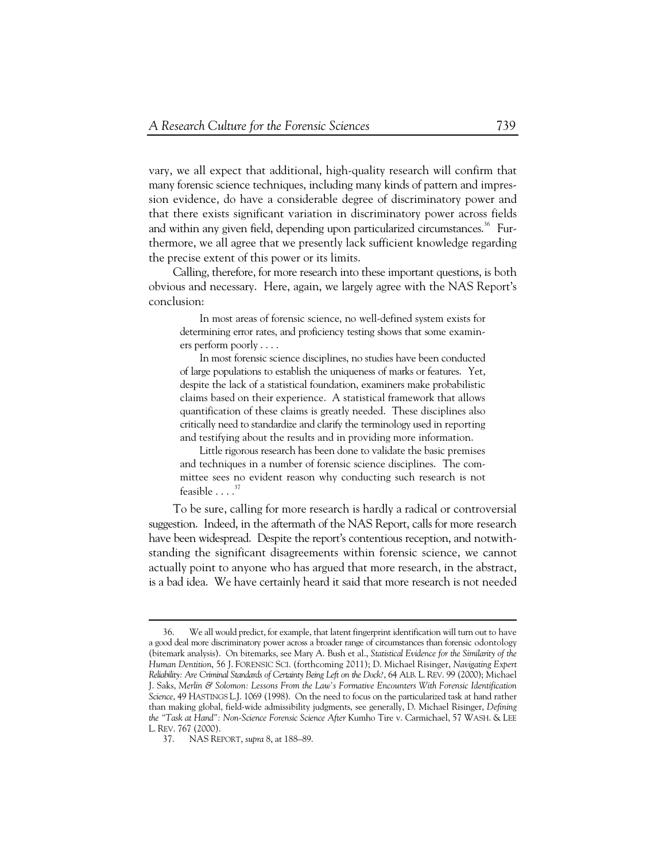vary, we all expect that additional, high-quality research will confirm that many forensic science techniques, including many kinds of pattern and impression evidence, do have a considerable degree of discriminatory power and that there exists significant variation in discriminatory power across fields and within any given field, depending upon particularized circumstances.<sup>36</sup> Furthermore, we all agree that we presently lack sufficient knowledge regarding the precise extent of this power or its limits.

Calling, therefore, for more research into these important questions, is both obvious and necessary. Here, again, we largely agree with the NAS Report's conclusion:

In most areas of forensic science, no well-defined system exists for determining error rates, and proficiency testing shows that some examiners perform poorly . . . .

In most forensic science disciplines, no studies have been conducted of large populations to establish the uniqueness of marks or features. Yet, despite the lack of a statistical foundation, examiners make probabilistic claims based on their experience. A statistical framework that allows quantification of these claims is greatly needed. These disciplines also critically need to standardize and clarify the terminology used in reporting and testifying about the results and in providing more information.

Little rigorous research has been done to validate the basic premises and techniques in a number of forensic science disciplines. The committee sees no evident reason why conducting such research is not feasible  $\ldots$ <sup>37</sup>

To be sure, calling for more research is hardly a radical or controversial suggestion. Indeed, in the aftermath of the NAS Report, calls for more research have been widespread. Despite the report's contentious reception, and notwithstanding the significant disagreements within forensic science, we cannot actually point to anyone who has argued that more research, in the abstract, is a bad idea. We have certainly heard it said that more research is not needed

 <sup>36.</sup> We all would predict, for example, that latent fingerprint identification will turn out to have a good deal more discriminatory power across a broader range of circumstances than forensic odontology (bitemark analysis). On bitemarks, see Mary A. Bush et al., *Statistical Evidence for the Similarity of the Human Dentition*, 56 J. FORENSIC SCI. (forthcoming 2011); D. Michael Risinger, *Navigating Expert Reliability: Are Criminal Standards of Certainty Being Left on the Dock?*, 64 ALB. L. REV. 99 (2000); Michael J. Saks, *Merlin & Solomon: Lessons From the Law's Formative Encounters With Forensic Identification Science*, 49 HASTINGS L.J. 1069 (1998). On the need to focus on the particularized task at hand rather than making global, field-wide admissibility judgments, see generally, D. Michael Risinger, *Defining the "Task at Hand": Non-Science Forensic Science After* Kumho Tire v. Carmichael, 57 WASH. & LEE L. REV. 767 (2000).

 <sup>37.</sup> NAS REPORT, *supra* 8, at 188–89.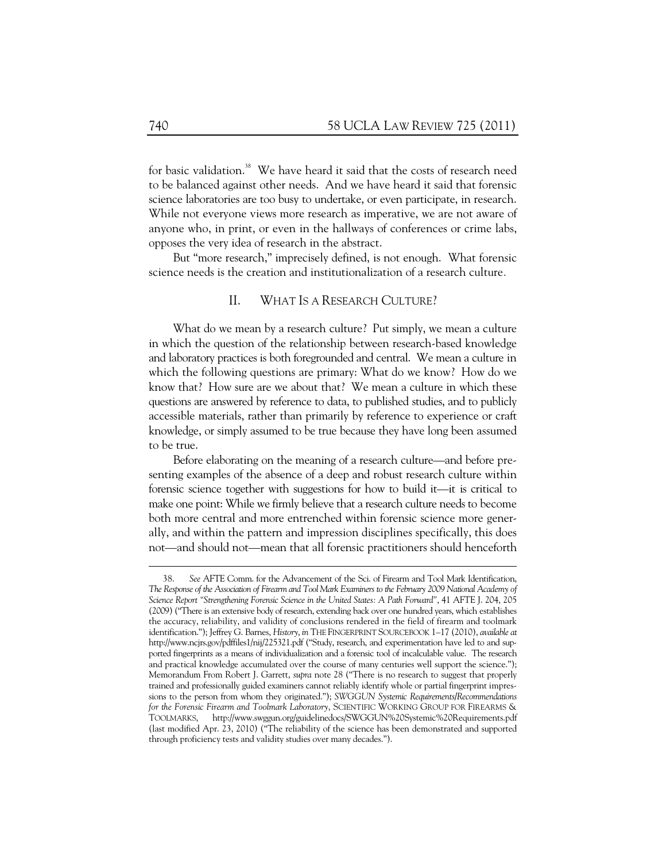for basic validation.<sup>38</sup> We have heard it said that the costs of research need to be balanced against other needs. And we have heard it said that forensic science laboratories are too busy to undertake, or even participate, in research. While not everyone views more research as imperative, we are not aware of anyone who, in print, or even in the hallways of conferences or crime labs, opposes the very idea of research in the abstract.

But "more research," imprecisely defined, is not enough. What forensic science needs is the creation and institutionalization of a research culture*.*

# II. WHAT IS A RESEARCH CULTURE?

What do we mean by a research culture? Put simply, we mean a culture in which the question of the relationship between research-based knowledge and laboratory practices is both foregrounded and central. We mean a culture in which the following questions are primary: What do we know? How do we know that? How sure are we about that? We mean a culture in which these questions are answered by reference to data, to published studies, and to publicly accessible materials, rather than primarily by reference to experience or craft knowledge, or simply assumed to be true because they have long been assumed to be true.

Before elaborating on the meaning of a research culture—and before presenting examples of the absence of a deep and robust research culture within forensic science together with suggestions for how to build it—it is critical to make one point: While we firmly believe that a research culture needs to become both more central and more entrenched within forensic science more generally, and within the pattern and impression disciplines specifically, this does not—and should not—mean that all forensic practitioners should henceforth

 <sup>38.</sup> *See* AFTE Comm. for the Advancement of the Sci. of Firearm and Tool Mark Identification, *The Response of the Association of Firearm and Tool Mark Examiners to the February 2009 National Academy of Science Report "Strengthening Forensic Science in the United States: A Path Forward"*, 41 AFTE J. 204, 205 (2009) ("There is an extensive body of research, extending back over one hundred years, which establishes the accuracy, reliability, and validity of conclusions rendered in the field of firearm and toolmark identification."); Jeffrey G. Barnes, *History*, *in* THE FINGERPRINT SOURCEBOOK 1–17 (2010), *available at* http://www.ncjrs.gov/pdffiles1/nij/225321.pdf ("Study, research, and experimentation have led to and supported fingerprints as a means of individualization and a forensic tool of incalculable value. The research and practical knowledge accumulated over the course of many centuries well support the science."); Memorandum From Robert J. Garrett, *supra* note 28 ("There is no research to suggest that properly trained and professionally guided examiners cannot reliably identify whole or partial fingerprint impressions to the person from whom they originated."); *SWGGUN Systemic Requirements/Recommendations for the Forensic Firearm and Toolmark Laboratory*, SCIENTIFIC WORKING GROUP FOR FIREARMS & TOOLMARKS, http://www.swggun.org/guidelinedocs/SWGGUN%20Systemic%20Requirements.pdf (last modified Apr. 23, 2010) ("The reliability of the science has been demonstrated and supported through proficiency tests and validity studies over many decades.").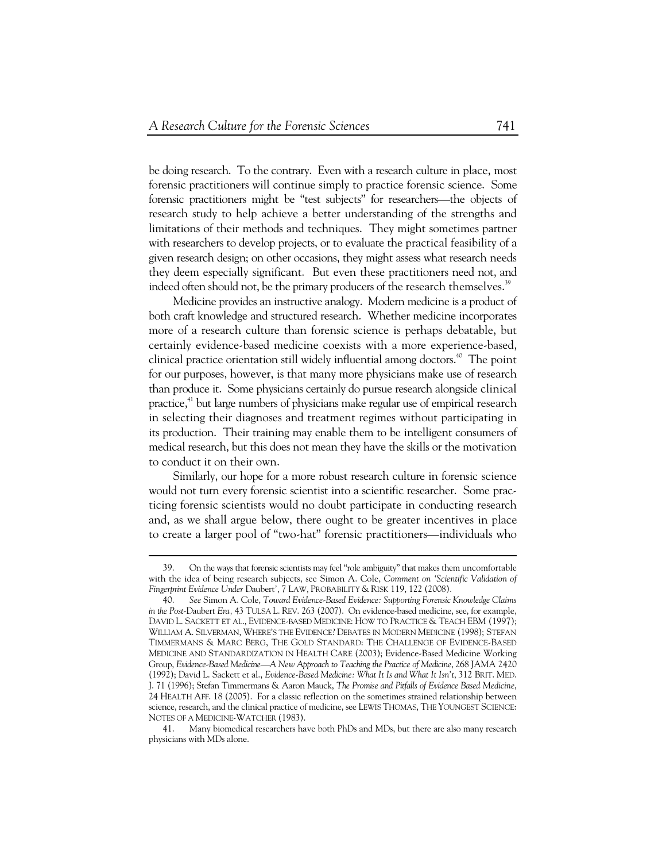be doing research. To the contrary. Even with a research culture in place, most forensic practitioners will continue simply to practice forensic science. Some forensic practitioners might be "test subjects" for researchers—the objects of research study to help achieve a better understanding of the strengths and limitations of their methods and techniques. They might sometimes partner with researchers to develop projects, or to evaluate the practical feasibility of a given research design; on other occasions, they might assess what research needs they deem especially significant. But even these practitioners need not, and indeed often should not, be the primary producers of the research themselves.<sup>39</sup>

Medicine provides an instructive analogy. Modern medicine is a product of both craft knowledge and structured research. Whether medicine incorporates more of a research culture than forensic science is perhaps debatable, but certainly evidence-based medicine coexists with a more experience-based, clinical practice orientation still widely influential among doctors.<sup>40</sup> The point for our purposes, however, is that many more physicians make use of research than produce it. Some physicians certainly do pursue research alongside clinical practice,41 but large numbers of physicians make regular use of empirical research in selecting their diagnoses and treatment regimes without participating in its production. Their training may enable them to be intelligent consumers of medical research, but this does not mean they have the skills or the motivation to conduct it on their own.

Similarly, our hope for a more robust research culture in forensic science would not turn every forensic scientist into a scientific researcher. Some practicing forensic scientists would no doubt participate in conducting research and, as we shall argue below, there ought to be greater incentives in place to create a larger pool of "two-hat" forensic practitioners—individuals who

 <sup>39.</sup> On the ways that forensic scientists may feel "role ambiguity" that makes them uncomfortable with the idea of being research subjects, see Simon A. Cole, *Comment on 'Scientific Validation of Fingerprint Evidence Under* Daubert*'*, 7 LAW, PROBABILITY & RISK 119, 122 (2008).

 <sup>40.</sup> *See* Simon A. Cole, *Toward Evidence-Based Evidence: Supporting Forensic Knowledge Claims in the Post-*Daubert *Era,* 43 TULSA L. REV. 263 (2007). On evidence-based medicine, see, for example, DAVID L. SACKETT ET AL., EVIDENCE-BASED MEDICINE: HOW TO PRACTICE & TEACH EBM (1997); WILLIAM A. SILVERMAN, WHERE'S THE EVIDENCE? DEBATES IN MODERN MEDICINE (1998); STEFAN TIMMERMANS & MARC BERG, THE GOLD STANDARD: THE CHALLENGE OF EVIDENCE-BASED MEDICINE AND STANDARDIZATION IN HEALTH CARE (2003); Evidence-Based Medicine Working Group, *Evidence-Based Medicine—A New Approach to Teaching the Practice of Medicine*, 268 JAMA 2420 (1992); David L. Sackett et al., *Evidence-Based Medicine: What It Is and What It Isn't*, 312 BRIT. MED. J. 71 (1996); Stefan Timmermans & Aaron Mauck, *The Promise and Pitfalls of Evidence Based Medicine*, 24 HEALTH AFF. 18 (2005). For a classic reflection on the sometimes strained relationship between science, research, and the clinical practice of medicine, see LEWIS THOMAS, THE YOUNGEST SCIENCE: NOTES OF A MEDICINE-WATCHER (1983).

 <sup>41.</sup> Many biomedical researchers have both PhDs and MDs, but there are also many research physicians with MDs alone.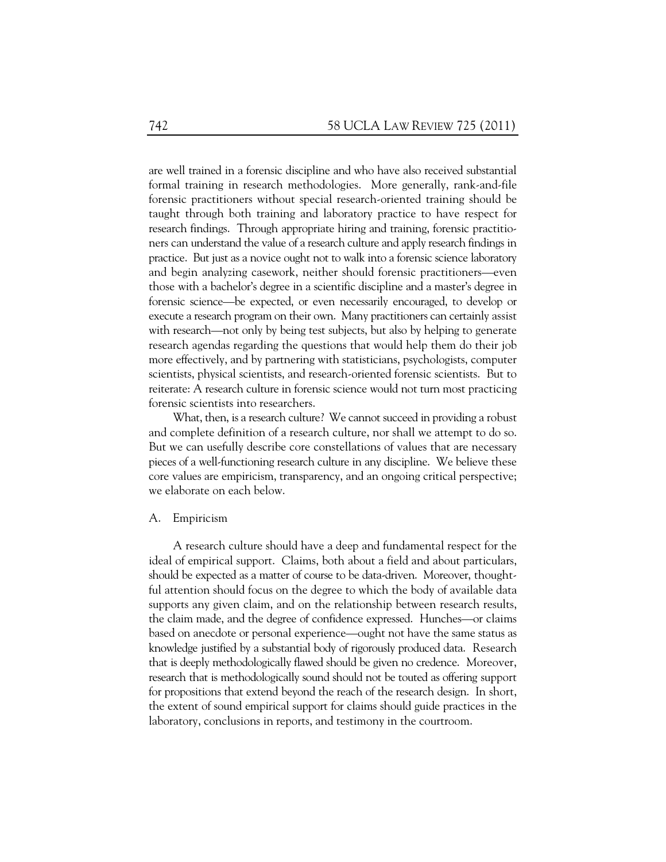are well trained in a forensic discipline and who have also received substantial formal training in research methodologies. More generally, rank-and-file forensic practitioners without special research-oriented training should be taught through both training and laboratory practice to have respect for research findings. Through appropriate hiring and training, forensic practitioners can understand the value of a research culture and apply research findings in practice. But just as a novice ought not to walk into a forensic science laboratory and begin analyzing casework, neither should forensic practitioners—even those with a bachelor's degree in a scientific discipline and a master's degree in forensic science—be expected, or even necessarily encouraged, to develop or execute a research program on their own. Many practitioners can certainly assist with research—not only by being test subjects, but also by helping to generate research agendas regarding the questions that would help them do their job more effectively, and by partnering with statisticians, psychologists, computer scientists, physical scientists, and research-oriented forensic scientists. But to reiterate: A research culture in forensic science would not turn most practicing forensic scientists into researchers.

What, then, is a research culture? We cannot succeed in providing a robust and complete definition of a research culture, nor shall we attempt to do so. But we can usefully describe core constellations of values that are necessary pieces of a well-functioning research culture in any discipline. We believe these core values are empiricism, transparency, and an ongoing critical perspective; we elaborate on each below.

#### A. Empiricism

A research culture should have a deep and fundamental respect for the ideal of empirical support. Claims, both about a field and about particulars, should be expected as a matter of course to be data-driven. Moreover, thoughtful attention should focus on the degree to which the body of available data supports any given claim, and on the relationship between research results, the claim made, and the degree of confidence expressed. Hunches—or claims based on anecdote or personal experience—ought not have the same status as knowledge justified by a substantial body of rigorously produced data. Research that is deeply methodologically flawed should be given no credence. Moreover, research that is methodologically sound should not be touted as offering support for propositions that extend beyond the reach of the research design. In short, the extent of sound empirical support for claims should guide practices in the laboratory, conclusions in reports, and testimony in the courtroom.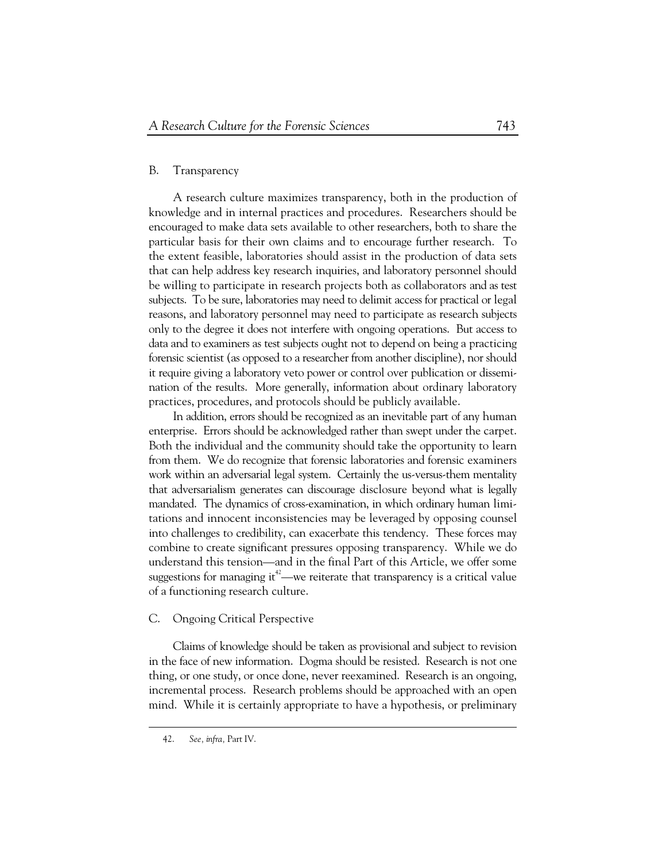### B. Transparency

A research culture maximizes transparency, both in the production of knowledge and in internal practices and procedures. Researchers should be encouraged to make data sets available to other researchers, both to share the particular basis for their own claims and to encourage further research. To the extent feasible, laboratories should assist in the production of data sets that can help address key research inquiries, and laboratory personnel should be willing to participate in research projects both as collaborators and as test subjects. To be sure, laboratories may need to delimit access for practical or legal reasons, and laboratory personnel may need to participate as research subjects only to the degree it does not interfere with ongoing operations. But access to data and to examiners as test subjects ought not to depend on being a practicing forensic scientist (as opposed to a researcher from another discipline), nor should it require giving a laboratory veto power or control over publication or dissemination of the results. More generally, information about ordinary laboratory practices, procedures, and protocols should be publicly available.

In addition, errors should be recognized as an inevitable part of any human enterprise. Errors should be acknowledged rather than swept under the carpet. Both the individual and the community should take the opportunity to learn from them. We do recognize that forensic laboratories and forensic examiners work within an adversarial legal system. Certainly the us-versus-them mentality that adversarialism generates can discourage disclosure beyond what is legally mandated. The dynamics of cross-examination, in which ordinary human limitations and innocent inconsistencies may be leveraged by opposing counsel into challenges to credibility, can exacerbate this tendency. These forces may combine to create significant pressures opposing transparency. While we do understand this tension—and in the final Part of this Article, we offer some suggestions for managing it<sup>42</sup>—we reiterate that transparency is a critical value of a functioning research culture.

### C. Ongoing Critical Perspective

Claims of knowledge should be taken as provisional and subject to revision in the face of new information. Dogma should be resisted. Research is not one thing, or one study, or once done, never reexamined. Research is an ongoing, incremental process. Research problems should be approached with an open mind. While it is certainly appropriate to have a hypothesis, or preliminary

 <sup>42.</sup> *See, infra,* Part IV.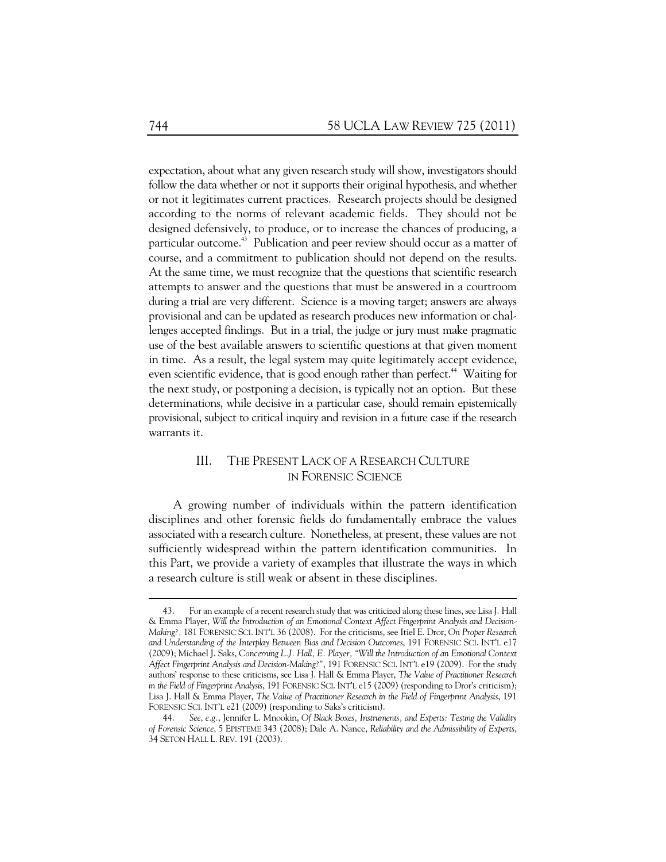expectation, about what any given research study will show, investigators should follow the data whether or not it supports their original hypothesis, and whether or not it legitimates current practices. Research projects should be designed according to the norms of relevant academic fields. They should not be designed defensively, to produce, or to increase the chances of producing, a particular outcome.<sup>43</sup> Publication and peer review should occur as a matter of course, and a commitment to publication should not depend on the results. At the same time, we must recognize that the questions that scientific research attempts to answer and the questions that must be answered in a courtroom during a trial are very different. Science is a moving target; answers are always provisional and can be updated as research produces new information or challenges accepted findings. But in a trial, the judge or jury must make pragmatic use of the best available answers to scientific questions at that given moment in time. As a result, the legal system may quite legitimately accept evidence, even scientific evidence, that is good enough rather than perfect.<sup>44</sup> Waiting for the next study, or postponing a decision, is typically not an option. But these determinations, while decisive in a particular case, should remain epistemically provisional, subject to critical inquiry and revision in a future case if the research warrants it.

# III. THE PRESENT LACK OF A RESEARCH CULTURE IN FORENSIC SCIENCE

A growing number of individuals within the pattern identification disciplines and other forensic fields do fundamentally embrace the values associated with a research culture. Nonetheless, at present, these values are not sufficiently widespread within the pattern identification communities. In this Part, we provide a variety of examples that illustrate the ways in which a research culture is still weak or absent in these disciplines.

 <sup>43.</sup> For an example of a recent research study that was criticized along these lines, see Lisa J. Hall & Emma Player, *Will the Introduction of an Emotional Context Affect Fingerprint Analysis and Decision-Making?,* 181 FORENSIC SCI. INT'L 36 (2008). For the criticisms, see Itiel E. Dror, *On Proper Research and Understanding of the Interplay Between Bias and Decision Outcomes*, 191 FORENSIC SCI. INT'L e17 (2009); Michael J. Saks, *Concerning L.J. Hall, E. Player, "Will the Introduction of an Emotional Context Affect Fingerprint Analysis and Decision-Making?"*, 191 FORENSIC SCI. INT'L e19 (2009). For the study authors' response to these criticisms, see Lisa J. Hall & Emma Player, *The Value of Practitioner Research in the Field of Fingerprint Analysis*, 191 FORENSIC SCI. INT'L e15 (2009) (responding to Dror's criticism); Lisa J. Hall & Emma Player, *The Value of Practitioner Research in the Field of Fingerprint Analysis*, 191 FORENSIC SCI. INT'L e21 (2009) (responding to Saks's criticism).

 <sup>44.</sup> *See*, *e.g.*, Jennifer L. Mnookin, *Of Black Boxes, Instruments, and Experts: Testing the Validity of Forensic Science*, 5 EPISTEME 343 (2008); Dale A. Nance, *Reliability and the Admissibility of Experts*, 34 SETON HALL L. REV. 191 (2003).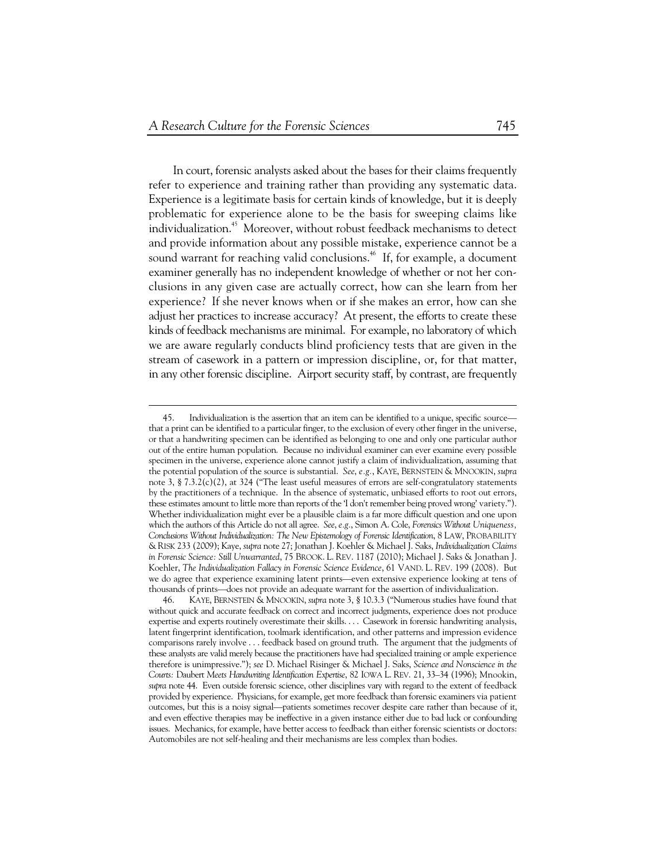-

In court, forensic analysts asked about the bases for their claims frequently refer to experience and training rather than providing any systematic data. Experience is a legitimate basis for certain kinds of knowledge, but it is deeply problematic for experience alone to be the basis for sweeping claims like individualization.<sup>45</sup> Moreover, without robust feedback mechanisms to detect and provide information about any possible mistake, experience cannot be a sound warrant for reaching valid conclusions.<sup>46</sup> If, for example, a document examiner generally has no independent knowledge of whether or not her conclusions in any given case are actually correct, how can she learn from her experience? If she never knows when or if she makes an error, how can she adjust her practices to increase accuracy? At present, the efforts to create these kinds of feedback mechanisms are minimal. For example, no laboratory of which we are aware regularly conducts blind proficiency tests that are given in the stream of casework in a pattern or impression discipline, or, for that matter, in any other forensic discipline. Airport security staff, by contrast, are frequently

 <sup>45.</sup> Individualization is the assertion that an item can be identified to a unique, specific source that a print can be identified to a particular finger, to the exclusion of every other finger in the universe, or that a handwriting specimen can be identified as belonging to one and only one particular author out of the entire human population. Because no individual examiner can ever examine every possible specimen in the universe, experience alone cannot justify a claim of individualization, assuming that the potential population of the source is substantial. *See*, *e.g.*, KAYE, BERNSTEIN & MNOOKIN, *supra* note 3, § 7.3.2(c)(2), at 324 ("The least useful measures of errors are self-congratulatory statements by the practitioners of a technique. In the absence of systematic, unbiased efforts to root out errors, these estimates amount to little more than reports of the 'I don't remember being proved wrong' variety."). Whether individualization might ever be a plausible claim is a far more difficult question and one upon which the authors of this Article do not all agree. *See*, *e.g.*, Simon A. Cole, *Forensics Without Uniqueness, Conclusions Without Individualization: The New Epistemology of Forensic Identification*, 8 LAW, PROBABILITY & RISK 233 (2009); Kaye, *supra* note 27; Jonathan J. Koehler & Michael J. Saks, *Individualization Claims in Forensic Science: Still Unwarranted*, 75 BROOK. L. REV. 1187 (2010); Michael J. Saks & Jonathan J. Koehler, *The Individualization Fallacy in Forensic Science Evidence*, 61 VAND. L. REV. 199 (2008). But we do agree that experience examining latent prints—even extensive experience looking at tens of thousands of prints—does not provide an adequate warrant for the assertion of individualization.

 <sup>46.</sup> KAYE, BERNSTEIN & MNOOKIN, *supra* note 3, § 10.3.3 ("Numerous studies have found that without quick and accurate feedback on correct and incorrect judgments, experience does not produce expertise and experts routinely overestimate their skills. . . . Casework in forensic handwriting analysis, latent fingerprint identification, toolmark identification, and other patterns and impression evidence comparisons rarely involve . . . feedback based on ground truth. The argument that the judgments of these analysts are valid merely because the practitioners have had specialized training or ample experience therefore is unimpressive."); *see* D. Michael Risinger & Michael J. Saks, *Science and Nonscience in the Courts:* Daubert *Meets Handwriting Identification Expertise*, 82 IOWA L. REV. 21, 33–34 (1996); Mnookin, *supra* note 44. Even outside forensic science, other disciplines vary with regard to the extent of feedback provided by experience. Physicians, for example, get more feedback than forensic examiners via patient outcomes, but this is a noisy signal—patients sometimes recover despite care rather than because of it, and even effective therapies may be ineffective in a given instance either due to bad luck or confounding issues. Mechanics, for example, have better access to feedback than either forensic scientists or doctors: Automobiles are not self-healing and their mechanisms are less complex than bodies.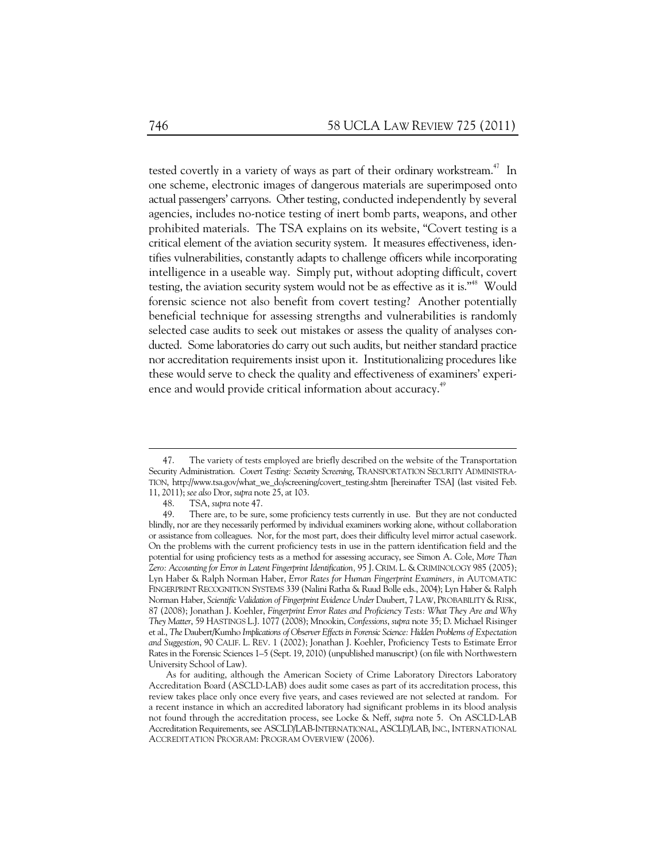tested covertly in a variety of ways as part of their ordinary workstream.<sup>47</sup> In one scheme, electronic images of dangerous materials are superimposed onto actual passengers' carryons. Other testing, conducted independently by several agencies, includes no-notice testing of inert bomb parts, weapons, and other prohibited materials. The TSA explains on its website, "Covert testing is a critical element of the aviation security system. It measures effectiveness, identifies vulnerabilities, constantly adapts to challenge officers while incorporating intelligence in a useable way. Simply put, without adopting difficult, covert testing, the aviation security system would not be as effective as it is."<sup>48</sup> Would forensic science not also benefit from covert testing? Another potentially beneficial technique for assessing strengths and vulnerabilities is randomly selected case audits to seek out mistakes or assess the quality of analyses conducted. Some laboratories do carry out such audits, but neither standard practice nor accreditation requirements insist upon it. Institutionalizing procedures like these would serve to check the quality and effectiveness of examiners' experience and would provide critical information about accuracy.<sup>49</sup>

 <sup>47.</sup> The variety of tests employed are briefly described on the website of the Transportation Security Administration. *Covert Testing: Security Screening*, TRANSPORTATION SECURITY ADMINISTRA-TION, http://www.tsa.gov/what\_we\_do/screening/covert\_testing.shtm [hereinafter TSA] (last visited Feb. 11, 2011); *see also* Dror, *supra* note 25, at 103.

 <sup>48.</sup> TSA, *supra* note 47.

 <sup>49.</sup> There are, to be sure, some proficiency tests currently in use. But they are not conducted blindly, nor are they necessarily performed by individual examiners working alone, without collaboration or assistance from colleagues. Nor, for the most part, does their difficulty level mirror actual casework. On the problems with the current proficiency tests in use in the pattern identification field and the potential for using proficiency tests as a method for assessing accuracy, see Simon A. Cole, *More Than Zero: Accounting for Error in Latent Fingerprint Identification,* 95 J. CRIM. L. & CRIMINOLOGY 985 (2005); Lyn Haber & Ralph Norman Haber, *Error Rates for Human Fingerprint Examiners, in* AUTOMATIC FINGERPRINT RECOGNITION SYSTEMS 339 (Nalini Ratha & Ruud Bolle eds., 2004); Lyn Haber & Ralph Norman Haber, *Scientific Validation of Fingerprint Evidence Under* Daubert, 7 LAW, PROBABILITY & RISK, 87 (2008); Jonathan J. Koehler, *Fingerprint Error Rates and Proficiency Tests: What They Are and Why They Matter*, 59 HASTINGS L.J. 1077 (2008); Mnookin, *Confessions*, *supra* note 35; D. Michael Risinger et al., *The* Daubert/Kumho *Implications of Observer Effects in Forensic Science: Hidden Problems of Expectation and Suggestion*, 90 CALIF. L. REV. 1 (2002); Jonathan J. Koehler, Proficiency Tests to Estimate Error Rates in the Forensic Sciences 1–5 (Sept. 19, 2010) (unpublished manuscript) (on file with Northwestern University School of Law).

As for auditing, although the American Society of Crime Laboratory Directors Laboratory Accreditation Board (ASCLD-LAB) does audit some cases as part of its accreditation process, this review takes place only once every five years, and cases reviewed are not selected at random. For a recent instance in which an accredited laboratory had significant problems in its blood analysis not found through the accreditation process, see Locke & Neff, *supra* note 5. On ASCLD-LAB Accreditation Requirements, see ASCLD/LAB-INTERNATIONAL, ASCLD/LAB, INC., INTERNATIONAL ACCREDITATION PROGRAM: PROGRAM OVERVIEW (2006).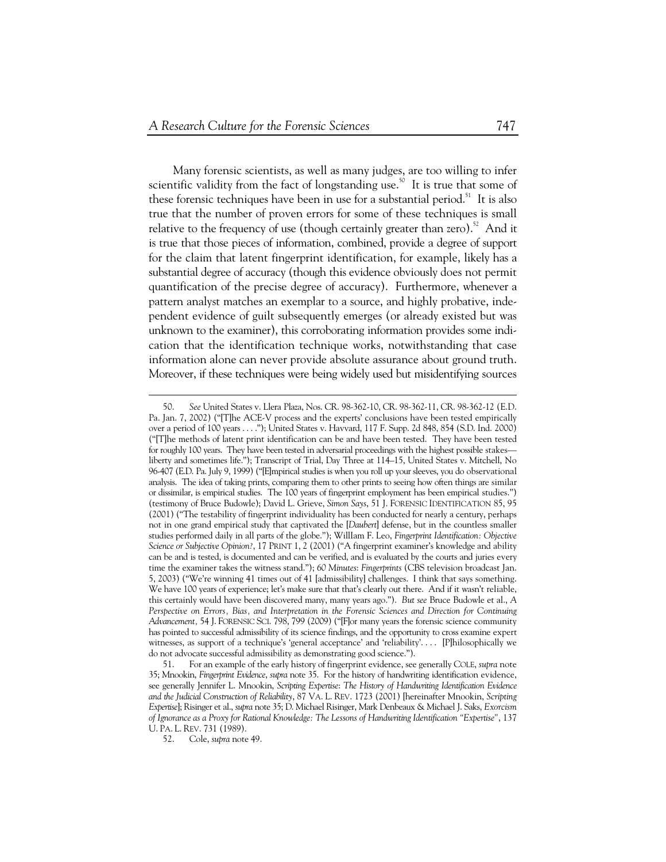Many forensic scientists, as well as many judges, are too willing to infer scientific validity from the fact of longstanding use.<sup>50</sup> It is true that some of these forensic techniques have been in use for a substantial period.<sup>51</sup> It is also true that the number of proven errors for some of these techniques is small relative to the frequency of use (though certainly greater than zero).<sup>52</sup> And it is true that those pieces of information, combined, provide a degree of support for the claim that latent fingerprint identification, for example, likely has a substantial degree of accuracy (though this evidence obviously does not permit quantification of the precise degree of accuracy). Furthermore, whenever a pattern analyst matches an exemplar to a source, and highly probative, independent evidence of guilt subsequently emerges (or already existed but was unknown to the examiner), this corroborating information provides some indication that the identification technique works, notwithstanding that case information alone can never provide absolute assurance about ground truth. Moreover, if these techniques were being widely used but misidentifying sources

 <sup>50.</sup> *See* United States v. Llera Plaza, Nos. CR. 98-362-10, CR. 98-362-11, CR. 98-362-12 (E.D. Pa. Jan. 7, 2002) ("[T]he ACE-V process and the experts' conclusions have been tested empirically over a period of 100 years . . . ."); United States v. Havvard, 117 F. Supp. 2d 848, 854 (S.D. Ind. 2000) ("[T]he methods of latent print identification can be and have been tested. They have been tested for roughly 100 years. They have been tested in adversarial proceedings with the highest possible stakes liberty and sometimes life."); Transcript of Trial, Day Three at 114–15, United States v. Mitchell, No 96-407 (E.D. Pa. July 9, 1999) ("[E]mpirical studies is when you roll up your sleeves, you do observational analysis. The idea of taking prints, comparing them to other prints to seeing how often things are similar or dissimilar, is empirical studies. The 100 years of fingerprint employment has been empirical studies.") (testimony of Bruce Budowle); David L. Grieve, *Simon Says*, 51 J. FORENSIC IDENTIFICATION 85, 95 (2001) ("The testability of fingerprint individuality has been conducted for nearly a century, perhaps not in one grand empirical study that captivated the [*Daubert*] defense, but in the countless smaller studies performed daily in all parts of the globe."); WillIam F. Leo, *Fingerprint Identification: Objective Science or Subjective Opinion?*, 17 PRINT 1, 2 (2001) ("A fingerprint examiner's knowledge and ability can be and is tested, is documented and can be verified, and is evaluated by the courts and juries every time the examiner takes the witness stand."); *60 Minutes*: *Fingerprints* (CBS television broadcast Jan. 5, 2003) ("We're winning 41 times out of 41 [admissibility] challenges. I think that says something. We have 100 years of experience; let's make sure that that's clearly out there. And if it wasn't reliable, this certainly would have been discovered many, many years ago."). *But see* Bruce Budowle et al., *A Perspective on Errors, Bias, and Interpretation in the Forensic Sciences and Direction for Continuing Advancement,* 54 J. FORENSIC SCI. 798, 799 (2009) ("[F]or many years the forensic science community has pointed to successful admissibility of its science findings, and the opportunity to cross examine expert witnesses, as support of a technique's 'general acceptance' and 'reliability'. . . . [P]hilosophically we do not advocate successful admissibility as demonstrating good science.").

 <sup>51.</sup> For an example of the early history of fingerprint evidence, see generally COLE, *supra* note 35; Mnookin, *Fingerprint Evidence*, *supra* note 35. For the history of handwriting identification evidence, see generally Jennifer L. Mnookin, *Scripting Expertise*: *The History of Handwriting Identification Evidence and the Judicial Construction of Reliability*, 87 VA. L. REV. 1723 (2001) [hereinafter Mnookin, *Scripting Expertise*]; Risinger et al., *supra* note 35; D. Michael Risinger, Mark Denbeaux & Michael J. Saks, *Exorcism of Ignorance as a Proxy for Rational Knowledge: The Lessons of Handwriting Identification "Expertise"*, 137 U. PA. L. REV. 731 (1989).

 <sup>52.</sup> Cole, *supra* note 49.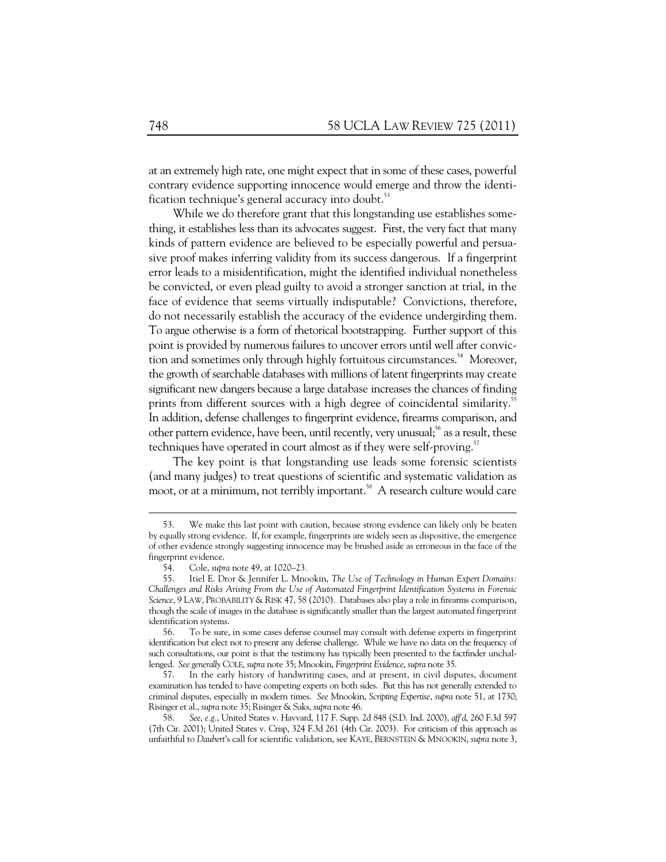at an extremely high rate, one might expect that in some of these cases, powerful contrary evidence supporting innocence would emerge and throw the identification technique's general accuracy into doubt.<sup>53</sup>

While we do therefore grant that this longstanding use establishes something, it establishes less than its advocates suggest. First, the very fact that many kinds of pattern evidence are believed to be especially powerful and persuasive proof makes inferring validity from its success dangerous. If a fingerprint error leads to a misidentification, might the identified individual nonetheless be convicted, or even plead guilty to avoid a stronger sanction at trial, in the face of evidence that seems virtually indisputable? Convictions, therefore, do not necessarily establish the accuracy of the evidence undergirding them. To argue otherwise is a form of rhetorical bootstrapping. Further support of this point is provided by numerous failures to uncover errors until well after conviction and sometimes only through highly fortuitous circumstances.<sup>54</sup> Moreover, the growth of searchable databases with millions of latent fingerprints may create significant new dangers because a large database increases the chances of finding prints from different sources with a high degree of coincidental similarity.<sup>55</sup> In addition, defense challenges to fingerprint evidence, firearms comparison, and other pattern evidence, have been, until recently, very unusual;<sup>56</sup> as a result, these techniques have operated in court almost as if they were self-proving.<sup>57</sup>

The key point is that longstanding use leads some forensic scientists (and many judges) to treat questions of scientific and systematic validation as moot, or at a minimum, not terribly important.<sup>58</sup> A research culture would care

 <sup>53.</sup> We make this last point with caution, because strong evidence can likely only be beaten by equally strong evidence. If, for example, fingerprints are widely seen as dispositive, the emergence of other evidence strongly suggesting innocence may be brushed aside as erroneous in the face of the fingerprint evidence.

 <sup>54.</sup> Cole, *supra* note 49, at 1020–23*.*

 <sup>55.</sup> Itiel E. Dror & Jennifer L. Mnookin, *The Use of Technology in Human Expert Domains: Challenges and Risks Arising From the Use of Automated Fingerprint Identification Systems in Forensic Science*, 9 LAW, PROBABILITY & RISK 47, 58 (2010). Databases also play a role in firearms comparison, though the scale of images in the database is significantly smaller than the largest automated fingerprint identification systems.

 <sup>56.</sup> To be sure, in some cases defense counsel may consult with defense experts in fingerprint identification but elect not to present any defense challenge. While we have no data on the frequency of such consultations, our point is that the testimony has typically been presented to the factfinder unchallenged. *See generally* COLE, *supra* note 35; Mnookin, *Fingerprint Evidence*, *supra* note 35.

 <sup>57.</sup> In the early history of handwriting cases, and at present, in civil disputes, document examination has tended to have competing experts on both sides. But this has not generally extended to criminal disputes, especially in modern times. *See* Mnookin, *Scripting Expertise*, *supra* note 51, at 1730; Risinger et al., *supra* note 35; Risinger & Saks, *supra* note 46.

 <sup>58.</sup> *See*, *e.g.*, United States v. Havvard, 117 F. Supp. 2d 848 (S.D. Ind. 2000), *aff'd*, 260 F.3d 597 (7th Cir. 2001); United States v. Crisp, 324 F.3d 261 (4th Cir. 2003). For criticism of this approach as unfaithful to *Daubert*'s call for scientific validation, see KAYE, BERNSTEIN & MNOOKIN, *supra* note 3,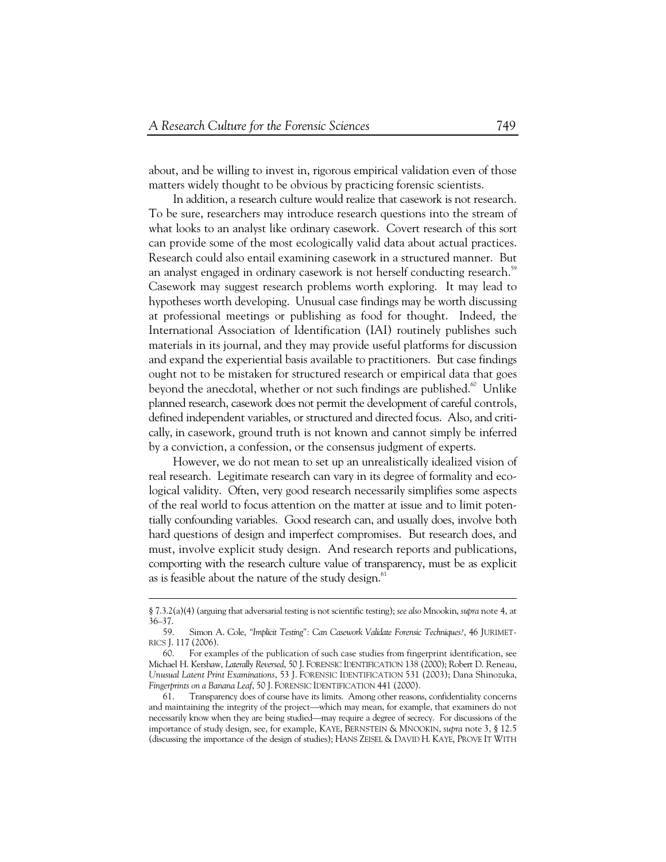about, and be willing to invest in, rigorous empirical validation even of those matters widely thought to be obvious by practicing forensic scientists.

In addition, a research culture would realize that casework is not research. To be sure, researchers may introduce research questions into the stream of what looks to an analyst like ordinary casework. Covert research of this sort can provide some of the most ecologically valid data about actual practices. Research could also entail examining casework in a structured manner. But an analyst engaged in ordinary casework is not herself conducting research.<sup>59</sup> Casework may suggest research problems worth exploring. It may lead to hypotheses worth developing. Unusual case findings may be worth discussing at professional meetings or publishing as food for thought. Indeed, the International Association of Identification (IAI) routinely publishes such materials in its journal, and they may provide useful platforms for discussion and expand the experiential basis available to practitioners. But case findings ought not to be mistaken for structured research or empirical data that goes beyond the anecdotal, whether or not such findings are published. $60$  Unlike planned research, casework does not permit the development of careful controls, defined independent variables, or structured and directed focus. Also, and critically, in casework, ground truth is not known and cannot simply be inferred by a conviction, a confession, or the consensus judgment of experts.

However, we do not mean to set up an unrealistically idealized vision of real research. Legitimate research can vary in its degree of formality and ecological validity. Often, very good research necessarily simplifies some aspects of the real world to focus attention on the matter at issue and to limit potentially confounding variables. Good research can, and usually does, involve both hard questions of design and imperfect compromises. But research does, and must, involve explicit study design.And research reports and publications, comporting with the research culture value of transparency, must be as explicit as is feasible about the nature of the study design. $61$ 

<sup>§ 7.3.2(</sup>a)(4) (arguing that adversarial testing is not scientific testing); *see also* Mnookin, *supra* note 4, at 36–37.

 <sup>59.</sup> Simon A. Cole, *"Implicit Testing": Can Casework Validate Forensic Techniques?*, 46 JURIMET-RICS J. 117 (2006).

 <sup>60.</sup> For examples of the publication of such case studies from fingerprint identification, see Michael H. Kershaw, *Laterally Reversed*, 50 J. FORENSIC IDENTIFICATION 138 (2000); Robert D. Reneau, *Unusual Latent Print Examinations*, 53 J. FORENSIC IDENTIFICATION 531 (2003); Dana Shinozuka, *Fingerprints on a Banana Leaf*, 50 J. FORENSIC IDENTIFICATION 441 (2000).

 <sup>61.</sup> Transparency does of course have its limits. Among other reasons, confidentiality concerns and maintaining the integrity of the project—which may mean, for example, that examiners do not necessarily know when they are being studied—may require a degree of secrecy. For discussions of the importance of study design, see, for example, KAYE, BERNSTEIN & MNOOKIN, *supra* note 3, § 12.5 (discussing the importance of the design of studies); HANS ZEISEL & DAVID H. KAYE, PROVE IT WITH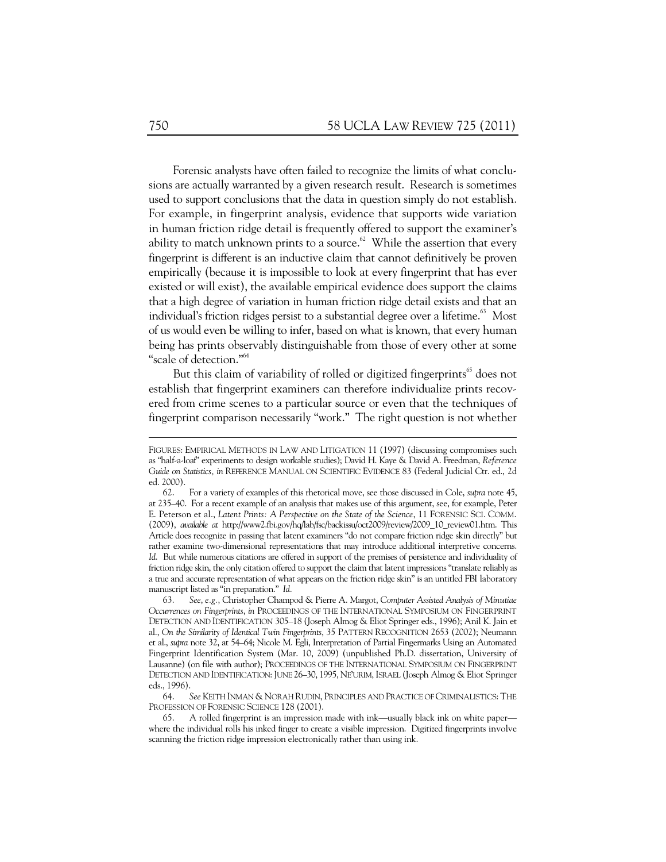Forensic analysts have often failed to recognize the limits of what conclusions are actually warranted by a given research result. Research is sometimes used to support conclusions that the data in question simply do not establish. For example, in fingerprint analysis, evidence that supports wide variation in human friction ridge detail is frequently offered to support the examiner's ability to match unknown prints to a source. $62$  While the assertion that every fingerprint is different is an inductive claim that cannot definitively be proven empirically (because it is impossible to look at every fingerprint that has ever existed or will exist), the available empirical evidence does support the claims that a high degree of variation in human friction ridge detail exists and that an individual's friction ridges persist to a substantial degree over a lifetime.<sup>63</sup> Most of us would even be willing to infer, based on what is known, that every human being has prints observably distinguishable from those of every other at some "scale of detection."<sup>64</sup>

But this claim of variability of rolled or digitized fingerprints<sup>65</sup> does not establish that fingerprint examiners can therefore individualize prints recovered from crime scenes to a particular source or even that the techniques of fingerprint comparison necessarily "work." The right question is not whether

FIGURES: EMPIRICAL METHODS IN LAW AND LITIGATION 11 (1997) (discussing compromises such as "half-a-loaf" experiments to design workable studies); David H. Kaye & David A. Freedman, *Reference Guide on Statistics, in* REFERENCE MANUAL ON SCIENTIFIC EVIDENCE 83 (Federal Judicial Ctr. ed., 2d ed. 2000).

 <sup>62.</sup> For a variety of examples of this rhetorical move, see those discussed in Cole, *supra* note 45, at 235–40. For a recent example of an analysis that makes use of this argument, see, for example, Peter E. Peterson et al., *Latent Prints: A Perspective on the State of the Science*, 11 FORENSIC SCI. COMM. (2009), *available at* http://www2.fbi.gov/hq/lab/fsc/backissu/oct2009/review/2009\_10\_review01.htm. This Article does recognize in passing that latent examiners "do not compare friction ridge skin directly" but rather examine two-dimensional representations that may introduce additional interpretive concerns. *Id*. But while numerous citations are offered in support of the premises of persistence and individuality of friction ridge skin, the only citation offered to support the claim that latent impressions "translate reliably as a true and accurate representation of what appears on the friction ridge skin" is an untitled FBI laboratory manuscript listed as "in preparation." *Id*.

 <sup>63.</sup> *See*, *e.g.*, Christopher Champod & Pierre A. Margot, *Computer Assisted Analysis of Minutiae Occurrences on Fingerprints*, *in* PROCEEDINGS OF THE INTERNATIONAL SYMPOSIUM ON FINGERPRINT DETECTION AND IDENTIFICATION 305–18 (Joseph Almog & Eliot Springer eds., 1996); Anil K. Jain et al., *On the Similarity of Identical Twin Fingerprints*, 35 PATTERN RECOGNITION 2653 (2002); Neumann et al., *supra* note 32, at 54–64; Nicole M. Egli, Interpretation of Partial Fingermarks Using an Automated Fingerprint Identification System (Mar. 10, 2009) (unpublished Ph.D. dissertation, University of Lausanne) (on file with author); PROCEEDINGS OF THE INTERNATIONAL SYMPOSIUM ON FINGERPRINT DETECTION AND IDENTIFICATION: JUNE 26–30, 1995, NE'URIM, ISRAEL (Joseph Almog & Eliot Springer eds., 1996).

 <sup>64.</sup> *See* KEITH INMAN & NORAH RUDIN, PRINCIPLES AND PRACTICE OF CRIMINALISTICS: THE PROFESSION OF FORENSIC SCIENCE 128 (2001).

 <sup>65.</sup> A rolled fingerprint is an impression made with ink—usually black ink on white paper where the individual rolls his inked finger to create a visible impression. Digitized fingerprints involve scanning the friction ridge impression electronically rather than using ink.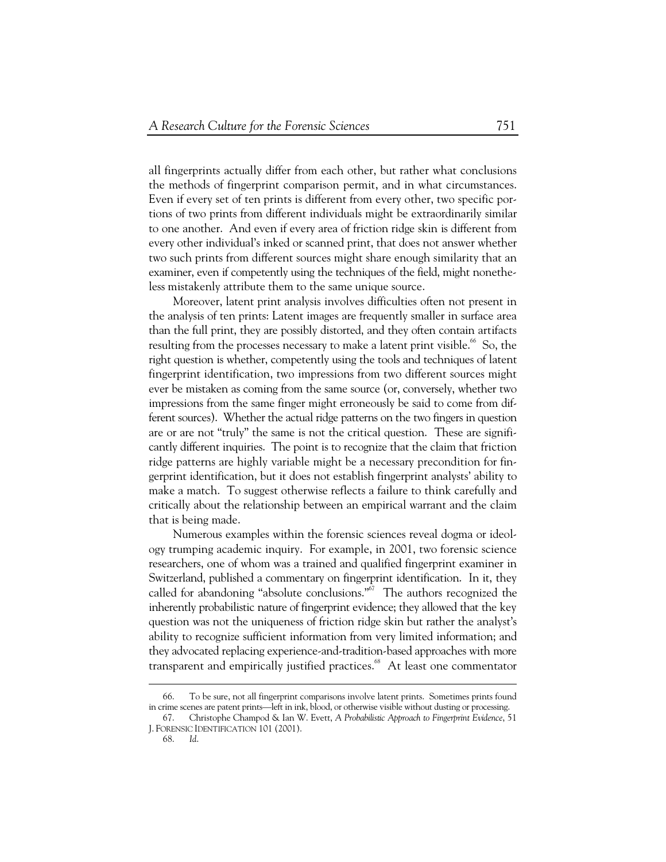all fingerprints actually differ from each other, but rather what conclusions the methods of fingerprint comparison permit, and in what circumstances. Even if every set of ten prints is different from every other, two specific portions of two prints from different individuals might be extraordinarily similar to one another. And even if every area of friction ridge skin is different from every other individual's inked or scanned print, that does not answer whether two such prints from different sources might share enough similarity that an examiner, even if competently using the techniques of the field, might nonetheless mistakenly attribute them to the same unique source.

Moreover, latent print analysis involves difficulties often not present in the analysis of ten prints: Latent images are frequently smaller in surface area than the full print, they are possibly distorted, and they often contain artifacts resulting from the processes necessary to make a latent print visible.<sup>66</sup> So, the right question is whether, competently using the tools and techniques of latent fingerprint identification, two impressions from two different sources might ever be mistaken as coming from the same source (or, conversely, whether two impressions from the same finger might erroneously be said to come from different sources). Whether the actual ridge patterns on the two fingers in question are or are not "truly" the same is not the critical question. These are significantly different inquiries. The point is to recognize that the claim that friction ridge patterns are highly variable might be a necessary precondition for fingerprint identification, but it does not establish fingerprint analysts' ability to make a match. To suggest otherwise reflects a failure to think carefully and critically about the relationship between an empirical warrant and the claim that is being made.

Numerous examples within the forensic sciences reveal dogma or ideology trumping academic inquiry. For example, in 2001, two forensic science researchers, one of whom was a trained and qualified fingerprint examiner in Switzerland, published a commentary on fingerprint identification. In it, they called for abandoning "absolute conclusions."<sup>67</sup> The authors recognized the inherently probabilistic nature of fingerprint evidence; they allowed that the key question was not the uniqueness of friction ridge skin but rather the analyst's ability to recognize sufficient information from very limited information; and they advocated replacing experience-and-tradition-based approaches with more transparent and empirically justified practices.<sup>68</sup> At least one commentator

 <sup>66.</sup> To be sure, not all fingerprint comparisons involve latent prints. Sometimes prints found in crime scenes are patent prints—left in ink, blood, or otherwise visible without dusting or processing.

 <sup>67.</sup> Christophe Champod & Ian W. Evett, *A Probabilistic Approach to Fingerprint Evidence*, 51 J. FORENSIC IDENTIFICATION 101 (2001).

 <sup>68.</sup> *Id*.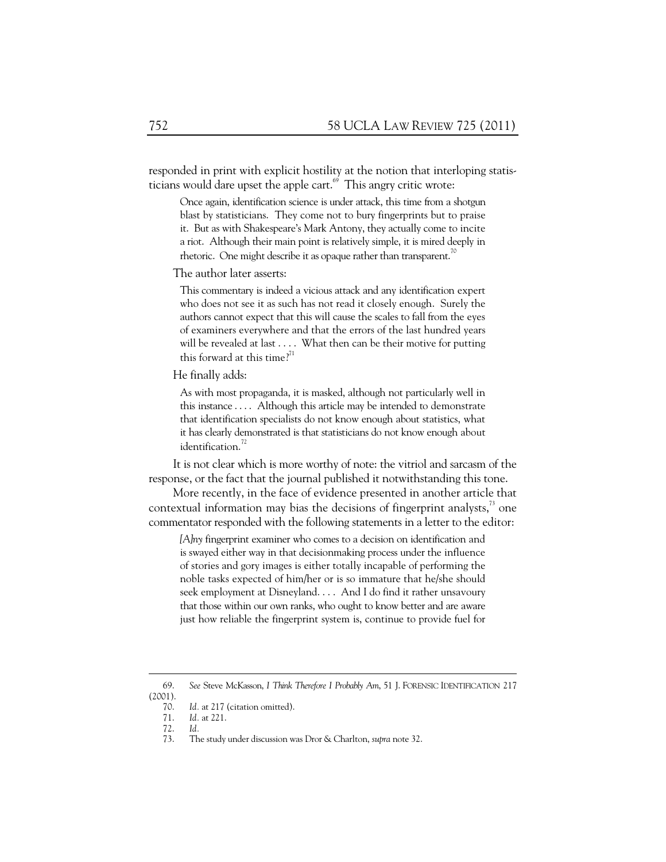responded in print with explicit hostility at the notion that interloping statisticians would dare upset the apple cart. $69$  This angry critic wrote:

Once again, identification science is under attack, this time from a shotgun blast by statisticians. They come not to bury fingerprints but to praise it. But as with Shakespeare's Mark Antony, they actually come to incite a riot. Although their main point is relatively simple, it is mired deeply in rhetoric. One might describe it as opaque rather than transparent.<sup>70</sup>

The author later asserts:

This commentary is indeed a vicious attack and any identification expert who does not see it as such has not read it closely enough. Surely the authors cannot expect that this will cause the scales to fall from the eyes of examiners everywhere and that the errors of the last hundred years will be revealed at last . . . . What then can be their motive for putting this forward at this time? $71$ 

He finally adds:

As with most propaganda, it is masked, although not particularly well in this instance . . . . Although this article may be intended to demonstrate that identification specialists do not know enough about statistics, what it has clearly demonstrated is that statisticians do not know enough about  $id$ entification.<sup>72</sup>

It is not clear which is more worthy of note: the vitriol and sarcasm of the response, or the fact that the journal published it notwithstanding this tone.

More recently, in the face of evidence presented in another article that contextual information may bias the decisions of fingerprint analysts, $^{73}$  one commentator responded with the following statements in a letter to the editor:

*[A]ny* fingerprint examiner who comes to a decision on identification and is swayed either way in that decisionmaking process under the influence of stories and gory images is either totally incapable of performing the noble tasks expected of him/her or is so immature that he/she should seek employment at Disneyland. . . . And I do find it rather unsavoury that those within our own ranks, who ought to know better and are aware just how reliable the fingerprint system is, continue to provide fuel for

(2001).

 <sup>69.</sup> *See* Steve McKasson, *I Think Therefore I Probably Am*, 51 J. FORENSIC IDENTIFICATION 217

 <sup>70.</sup> *Id.* at 217 (citation omitted). 71. *Id.* at 221.

 <sup>72.</sup> *Id.*

 <sup>73.</sup> The study under discussion was Dror & Charlton, *supra* note 32.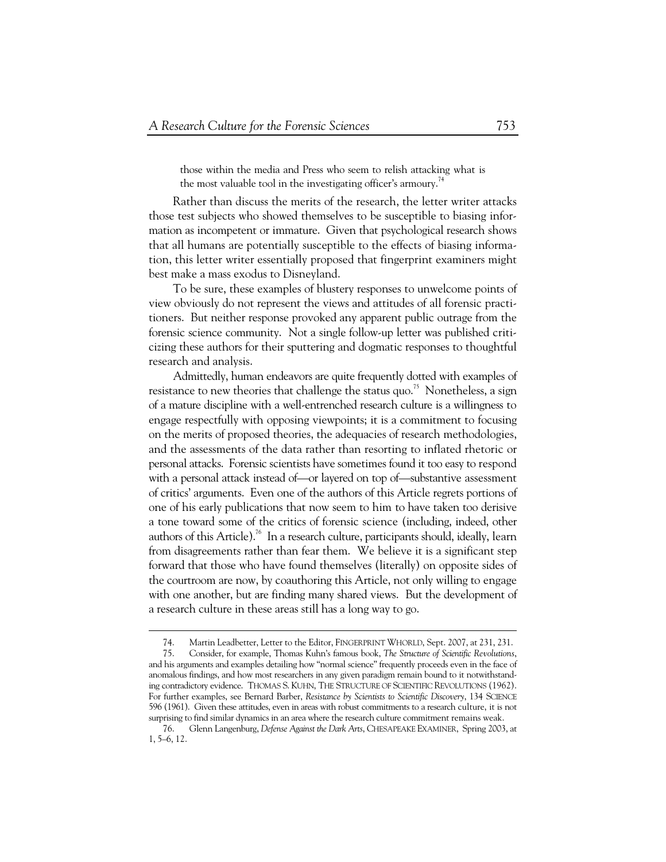those within the media and Press who seem to relish attacking what is the most valuable tool in the investigating officer's armoury.<sup>74</sup>

Rather than discuss the merits of the research, the letter writer attacks those test subjects who showed themselves to be susceptible to biasing information as incompetent or immature. Given that psychological research shows that all humans are potentially susceptible to the effects of biasing information, this letter writer essentially proposed that fingerprint examiners might best make a mass exodus to Disneyland.

To be sure, these examples of blustery responses to unwelcome points of view obviously do not represent the views and attitudes of all forensic practitioners. But neither response provoked any apparent public outrage from the forensic science community. Not a single follow-up letter was published criticizing these authors for their sputtering and dogmatic responses to thoughtful research and analysis.

Admittedly, human endeavors are quite frequently dotted with examples of resistance to new theories that challenge the status quo.<sup>75</sup> Nonetheless, a sign of a mature discipline with a well-entrenched research culture is a willingness to engage respectfully with opposing viewpoints; it is a commitment to focusing on the merits of proposed theories, the adequacies of research methodologies, and the assessments of the data rather than resorting to inflated rhetoric or personal attacks. Forensic scientists have sometimes found it too easy to respond with a personal attack instead of—or layered on top of—substantive assessment of critics' arguments. Even one of the authors of this Article regrets portions of one of his early publications that now seem to him to have taken too derisive a tone toward some of the critics of forensic science (including, indeed, other authors of this Article).<sup>76</sup> In a research culture, participants should, ideally, learn from disagreements rather than fear them. We believe it is a significant step forward that those who have found themselves (literally) on opposite sides of the courtroom are now, by coauthoring this Article, not only willing to engage with one another, but are finding many shared views. But the development of a research culture in these areas still has a long way to go.

 <sup>74.</sup> Martin Leadbetter, Letter to the Editor, FINGERPRINT WHORLD, Sept. 2007, at 231, 231. 75. Consider, for example, Thomas Kuhn's famous book, *The Structure of Scientific Revolutions*, and his arguments and examples detailing how "normal science" frequently proceeds even in the face of anomalous findings, and how most researchers in any given paradigm remain bound to it notwithstanding contradictory evidence. THOMAS S. KUHN, THE STRUCTURE OF SCIENTIFIC REVOLUTIONS (1962). For further examples, see Bernard Barber, *Resistance by Scientists to Scientific Discovery*, 134 SCIENCE 596 (1961). Given these attitudes, even in areas with robust commitments to a research culture, it is not surprising to find similar dynamics in an area where the research culture commitment remains weak.

 <sup>76.</sup> Glenn Langenburg, *Defense Against the Dark Arts*, CHESAPEAKE EXAMINER, Spring 2003, at 1, 5–6, 12.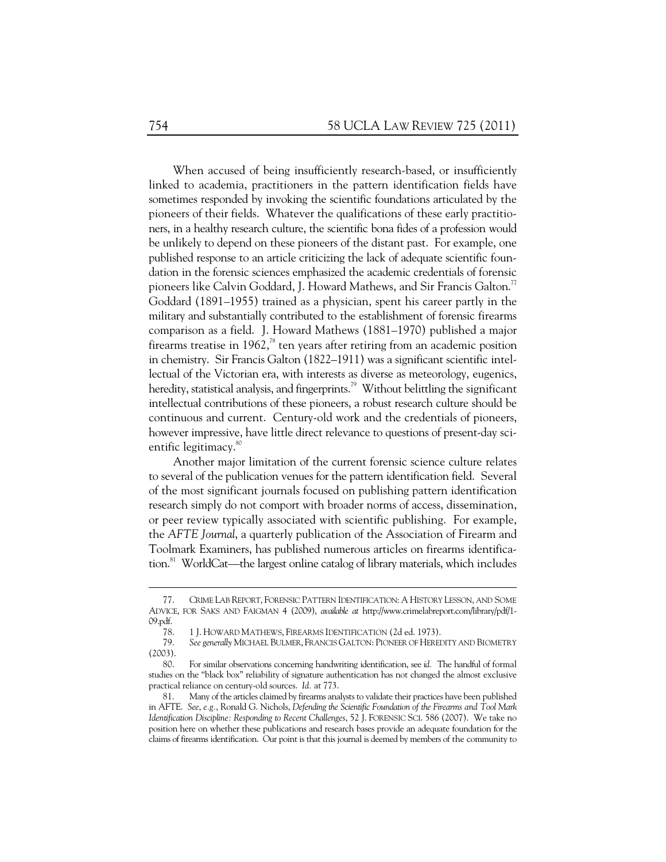When accused of being insufficiently research-based, or insufficiently linked to academia, practitioners in the pattern identification fields have sometimes responded by invoking the scientific foundations articulated by the pioneers of their fields. Whatever the qualifications of these early practitioners, in a healthy research culture, the scientific bona fides of a profession would be unlikely to depend on these pioneers of the distant past. For example, one published response to an article criticizing the lack of adequate scientific foundation in the forensic sciences emphasized the academic credentials of forensic pioneers like Calvin Goddard, J. Howard Mathews, and Sir Francis Galton.<sup>77</sup> Goddard (1891–1955) trained as a physician, spent his career partly in the military and substantially contributed to the establishment of forensic firearms comparison as a field. J. Howard Mathews (1881–1970) published a major firearms treatise in 1962,<sup>78</sup> ten years after retiring from an academic position in chemistry. Sir Francis Galton (1822*–*1911) was a significant scientific intellectual of the Victorian era, with interests as diverse as meteorology, eugenics, heredity, statistical analysis, and fingerprints.<sup>79</sup> Without belittling the significant intellectual contributions of these pioneers, a robust research culture should be continuous and current. Century-old work and the credentials of pioneers, however impressive, have little direct relevance to questions of present-day scientific legitimacy.<sup>80</sup>

Another major limitation of the current forensic science culture relates to several of the publication venues for the pattern identification field. Several of the most significant journals focused on publishing pattern identification research simply do not comport with broader norms of access, dissemination, or peer review typically associated with scientific publishing. For example, the *AFTE Journal*, a quarterly publication of the Association of Firearm and Toolmark Examiners, has published numerous articles on firearms identification.<sup>81</sup> WorldCat—the largest online catalog of library materials, which includes

 <sup>77.</sup> CRIME LAB REPORT, FORENSIC PATTERN IDENTIFICATION: A HISTORY LESSON, AND SOME ADVICE, FOR SAKS AND FAIGMAN 4 (2009), *available at* http://www.crimelabreport.com/library/pdf/1- 09.pdf.

<sup>78. 1</sup> J. HOWARD MATHEWS, FIREARMS IDENTIFICATION (2d ed. 1973).<br>79. See generally MICHAEL BULMER, FRANCIS GALTON: PIONEER OF HEREI

 <sup>79.</sup> *See generally* MICHAEL BULMER, FRANCIS GALTON: PIONEER OF HEREDITY AND BIOMETRY (2003).

 <sup>80.</sup> For similar observations concerning handwriting identification, see *id.* The handful of formal studies on the "black box" reliability of signature authentication has not changed the almost exclusive practical reliance on century-old sources. *Id.* at 773.

 <sup>81.</sup> Many of the articles claimed by firearms analysts to validate their practices have been published in AFTE. *See*, *e.g.*, Ronald G. Nichols, *Defending the Scientific Foundation of the Firearms and Tool Mark Identification Discipline: Responding to Recent Challenges*, 52 J. FORENSIC SCI. 586 (2007). We take no position here on whether these publications and research bases provide an adequate foundation for the claims of firearms identification. Our point is that this journal is deemed by members of the community to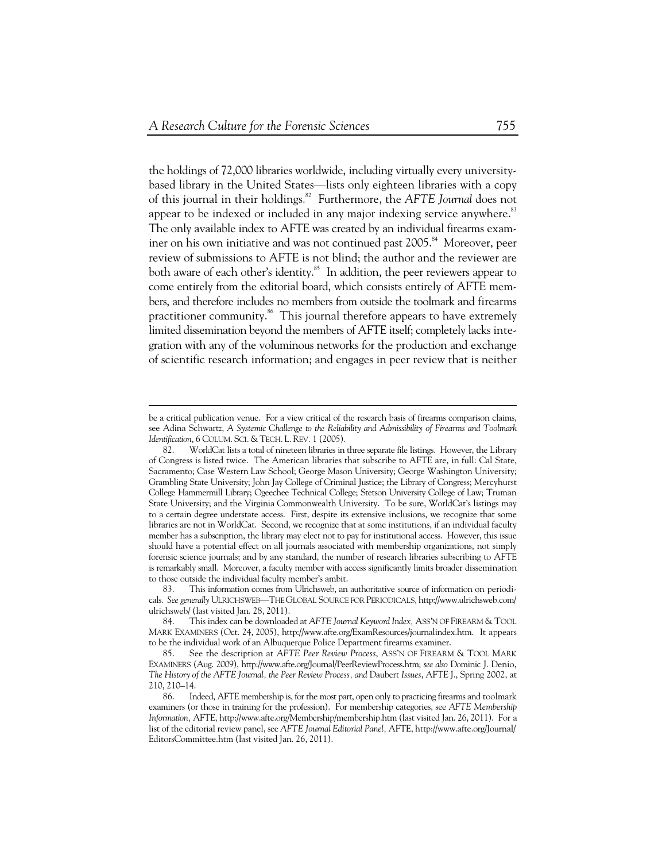-

the holdings of 72,000 libraries worldwide, including virtually every universitybased library in the United States—lists only eighteen libraries with a copy of this journal in their holdings.82 Furthermore, the *AFTE Journal* does not appear to be indexed or included in any major indexing service anywhere.<sup>83</sup> The only available index to AFTE was created by an individual firearms examiner on his own initiative and was not continued past 2005.<sup>84</sup> Moreover, peer review of submissions to AFTE is not blind; the author and the reviewer are both aware of each other's identity.<sup>85</sup> In addition, the peer reviewers appear to come entirely from the editorial board, which consists entirely of AFTE members, and therefore includes no members from outside the toolmark and firearms practitioner community.<sup>86</sup> This journal therefore appears to have extremely limited dissemination beyond the members of AFTE itself; completely lacks integration with any of the voluminous networks for the production and exchange of scientific research information; and engages in peer review that is neither

be a critical publication venue. For a view critical of the research basis of firearms comparison claims, see Adina Schwartz, *A Systemic Challenge to the Reliability and Admissibility of Firearms and Toolmark Identification*, 6 COLUM. SCI. & TECH. L.REV. 1 (2005).

 <sup>82.</sup> WorldCat lists a total of nineteen libraries in three separate file listings. However, the Library of Congress is listed twice. The American libraries that subscribe to AFTE are, in full: Cal State, Sacramento; Case Western Law School; George Mason University; George Washington University; Grambling State University; John Jay College of Criminal Justice; the Library of Congress; Mercyhurst College Hammermill Library; Ogeechee Technical College; Stetson University College of Law; Truman State University; and the Virginia Commonwealth University. To be sure, WorldCat's listings may to a certain degree understate access. First, despite its extensive inclusions, we recognize that some libraries are not in WorldCat. Second, we recognize that at some institutions, if an individual faculty member has a subscription, the library may elect not to pay for institutional access. However, this issue should have a potential effect on all journals associated with membership organizations, not simply forensic science journals; and by any standard, the number of research libraries subscribing to AFTE is remarkably small. Moreover, a faculty member with access significantly limits broader dissemination to those outside the individual faculty member's ambit.

 <sup>83.</sup> This information comes from Ulrichsweb, an authoritative source of information on periodicals. *See generally* ULRICHSWEB—THE GLOBAL SOURCE FOR PERIODICALS, http://www.ulrichsweb.com/ ulrichsweb/ (last visited Jan. 28, 2011).

 <sup>84.</sup> This index can be downloaded at *AFTE Journal Keyword Index,* ASS'N OF FIREARM & TOOL MARK EXAMINERS (Oct. 24, 2005), http://www.afte.org/ExamResources/journalindex.htm. It appears to be the individual work of an Albuquerque Police Department firearms examiner.

 <sup>85.</sup> See the description at *AFTE Peer Review Process*, ASS'N OF FIREARM & TOOL MARK EXAMINERS (Aug. 2009), http://www.afte.org/Journal/PeerReviewProcess.htm; *see also* Dominic J. Denio, *The History of the AFTE Journal, the Peer Review Process, and* Daubert *Issues*, AFTE J., Spring 2002, at 210, 210–14.

 <sup>86.</sup> Indeed, AFTE membership is, for the most part, open only to practicing firearms and toolmark examiners (or those in training for the profession). For membership categories, see *AFTE Membership Information,* AFTE, http://www.afte.org/Membership/membership.htm (last visited Jan. 26, 2011). For a list of the editorial review panel, see *AFTE Journal Editorial Panel,* AFTE, http://www.afte.org/Journal/ EditorsCommittee.htm (last visited Jan. 26, 2011).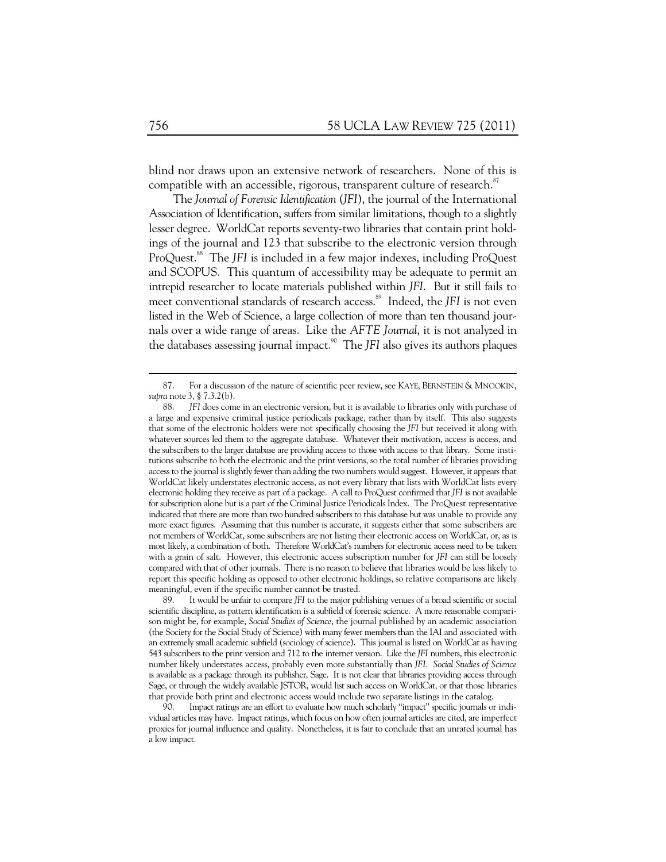blind nor draws upon an extensive network of researchers. None of this is compatible with an accessible, rigorous, transparent culture of research.<sup>87</sup>

The *Journal of Forensic Identification* (*JFI*), the journal of the International Association of Identification, suffers from similar limitations, though to a slightly lesser degree. WorldCat reports seventy-two libraries that contain print holdings of the journal and 123 that subscribe to the electronic version through ProQuest.88 The *JFI* is included in a few major indexes, including ProQuest and SCOPUS. This quantum of accessibility may be adequate to permit an intrepid researcher to locate materials published within *JFI*. But it still fails to meet conventional standards of research access.<sup>89</sup> Indeed, the *JFI* is not even listed in the Web of Science, a large collection of more than ten thousand journals over a wide range of areas. Like the *AFTE Journal*, it is not analyzed in the databases assessing journal impact.90 The *JFI* also gives its authors plaques

 <sup>87.</sup> For a discussion of the nature of scientific peer review, see KAYE, BERNSTEIN & MNOOKIN, *supra* note 3, § 7.3.2(b).

 <sup>88.</sup> *JFI* does come in an electronic version, but it is available to libraries only with purchase of a large and expensive criminal justice periodicals package, rather than by itself. This also suggests that some of the electronic holders were not specifically choosing the *JFI* but received it along with whatever sources led them to the aggregate database. Whatever their motivation, access is access, and the subscribers to the larger database are providing access to those with access to that library. Some institutions subscribe to both the electronic and the print versions, so the total number of libraries providing access to the journal is slightly fewer than adding the two numbers would suggest. However, it appears that WorldCat likely understates electronic access, as not every library that lists with WorldCat lists every electronic holding they receive as part of a package. A call to ProQuest confirmed that *JFI* is not available for subscription alone but is a part of the Criminal Justice Periodicals Index. The ProQuest representative indicated that there are more than two hundred subscribers to this database but was unable to provide any more exact figures. Assuming that this number is accurate, it suggests either that some subscribers are not members of WorldCat, some subscribers are not listing their electronic access on WorldCat, or, as is most likely, a combination of both. Therefore WorldCat's numbers for electronic access need to be taken with a grain of salt. However, this electronic access subscription number for *JFI* can still be loosely compared with that of other journals. There is no reason to believe that libraries would be less likely to report this specific holding as opposed to other electronic holdings, so relative comparisons are likely meaningful, even if the specific number cannot be trusted.

 <sup>89.</sup> It would be unfair to compare *JFI* to the major publishing venues of a broad scientific or social scientific discipline, as pattern identification is a subfield of forensic science. A more reasonable comparison might be, for example, *Social Studies of Science*, the journal published by an academic association (the Society for the Social Study of Science) with many fewer members than the IAI and associated with an extremely small academic subfield (sociology of science). This journal is listed on WorldCat as having 543 subscribers to the print version and 712 to the internet version. Like the *JFI* numbers, this electronic number likely understates access, probably even more substantially than *JFI*. *Social Studies of Science* is available as a package through its publisher, Sage. It is not clear that libraries providing access through Sage, or through the widely available JSTOR, would list such access on WorldCat, or that those libraries that provide both print and electronic access would include two separate listings in the catalog.

 <sup>90.</sup> Impact ratings are an effort to evaluate how much scholarly "impact" specific journals or individual articles may have. Impact ratings, which focus on how often journal articles are cited, are imperfect proxies for journal influence and quality. Nonetheless, it is fair to conclude that an unrated journal has a low impact.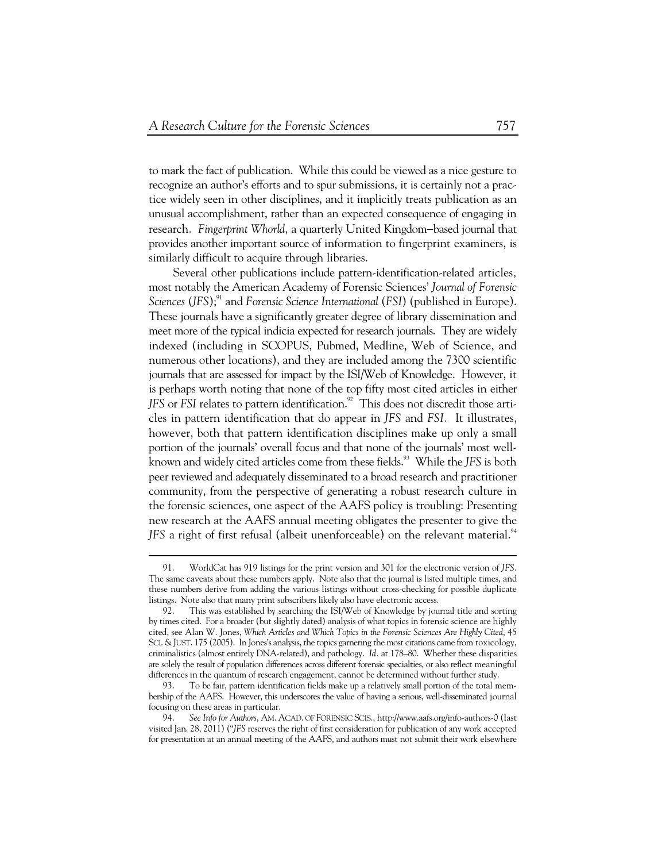to mark the fact of publication. While this could be viewed as a nice gesture to recognize an author's efforts and to spur submissions, it is certainly not a practice widely seen in other disciplines, and it implicitly treats publication as an unusual accomplishment, rather than an expected consequence of engaging in research. *Fingerprint Whorld*, a quarterly United Kingdom−based journal that provides another important source of information to fingerprint examiners, is similarly difficult to acquire through libraries.

Several other publications include pattern-identification-related articles*,*  most notably the American Academy of Forensic Sciences' *Journal of Forensic Sciences* (*JFS*);<sup>91</sup> and *Forensic Science International* (*FSI*) (published in Europe). These journals have a significantly greater degree of library dissemination and meet more of the typical indicia expected for research journals. They are widely indexed (including in SCOPUS, Pubmed, Medline, Web of Science, and numerous other locations), and they are included among the 7300 scientific journals that are assessed for impact by the ISI/Web of Knowledge. However, it is perhaps worth noting that none of the top fifty most cited articles in either *JFS* or *FSI* relates to pattern identification.<sup>92</sup> This does not discredit those articles in pattern identification that do appear in *JFS* and *FSI*. It illustrates, however, both that pattern identification disciplines make up only a small portion of the journals' overall focus and that none of the journals' most wellknown and widely cited articles come from these fields.<sup>93</sup> While the *JFS* is both peer reviewed and adequately disseminated to a broad research and practitioner community, from the perspective of generating a robust research culture in the forensic sciences, one aspect of the AAFS policy is troubling: Presenting new research at the AAFS annual meeting obligates the presenter to give the *JFS* a right of first refusal (albeit unenforceable) on the relevant material.<sup>94</sup>

 <sup>91.</sup> WorldCat has 919 listings for the print version and 301 for the electronic version of *JFS*. The same caveats about these numbers apply. Note also that the journal is listed multiple times, and these numbers derive from adding the various listings without cross-checking for possible duplicate listings. Note also that many print subscribers likely also have electronic access.

 <sup>92.</sup> This was established by searching the ISI/Web of Knowledge by journal title and sorting by times cited. For a broader (but slightly dated) analysis of what topics in forensic science are highly cited, see Alan W. Jones, *Which Articles and Which Topics in the Forensic Sciences Are Highly Cited*, 45 SCI.&JUST. 175 (2005). In Jones's analysis, the topics garnering the most citations came from toxicology, criminalistics (almost entirely DNA-related), and pathology. *Id.* at 178–80. Whether these disparities are solely the result of population differences across different forensic specialties, or also reflect meaningful differences in the quantum of research engagement, cannot be determined without further study.

 <sup>93.</sup> To be fair, pattern identification fields make up a relatively small portion of the total membership of the AAFS. However, this underscores the value of having a serious, well-disseminated journal focusing on these areas in particular.

 <sup>94.</sup> *See Info for Authors*, AM. ACAD. OF FORENSIC SCIS., http://www.aafs.org/info-authors-0 (last visited Jan. 28, 2011) ("*JFS* reserves the right of first consideration for publication of any work accepted for presentation at an annual meeting of the AAFS, and authors must not submit their work elsewhere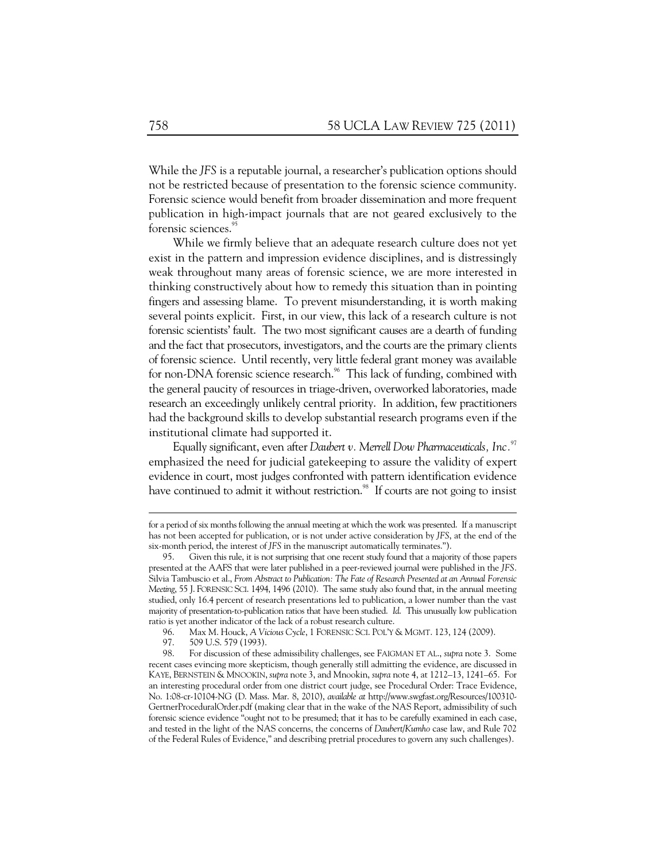While the *JFS* is a reputable journal, a researcher's publication options should not be restricted because of presentation to the forensic science community. Forensic science would benefit from broader dissemination and more frequent publication in high-impact journals that are not geared exclusively to the forensic sciences.<sup>9</sup>

While we firmly believe that an adequate research culture does not yet exist in the pattern and impression evidence disciplines, and is distressingly weak throughout many areas of forensic science, we are more interested in thinking constructively about how to remedy this situation than in pointing fingers and assessing blame. To prevent misunderstanding, it is worth making several points explicit. First, in our view, this lack of a research culture is not forensic scientists' fault. The two most significant causes are a dearth of funding and the fact that prosecutors, investigators, and the courts are the primary clients of forensic science. Until recently, very little federal grant money was available for non-DNA forensic science research.<sup>96</sup> This lack of funding, combined with the general paucity of resources in triage-driven, overworked laboratories, made research an exceedingly unlikely central priority. In addition, few practitioners had the background skills to develop substantial research programs even if the institutional climate had supported it.

Equally significant, even after *Daubert v. Merrell Dow Pharmaceuticals, Inc.*<sup>97</sup> emphasized the need for judicial gatekeeping to assure the validity of expert evidence in court, most judges confronted with pattern identification evidence have continued to admit it without restriction.<sup>98</sup> If courts are not going to insist

for a period of six months following the annual meeting at which the work was presented. If a manuscript has not been accepted for publication, or is not under active consideration by *JFS*, at the end of the six-month period, the interest of *JFS* in the manuscript automatically terminates.").

 <sup>95.</sup> Given this rule, it is not surprising that one recent study found that a majority of those papers presented at the AAFS that were later published in a peer-reviewed journal were published in the *JFS*. Silvia Tambuscio et al., *From Abstract to Publication: The Fate of Research Presented at an Annual Forensic Meeting*, 55 J. FORENSIC SCI. 1494, 1496 (2010). The same study also found that, in the annual meeting studied, only 16.4 percent of research presentations led to publication, a lower number than the vast majority of presentation-to-publication ratios that have been studied. *Id*. This unusually low publication ratio is yet another indicator of the lack of a robust research culture.

 <sup>96.</sup> Max M. Houck, *A Vicious Cycle*, 1 FORENSIC SCI. POL'Y & MGMT. 123, 124 (2009).

<sup>97. 509</sup> U.S. 579 (1993).<br>98. For discussion of thes

 <sup>98.</sup> For discussion of these admissibility challenges, see FAIGMAN ET AL., *supra* note 3. Some recent cases evincing more skepticism, though generally still admitting the evidence, are discussed in KAYE, BERNSTEIN & MNOOKIN, *supra* note 3, and Mnookin, *supra* note 4, at 1212–13, 1241–65. For an interesting procedural order from one district court judge, see Procedural Order: Trace Evidence, No. 1:08-cr-10104-NG (D. Mass. Mar. 8, 2010), *available at* http://www.swgfast.org/Resources/100310- GertnerProceduralOrder.pdf (making clear that in the wake of the NAS Report, admissibility of such forensic science evidence "ought not to be presumed; that it has to be carefully examined in each case, and tested in the light of the NAS concerns, the concerns of *Daubert*/*Kumho* case law, and Rule 702 of the Federal Rules of Evidence," and describing pretrial procedures to govern any such challenges).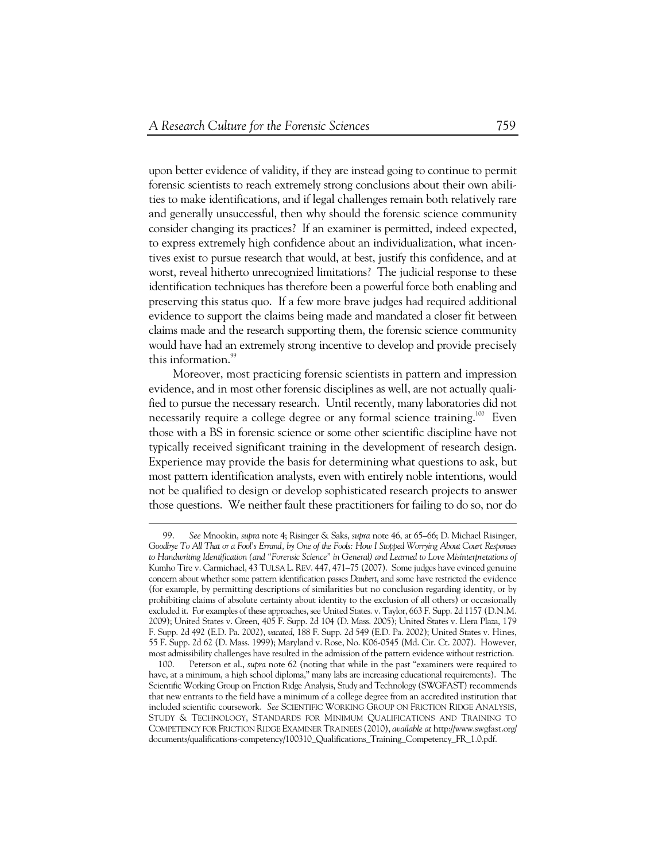-

upon better evidence of validity, if they are instead going to continue to permit forensic scientists to reach extremely strong conclusions about their own abilities to make identifications, and if legal challenges remain both relatively rare and generally unsuccessful, then why should the forensic science community consider changing its practices? If an examiner is permitted, indeed expected, to express extremely high confidence about an individualization, what incentives exist to pursue research that would, at best, justify this confidence, and at worst, reveal hitherto unrecognized limitations? The judicial response to these identification techniques has therefore been a powerful force both enabling and preserving this status quo. If a few more brave judges had required additional evidence to support the claims being made and mandated a closer fit between claims made and the research supporting them, the forensic science community would have had an extremely strong incentive to develop and provide precisely this information.<sup>99</sup>

Moreover, most practicing forensic scientists in pattern and impression evidence, and in most other forensic disciplines as well, are not actually qualified to pursue the necessary research. Until recently, many laboratories did not necessarily require a college degree or any formal science training.<sup>100</sup> Even those with a BS in forensic science or some other scientific discipline have not typically received significant training in the development of research design. Experience may provide the basis for determining what questions to ask, but most pattern identification analysts, even with entirely noble intentions, would not be qualified to design or develop sophisticated research projects to answer those questions. We neither fault these practitioners for failing to do so, nor do

 <sup>99.</sup> *See* Mnookin, *supra* note 4; Risinger & Saks, *supra* note 46, at 65–66; D. Michael Risinger, *Goodbye To All That or a Fool's Errand, by One of the Fools: How I Stopped Worrying About Court Responses*  to Handwriting Identification (and "Forensic Science" in General) and Learned to Love Misinterpretations of Kumho Tire v. Carmichael, 43 TULSA L. REV. 447, 471–75 (2007). Some judges have evinced genuine concern about whether some pattern identification passes *Daubert*, and some have restricted the evidence (for example, by permitting descriptions of similarities but no conclusion regarding identity, or by prohibiting claims of absolute certainty about identity to the exclusion of all others) or occasionally excluded it. For examples of these approaches, see United States. v. Taylor, 663 F. Supp. 2d 1157 (D.N.M. 2009); United States v. Green, 405 F. Supp. 2d 104 (D. Mass. 2005); United States v. Llera Plaza, 179 F. Supp. 2d 492 (E.D. Pa. 2002), *vacated*, 188 F. Supp. 2d 549 (E.D. Pa. 2002); United States v. Hines, 55 F. Supp. 2d 62 (D. Mass. 1999); Maryland v. Rose, No. K06-0545 (Md. Cir. Ct. 2007). However, most admissibility challenges have resulted in the admission of the pattern evidence without restriction.

 <sup>100.</sup> Peterson et al., *supra* note 62 (noting that while in the past "examiners were required to have, at a minimum, a high school diploma," many labs are increasing educational requirements). The Scientific Working Group on Friction Ridge Analysis, Study and Technology (SWGFAST) recommends that new entrants to the field have a minimum of a college degree from an accredited institution that included scientific coursework. *See* SCIENTIFIC WORKING GROUP ON FRICTION RIDGE ANALYSIS, STUDY & TECHNOLOGY, STANDARDS FOR MINIMUM QUALIFICATIONS AND TRAINING TO COMPETENCY FOR FRICTION RIDGE EXAMINER TRAINEES (2010), *available at* http://www.swgfast.org/ documents/qualifications-competency/100310\_Qualifications\_Training\_Competency\_FR\_1.0.pdf.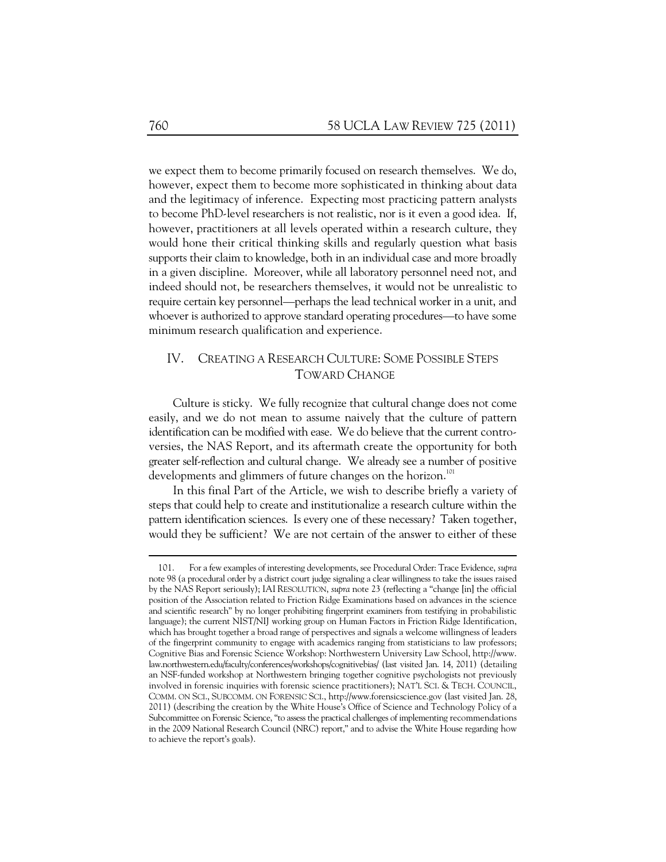we expect them to become primarily focused on research themselves. We do, however, expect them to become more sophisticated in thinking about data and the legitimacy of inference. Expecting most practicing pattern analysts to become PhD-level researchers is not realistic, nor is it even a good idea. If, however, practitioners at all levels operated within a research culture, they would hone their critical thinking skills and regularly question what basis supports their claim to knowledge, both in an individual case and more broadly in a given discipline. Moreover, while all laboratory personnel need not, and indeed should not, be researchers themselves, it would not be unrealistic to require certain key personnel—perhaps the lead technical worker in a unit, and whoever is authorized to approve standard operating procedures—to have some minimum research qualification and experience.

# IV. CREATING A RESEARCH CULTURE: SOME POSSIBLE STEPS TOWARD CHANGE

Culture is sticky. We fully recognize that cultural change does not come easily, and we do not mean to assume naively that the culture of pattern identification can be modified with ease. We do believe that the current controversies, the NAS Report, and its aftermath create the opportunity for both greater self-reflection and cultural change. We already see a number of positive developments and glimmers of future changes on the horizon.<sup>101</sup>

In this final Part of the Article, we wish to describe briefly a variety of steps that could help to create and institutionalize a research culture within the pattern identification sciences. Is every one of these necessary? Taken together, would they be sufficient? We are not certain of the answer to either of these

 <sup>101.</sup> For a few examples of interesting developments, see Procedural Order: Trace Evidence, *supra* note 98 (a procedural order by a district court judge signaling a clear willingness to take the issues raised by the NAS Report seriously); IAI RESOLUTION, *supra* note 23 (reflecting a "change [in] the official position of the Association related to Friction Ridge Examinations based on advances in the science and scientific research" by no longer prohibiting fingerprint examiners from testifying in probabilistic language); the current NIST/NIJ working group on Human Factors in Friction Ridge Identification, which has brought together a broad range of perspectives and signals a welcome willingness of leaders of the fingerprint community to engage with academics ranging from statisticians to law professors; Cognitive Bias and Forensic Science Workshop: Northwestern University Law School, http://www. law.northwestern.edu/faculty/conferences/workshops/cognitivebias/ (last visited Jan. 14, 2011) (detailing an NSF-funded workshop at Northwestern bringing together cognitive psychologists not previously involved in forensic inquiries with forensic science practitioners); NAT'L SCI. & TECH. COUNCIL, COMM. ON SCI., SUBCOMM. ON FORENSIC SCI., http://www.forensicscience.gov (last visited Jan. 28, 2011) (describing the creation by the White House's Office of Science and Technology Policy of a Subcommittee on Forensic Science, "to assess the practical challenges of implementing recommendations in the 2009 National Research Council (NRC) report," and to advise the White House regarding how to achieve the report's goals).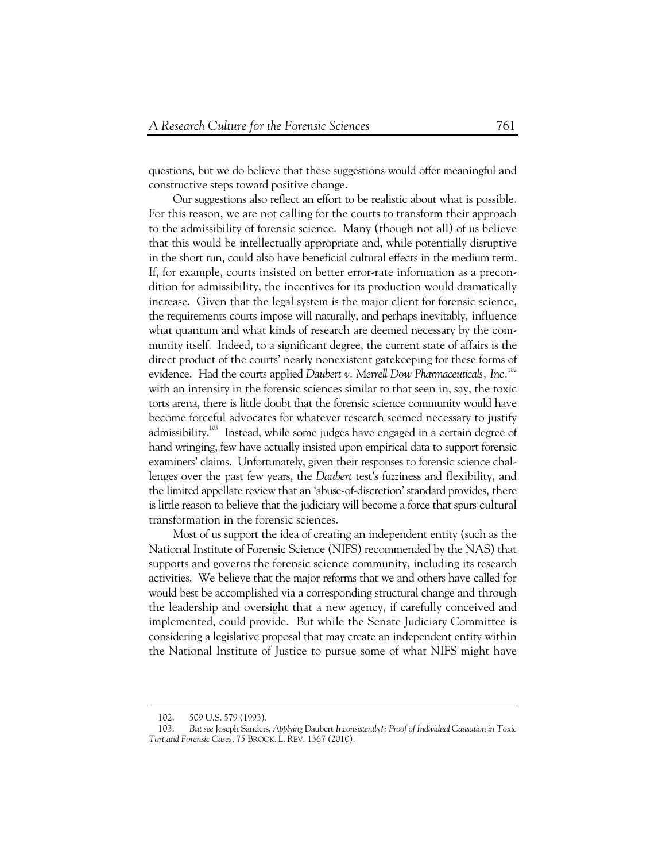questions, but we do believe that these suggestions would offer meaningful and constructive steps toward positive change.

Our suggestions also reflect an effort to be realistic about what is possible. For this reason, we are not calling for the courts to transform their approach to the admissibility of forensic science. Many (though not all) of us believe that this would be intellectually appropriate and, while potentially disruptive in the short run, could also have beneficial cultural effects in the medium term. If, for example, courts insisted on better error-rate information as a precondition for admissibility, the incentives for its production would dramatically increase. Given that the legal system is the major client for forensic science, the requirements courts impose will naturally, and perhaps inevitably, influence what quantum and what kinds of research are deemed necessary by the community itself. Indeed, to a significant degree, the current state of affairs is the direct product of the courts' nearly nonexistent gatekeeping for these forms of evidence. Had the courts applied *Daubert v. Merrell Dow Pharmaceuticals*, Inc.<sup>102</sup> with an intensity in the forensic sciences similar to that seen in, say, the toxic torts arena, there is little doubt that the forensic science community would have become forceful advocates for whatever research seemed necessary to justify admissibility.<sup>103</sup> Instead, while some judges have engaged in a certain degree of hand wringing, few have actually insisted upon empirical data to support forensic examiners' claims. Unfortunately, given their responses to forensic science challenges over the past few years, the *Daubert* test's fuzziness and flexibility, and the limited appellate review that an 'abuse-of-discretion' standard provides, there is little reason to believe that the judiciary will become a force that spurs cultural transformation in the forensic sciences.

Most of us support the idea of creating an independent entity (such as the National Institute of Forensic Science (NIFS) recommended by the NAS) that supports and governs the forensic science community, including its research activities. We believe that the major reforms that we and others have called for would best be accomplished via a corresponding structural change and through the leadership and oversight that a new agency, if carefully conceived and implemented, could provide. But while the Senate Judiciary Committee is considering a legislative proposal that may create an independent entity within the National Institute of Justice to pursue some of what NIFS might have

 <sup>102. 509</sup> U.S. 579 (1993).

 <sup>103.</sup> *But see* Joseph Sanders, *Applying* Daubert *Inconsistently?: Proof of Individual Causation in Toxic Tort and Forensic Cases*, 75 BROOK. L. REV. 1367 (2010).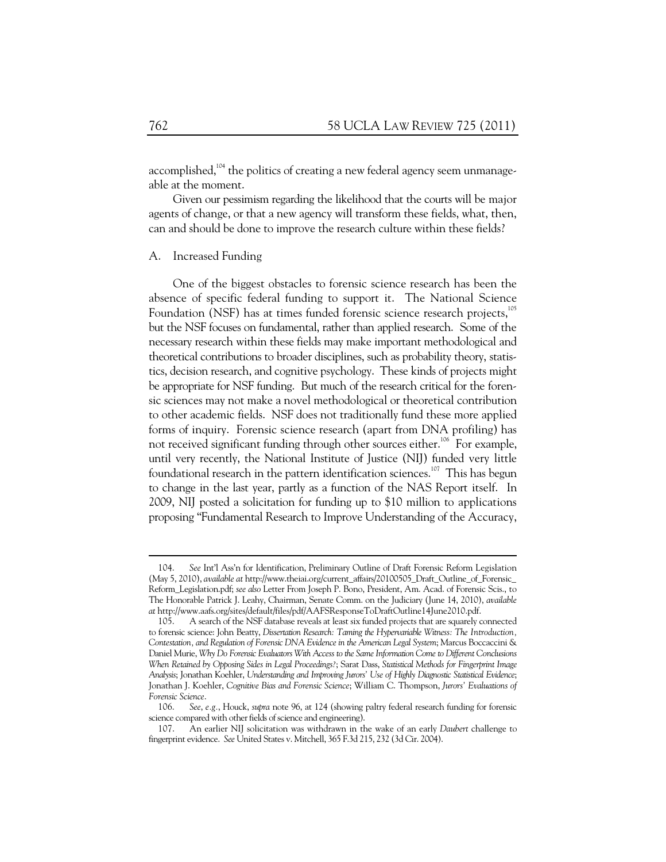accomplished,<sup>104</sup> the politics of creating a new federal agency seem unmanageable at the moment.

Given our pessimism regarding the likelihood that the courts will be major agents of change, or that a new agency will transform these fields, what, then, can and should be done to improve the research culture within these fields?

#### A. Increased Funding

One of the biggest obstacles to forensic science research has been the absence of specific federal funding to support it. The National Science Foundation (NSF) has at times funded forensic science research projects,<sup>105</sup> but the NSF focuses on fundamental, rather than applied research. Some of the necessary research within these fields may make important methodological and theoretical contributions to broader disciplines, such as probability theory, statistics, decision research, and cognitive psychology. These kinds of projects might be appropriate for NSF funding. But much of the research critical for the forensic sciences may not make a novel methodological or theoretical contribution to other academic fields. NSF does not traditionally fund these more applied forms of inquiry. Forensic science research (apart from DNA profiling) has not received significant funding through other sources either.<sup>106</sup> For example, until very recently, the National Institute of Justice (NIJ) funded very little foundational research in the pattern identification sciences.<sup>107</sup> This has begun to change in the last year, partly as a function of the NAS Report itself. In 2009, NIJ posted a solicitation for funding up to \$10 million to applications proposing "Fundamental Research to Improve Understanding of the Accuracy,

 <sup>104.</sup> *See* Int'l Ass'n for Identification, Preliminary Outline of Draft Forensic Reform Legislation (May 5, 2010), *available at* http://www.theiai.org/current\_affairs/20100505\_Draft\_Outline\_of\_Forensic\_ Reform\_Legislation.pdf; *see also* Letter From Joseph P. Bono, President, Am. Acad. of Forensic Scis., to The Honorable Patrick J. Leahy, Chairman, Senate Comm. on the Judiciary (June 14, 2010), *available at* http://www.aafs.org/sites/default/files/pdf/AAFSResponseToDraftOutline14June2010.pdf.

 <sup>105.</sup> A search of the NSF database reveals at least six funded projects that are squarely connected to forensic science: John Beatty, *Dissertation Research: Taming the Hypervariable Witness: The Introduction, Contestation, and Regulation of Forensic DNA Evidence in the American Legal System*; Marcus Boccaccini & Daniel Murie, *Why Do Forensic Evaluators With Access to the Same Information Come to Different Conclusions When Retained by Opposing Sides in Legal Proceedings?*; Sarat Dass, *Statistical Methods for Fingerprint Image Analysis*; Jonathan Koehler, *Understanding and Improving Jurors' Use of Highly Diagnostic Statistical Evidence*; Jonathan J. Koehler, *Cognitive Bias and Forensic Science*; William C. Thompson, *Jurors' Evaluations of Forensic Science*.

 <sup>106.</sup> *See*, *e.g.*, Houck, *supra* note 96, at 124 (showing paltry federal research funding for forensic science compared with other fields of science and engineering).

 <sup>107.</sup> An earlier NIJ solicitation was withdrawn in the wake of an early *Daubert* challenge to fingerprint evidence. *See* United States v. Mitchell, 365 F.3d 215, 232 (3d Cir. 2004).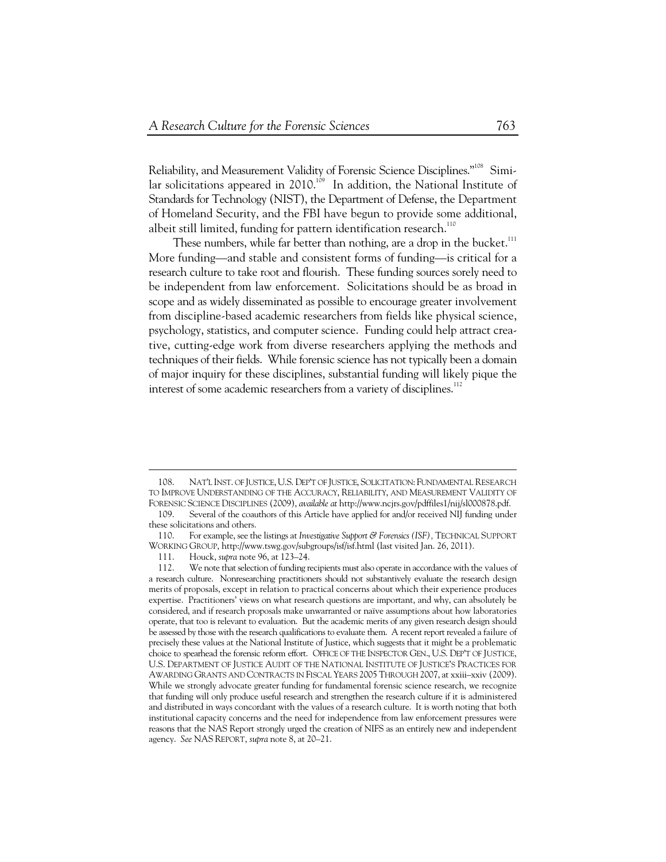Reliability, and Measurement Validity of Forensic Science Disciplines."<sup>108</sup> Similar solicitations appeared in 2010.<sup>109</sup> In addition, the National Institute of Standards for Technology (NIST), the Department of Defense, the Department of Homeland Security, and the FBI have begun to provide some additional, albeit still limited, funding for pattern identification research.<sup>110</sup>

These numbers, while far better than nothing, are a drop in the bucket.<sup>111</sup> More funding—and stable and consistent forms of funding—is critical for a research culture to take root and flourish. These funding sources sorely need to be independent from law enforcement. Solicitations should be as broad in scope and as widely disseminated as possible to encourage greater involvement from discipline-based academic researchers from fields like physical science, psychology, statistics, and computer science. Funding could help attract creative, cutting-edge work from diverse researchers applying the methods and techniques of their fields. While forensic science has not typically been a domain of major inquiry for these disciplines, substantial funding will likely pique the interest of some academic researchers from a variety of disciplines.<sup>112</sup>

 <sup>108.</sup> NAT'L INST. OF JUSTICE, U.S. DEP'T OF JUSTICE, SOLICITATION: FUNDAMENTAL RESEARCH TO IMPROVE UNDERSTANDING OF THE ACCURACY, RELIABILITY, AND MEASUREMENT VALIDITY OF FORENSIC SCIENCE DISCIPLINES (2009), *available at* http://www.ncjrs.gov/pdffiles1/nij/sl000878.pdf.

 <sup>109.</sup> Several of the coauthors of this Article have applied for and/or received NIJ funding under these solicitations and others.

 <sup>110.</sup> For example, see the listings at *Investigative Support & Forensics (ISF),* TECHNICAL SUPPORT WORKING GROUP, http://www.tswg.gov/subgroups/isf/isf.html (last visited Jan. 26, 2011).

 <sup>111.</sup> Houck, *supra* note 96, at 123–24.

 <sup>112.</sup> We note that selection of funding recipients must also operate in accordance with the values of a research culture. Nonresearching practitioners should not substantively evaluate the research design merits of proposals, except in relation to practical concerns about which their experience produces expertise. Practitioners' views on what research questions are important, and why, can absolutely be considered, and if research proposals make unwarranted or naïve assumptions about how laboratories operate, that too is relevant to evaluation. But the academic merits of any given research design should be assessed by those with the research qualifications to evaluate them. A recent report revealed a failure of precisely these values at the National Institute of Justice, which suggests that it might be a problematic choice to spearhead the forensic reform effort. OFFICE OF THE INSPECTOR GEN., U.S. DEP'T OF JUSTICE, U.S. DEPARTMENT OF JUSTICE AUDIT OF THE NATIONAL INSTITUTE OF JUSTICE'S PRACTICES FOR AWARDING GRANTS AND CONTRACTS IN FISCAL YEARS 2005 THROUGH 2007, at xxiii–xxiv (2009). While we strongly advocate greater funding for fundamental forensic science research, we recognize that funding will only produce useful research and strengthen the research culture if it is administered and distributed in ways concordant with the values of a research culture. It is worth noting that both institutional capacity concerns and the need for independence from law enforcement pressures were reasons that the NAS Report strongly urged the creation of NIFS as an entirely new and independent agency. *See* NAS REPORT, *supra* note 8, at 20–21.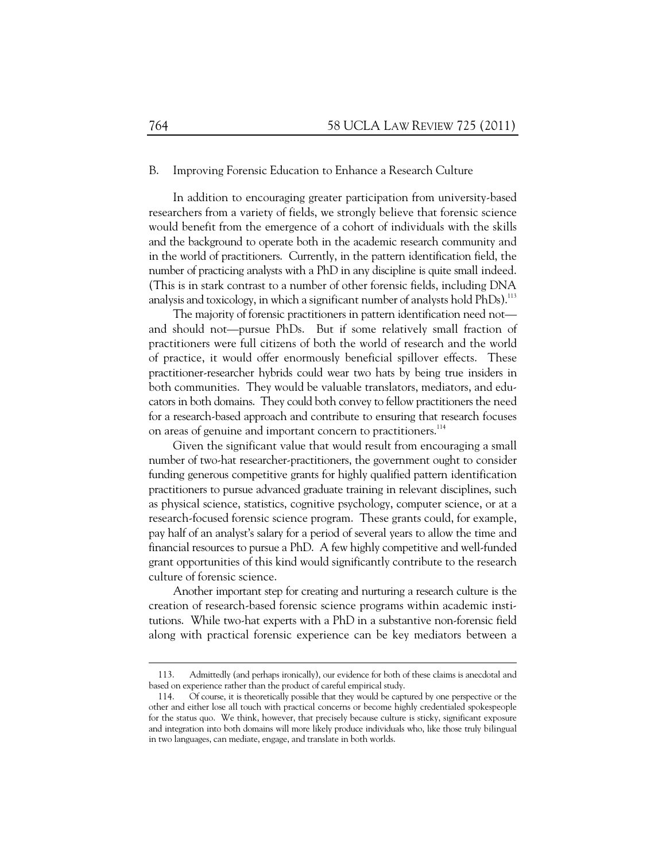## B. Improving Forensic Education to Enhance a Research Culture

In addition to encouraging greater participation from university-based researchers from a variety of fields, we strongly believe that forensic science would benefit from the emergence of a cohort of individuals with the skills and the background to operate both in the academic research community and in the world of practitioners. Currently, in the pattern identification field, the number of practicing analysts with a PhD in any discipline is quite small indeed. (This is in stark contrast to a number of other forensic fields, including DNA analysis and toxicology, in which a significant number of analysts hold  $PhDs$ ).<sup>113</sup>

The majority of forensic practitioners in pattern identification need not and should not—pursue PhDs. But if some relatively small fraction of practitioners were full citizens of both the world of research and the world of practice, it would offer enormously beneficial spillover effects. These practitioner-researcher hybrids could wear two hats by being true insiders in both communities. They would be valuable translators, mediators, and educators in both domains. They could both convey to fellow practitioners the need for a research-based approach and contribute to ensuring that research focuses on areas of genuine and important concern to practitioners.<sup>114</sup>

Given the significant value that would result from encouraging a small number of two-hat researcher-practitioners, the government ought to consider funding generous competitive grants for highly qualified pattern identification practitioners to pursue advanced graduate training in relevant disciplines, such as physical science, statistics, cognitive psychology, computer science, or at a research-focused forensic science program. These grants could, for example, pay half of an analyst's salary for a period of several years to allow the time and financial resources to pursue a PhD. A few highly competitive and well-funded grant opportunities of this kind would significantly contribute to the research culture of forensic science.

Another important step for creating and nurturing a research culture is the creation of research-based forensic science programs within academic institutions. While two-hat experts with a PhD in a substantive non-forensic field along with practical forensic experience can be key mediators between a

 <sup>113.</sup> Admittedly (and perhaps ironically), our evidence for both of these claims is anecdotal and based on experience rather than the product of careful empirical study.

 <sup>114.</sup> Of course, it is theoretically possible that they would be captured by one perspective or the other and either lose all touch with practical concerns or become highly credentialed spokespeople for the status quo. We think, however, that precisely because culture is sticky, significant exposure and integration into both domains will more likely produce individuals who, like those truly bilingual in two languages, can mediate, engage, and translate in both worlds.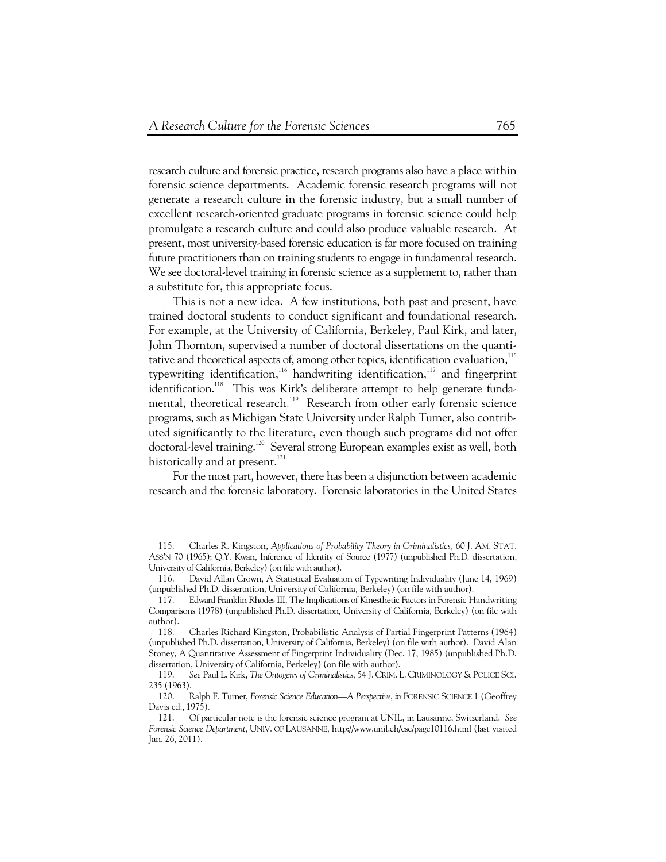research culture and forensic practice, research programs also have a place within forensic science departments. Academic forensic research programs will not generate a research culture in the forensic industry, but a small number of excellent research-oriented graduate programs in forensic science could help promulgate a research culture and could also produce valuable research. At present, most university-based forensic education is far more focused on training future practitioners than on training students to engage in fundamental research. We see doctoral-level training in forensic science as a supplement to, rather than a substitute for, this appropriate focus.

This is not a new idea. A few institutions, both past and present, have trained doctoral students to conduct significant and foundational research. For example, at the University of California, Berkeley, Paul Kirk, and later, John Thornton, supervised a number of doctoral dissertations on the quantitative and theoretical aspects of, among other topics, identification evaluation,<sup>115</sup> typewriting identification, $116$  handwriting identification, $117$  and fingerprint identification.<sup>118</sup> This was Kirk's deliberate attempt to help generate fundamental, theoretical research.<sup>119</sup> Research from other early forensic science programs, such as Michigan State University under Ralph Turner, also contributed significantly to the literature, even though such programs did not offer doctoral-level training.<sup>120</sup> Several strong European examples exist as well, both historically and at present.<sup>121</sup>

For the most part, however, there has been a disjunction between academic research and the forensic laboratory. Forensic laboratories in the United States

 <sup>115.</sup> Charles R. Kingston, *Applications of Probability Theory in Criminalistics*, 60 J. AM. STAT. ASS'N 70 (1965); Q.Y. Kwan, Inference of Identity of Source (1977) (unpublished Ph.D. dissertation, University of California, Berkeley) (on file with author).

 <sup>116.</sup> David Allan Crown, A Statistical Evaluation of Typewriting Individuality (June 14, 1969) (unpublished Ph.D. dissertation, University of California, Berkeley) (on file with author).

 <sup>117.</sup> Edward Franklin Rhodes III, The Implications of Kinesthetic Factors in Forensic Handwriting Comparisons (1978) (unpublished Ph.D. dissertation, University of California, Berkeley) (on file with author).

 <sup>118.</sup> Charles Richard Kingston, Probabilistic Analysis of Partial Fingerprint Patterns (1964) (unpublished Ph.D. dissertation, University of California, Berkeley) (on file with author). David Alan Stoney, A Quantitative Assessment of Fingerprint Individuality (Dec. 17, 1985) (unpublished Ph.D. dissertation, University of California, Berkeley) (on file with author).

 <sup>119.</sup> *See* Paul L. Kirk, *The Ontogeny of Criminalistics*, 54 J. CRIM. L. CRIMINOLOGY & POLICE SCI. 235 (1963).

 <sup>120.</sup> Ralph F. Turner, *Forensic Science Education—A Perspective*, *in* FORENSIC SCIENCE 1 (Geoffrey Davis ed., 1975).

 <sup>121.</sup> Of particular note is the forensic science program at UNIL, in Lausanne, Switzerland. *See Forensic Science Department*, UNIV. OF LAUSANNE, http://www.unil.ch/esc/page10116.html (last visited Jan. 26, 2011).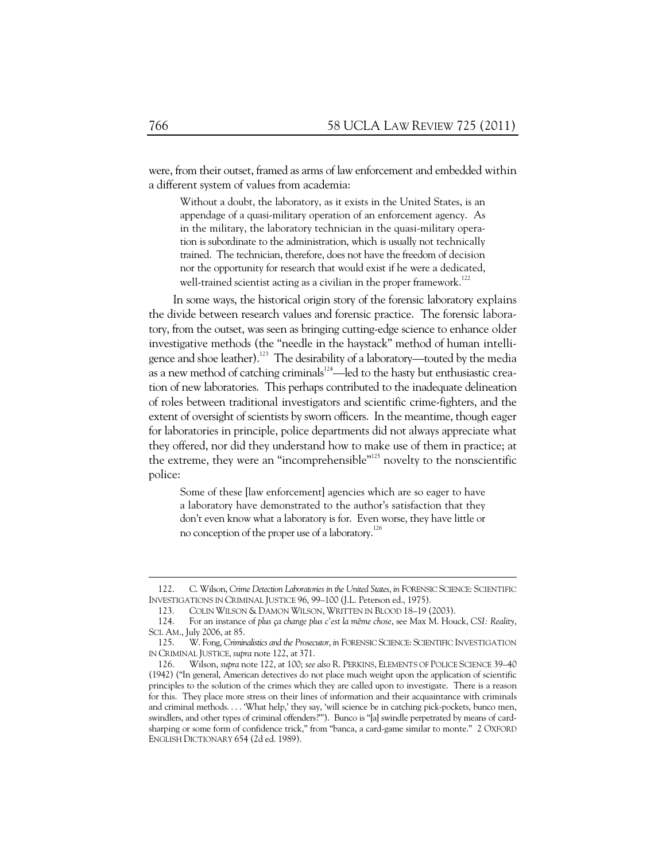were, from their outset, framed as arms of law enforcement and embedded within a different system of values from academia:

Without a doubt, the laboratory, as it exists in the United States, is an appendage of a quasi-military operation of an enforcement agency. As in the military, the laboratory technician in the quasi-military operation is subordinate to the administration, which is usually not technically trained. The technician, therefore, does not have the freedom of decision nor the opportunity for research that would exist if he were a dedicated, well-trained scientist acting as a civilian in the proper framework.<sup>122</sup>

In some ways, the historical origin story of the forensic laboratory explains the divide between research values and forensic practice. The forensic laboratory, from the outset, was seen as bringing cutting-edge science to enhance older investigative methods (the "needle in the haystack" method of human intelligence and shoe leather).<sup>123</sup> The desirability of a laboratory—touted by the media as a new method of catching criminals $124$ —led to the hasty but enthusiastic creation of new laboratories. This perhaps contributed to the inadequate delineation of roles between traditional investigators and scientific crime-fighters, and the extent of oversight of scientists by sworn officers. In the meantime, though eager for laboratories in principle, police departments did not always appreciate what they offered, nor did they understand how to make use of them in practice; at the extreme, they were an "incomprehensible"<sup>125</sup> novelty to the nonscientific police:

Some of these [law enforcement] agencies which are so eager to have a laboratory have demonstrated to the author's satisfaction that they don't even know what a laboratory is for. Even worse, they have little or no conception of the proper use of a laboratory.<sup>126</sup>

 <sup>122.</sup> C. Wilson, *Crime Detection Laboratories in the United States*, *in* FORENSIC SCIENCE: SCIENTIFIC INVESTIGATIONS IN CRIMINAL JUSTICE 96, 99–100 (J.L. Peterson ed., 1975).

 <sup>123.</sup> COLIN WILSON & DAMON WILSON, WRITTEN IN BLOOD 18–19 (2003).

 <sup>124.</sup> For an instance of *plus ça change plus c'est la même chose*, see Max M. Houck, *CSI: Reality*, SCI. AM., July 2006, at 85.

 <sup>125.</sup> W. Fong, *Criminalistics and the Prosecutor*, *in* FORENSIC SCIENCE: SCIENTIFIC INVESTIGATION IN CRIMINAL JUSTICE, *supra* note 122, at 371.

 <sup>126.</sup> Wilson, *supra* note 122, at 100; *see also* R. PERKINS, ELEMENTS OF POLICE SCIENCE 39–40 (1942) ("In general, American detectives do not place much weight upon the application of scientific principles to the solution of the crimes which they are called upon to investigate. There is a reason for this. They place more stress on their lines of information and their acquaintance with criminals and criminal methods. . . . 'What help,' they say, 'will science be in catching pick-pockets, bunco men, swindlers, and other types of criminal offenders?'"). Bunco is "[a] swindle perpetrated by means of cardsharping or some form of confidence trick," from "banca, a card-game similar to monte." 2 OXFORD ENGLISH DICTIONARY 654 (2d ed. 1989).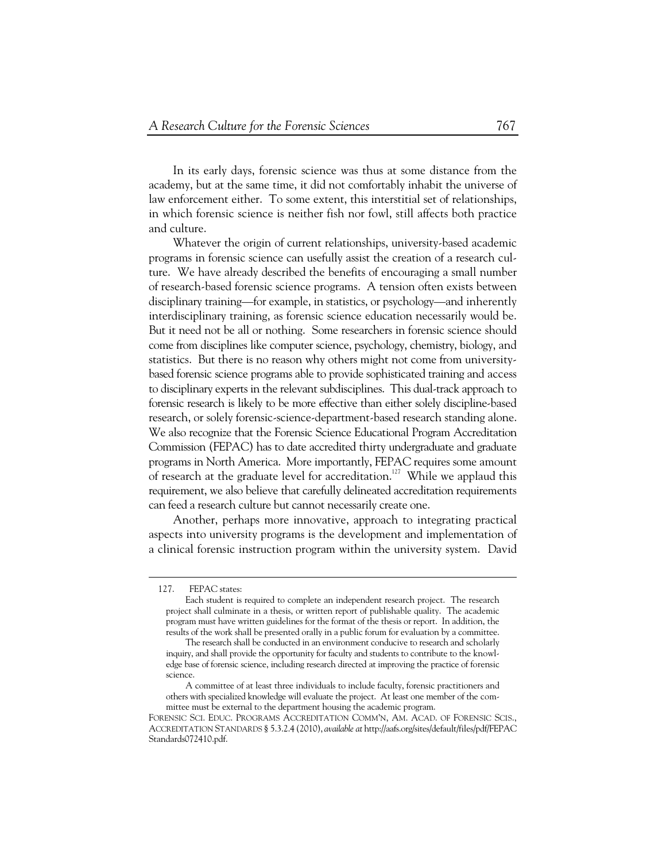In its early days, forensic science was thus at some distance from the academy, but at the same time, it did not comfortably inhabit the universe of law enforcement either. To some extent, this interstitial set of relationships, in which forensic science is neither fish nor fowl, still affects both practice and culture.

Whatever the origin of current relationships, university-based academic programs in forensic science can usefully assist the creation of a research culture. We have already described the benefits of encouraging a small number of research-based forensic science programs. A tension often exists between disciplinary training—for example, in statistics, or psychology—and inherently interdisciplinary training, as forensic science education necessarily would be. But it need not be all or nothing. Some researchers in forensic science should come from disciplines like computer science, psychology, chemistry, biology, and statistics. But there is no reason why others might not come from universitybased forensic science programs able to provide sophisticated training and access to disciplinary experts in the relevant subdisciplines. This dual-track approach to forensic research is likely to be more effective than either solely discipline-based research, or solely forensic-science-department-based research standing alone. We also recognize that the Forensic Science Educational Program Accreditation Commission (FEPAC) has to date accredited thirty undergraduate and graduate programs in North America. More importantly, FEPAC requires some amount of research at the graduate level for accreditation.<sup>127</sup> While we applaud this requirement, we also believe that carefully delineated accreditation requirements can feed a research culture but cannot necessarily create one.

Another, perhaps more innovative, approach to integrating practical aspects into university programs is the development and implementation of a clinical forensic instruction program within the university system. David

 <sup>127.</sup> FEPAC states:

Each student is required to complete an independent research project. The research project shall culminate in a thesis, or written report of publishable quality. The academic program must have written guidelines for the format of the thesis or report. In addition, the results of the work shall be presented orally in a public forum for evaluation by a committee.

The research shall be conducted in an environment conducive to research and scholarly inquiry, and shall provide the opportunity for faculty and students to contribute to the knowledge base of forensic science, including research directed at improving the practice of forensic science.

A committee of at least three individuals to include faculty, forensic practitioners and others with specialized knowledge will evaluate the project. At least one member of the committee must be external to the department housing the academic program.

FORENSIC SCI. EDUC. PROGRAMS ACCREDITATION COMM'N, AM. ACAD. OF FORENSIC SCIS., ACCREDITATION STANDARDS § 5.3.2.4 (2010), *available at* http://aafs.org/sites/default/files/pdf/FEPAC Standards072410.pdf.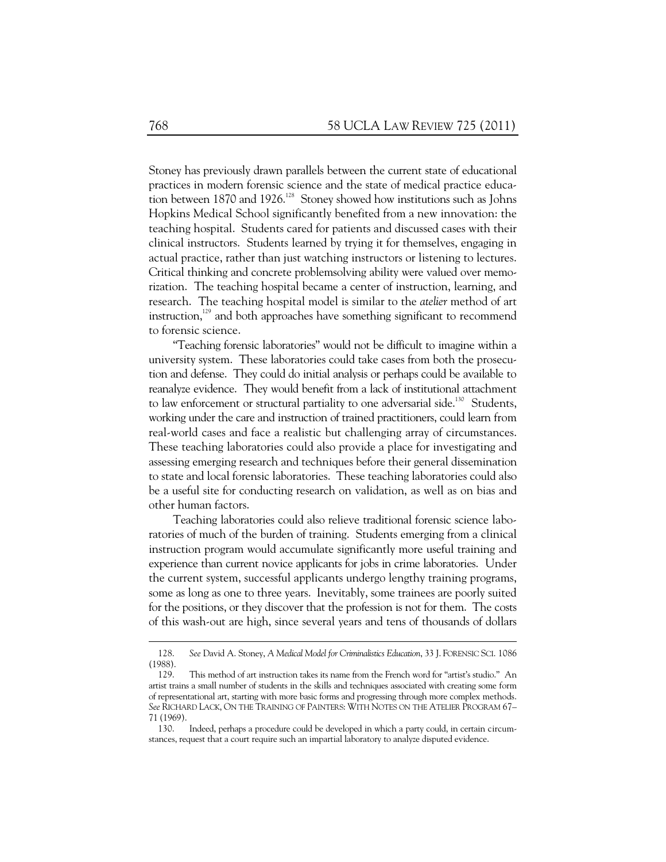Stoney has previously drawn parallels between the current state of educational practices in modern forensic science and the state of medical practice education between  $1870$  and  $1926$ .<sup>128</sup> Stoney showed how institutions such as Johns Hopkins Medical School significantly benefited from a new innovation: the teaching hospital. Students cared for patients and discussed cases with their clinical instructors. Students learned by trying it for themselves, engaging in actual practice, rather than just watching instructors or listening to lectures. Critical thinking and concrete problemsolving ability were valued over memorization. The teaching hospital became a center of instruction, learning, and research. The teaching hospital model is similar to the *atelier* method of art instruction,<sup>129</sup> and both approaches have something significant to recommend to forensic science.

"Teaching forensic laboratories" would not be difficult to imagine within a university system. These laboratories could take cases from both the prosecution and defense. They could do initial analysis or perhaps could be available to reanalyze evidence. They would benefit from a lack of institutional attachment to law enforcement or structural partiality to one adversarial side.<sup>130</sup> Students, working under the care and instruction of trained practitioners, could learn from real-world cases and face a realistic but challenging array of circumstances. These teaching laboratories could also provide a place for investigating and assessing emerging research and techniques before their general dissemination to state and local forensic laboratories. These teaching laboratories could also be a useful site for conducting research on validation, as well as on bias and other human factors.

Teaching laboratories could also relieve traditional forensic science laboratories of much of the burden of training. Students emerging from a clinical instruction program would accumulate significantly more useful training and experience than current novice applicants for jobs in crime laboratories. Under the current system, successful applicants undergo lengthy training programs, some as long as one to three years. Inevitably, some trainees are poorly suited for the positions, or they discover that the profession is not for them. The costs of this wash-out are high, since several years and tens of thousands of dollars

 <sup>128.</sup> *See* David A. Stoney, *A Medical Model for Criminalistics Education*, 33 J. FORENSIC SCI. 1086 (1988).

 <sup>129.</sup> This method of art instruction takes its name from the French word for "artist's studio." An artist trains a small number of students in the skills and techniques associated with creating some form of representational art, starting with more basic forms and progressing through more complex methods. *See* RICHARD LACK, ON THE TRAINING OF PAINTERS: WITH NOTES ON THE ATELIER PROGRAM 67– 71 (1969).

 <sup>130.</sup> Indeed, perhaps a procedure could be developed in which a party could, in certain circumstances, request that a court require such an impartial laboratory to analyze disputed evidence.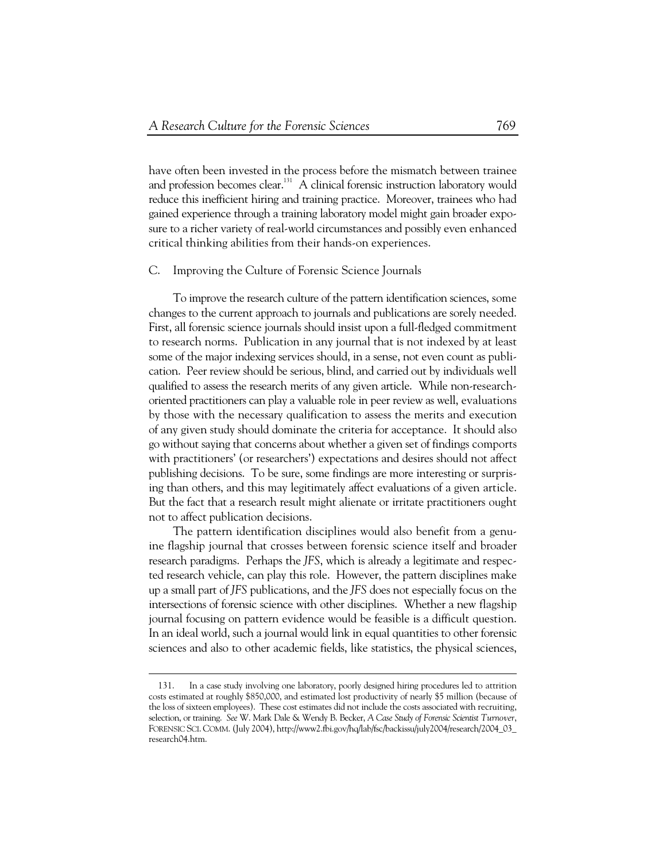have often been invested in the process before the mismatch between trainee and profession becomes clear.<sup>131</sup> A clinical forensic instruction laboratory would reduce this inefficient hiring and training practice. Moreover, trainees who had gained experience through a training laboratory model might gain broader exposure to a richer variety of real-world circumstances and possibly even enhanced critical thinking abilities from their hands-on experiences.

## C. Improving the Culture of Forensic Science Journals

To improve the research culture of the pattern identification sciences, some changes to the current approach to journals and publications are sorely needed. First, all forensic science journals should insist upon a full-fledged commitment to research norms. Publication in any journal that is not indexed by at least some of the major indexing services should, in a sense, not even count as publication. Peer review should be serious, blind, and carried out by individuals well qualified to assess the research merits of any given article. While non-researchoriented practitioners can play a valuable role in peer review as well, evaluations by those with the necessary qualification to assess the merits and execution of any given study should dominate the criteria for acceptance. It should also go without saying that concerns about whether a given set of findings comports with practitioners' (or researchers') expectations and desires should not affect publishing decisions. To be sure, some findings are more interesting or surprising than others, and this may legitimately affect evaluations of a given article. But the fact that a research result might alienate or irritate practitioners ought not to affect publication decisions.

The pattern identification disciplines would also benefit from a genuine flagship journal that crosses between forensic science itself and broader research paradigms. Perhaps the *JFS*, which is already a legitimate and respected research vehicle, can play this role. However, the pattern disciplines make up a small part of *JFS* publications, and the *JFS* does not especially focus on the intersections of forensic science with other disciplines. Whether a new flagship journal focusing on pattern evidence would be feasible is a difficult question. In an ideal world, such a journal would link in equal quantities to other forensic sciences and also to other academic fields, like statistics, the physical sciences,

 <sup>131.</sup> In a case study involving one laboratory, poorly designed hiring procedures led to attrition costs estimated at roughly \$850,000, and estimated lost productivity of nearly \$5 million (because of the loss of sixteen employees). These cost estimates did not include the costs associated with recruiting, selection, or training. *See* W. Mark Dale & Wendy B. Becker, *A Case Study of Forensic Scientist Turnover*, FORENSIC SCI. COMM. (July 2004), http://www2.fbi.gov/hq/lab/fsc/backissu/july2004/research/2004\_03\_ research04.htm.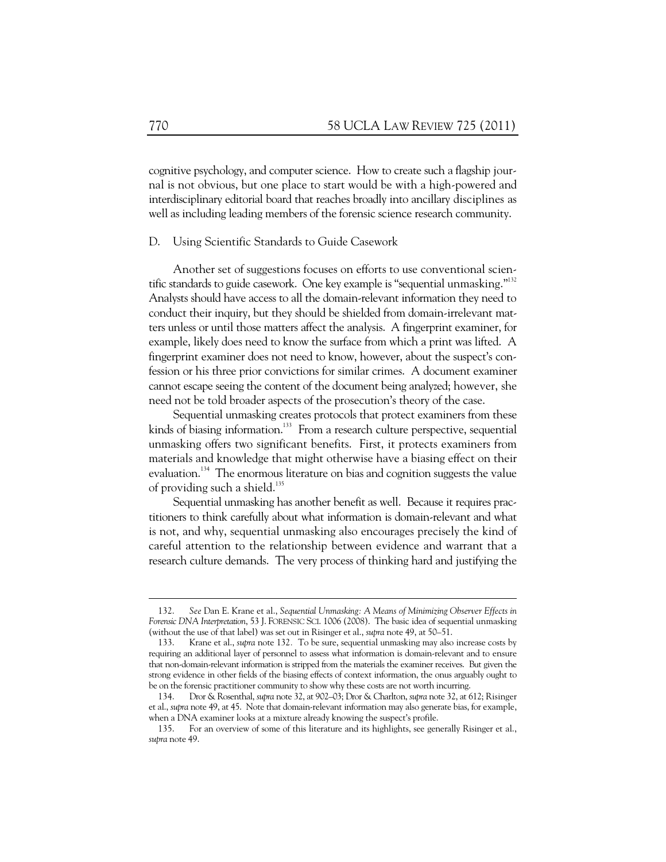cognitive psychology, and computer science. How to create such a flagship journal is not obvious, but one place to start would be with a high-powered and interdisciplinary editorial board that reaches broadly into ancillary disciplines as well as including leading members of the forensic science research community.

### D. Using Scientific Standards to Guide Casework

Another set of suggestions focuses on efforts to use conventional scientific standards to guide casework. One key example is "sequential unmasking."<sup>132</sup> Analysts should have access to all the domain-relevant information they need to conduct their inquiry, but they should be shielded from domain-irrelevant matters unless or until those matters affect the analysis. A fingerprint examiner, for example, likely does need to know the surface from which a print was lifted. A fingerprint examiner does not need to know, however, about the suspect's confession or his three prior convictions for similar crimes. A document examiner cannot escape seeing the content of the document being analyzed; however, she need not be told broader aspects of the prosecution's theory of the case.

Sequential unmasking creates protocols that protect examiners from these kinds of biasing information.<sup>133</sup> From a research culture perspective, sequential unmasking offers two significant benefits. First, it protects examiners from materials and knowledge that might otherwise have a biasing effect on their evaluation.<sup>134</sup> The enormous literature on bias and cognition suggests the value of providing such a shield. $135$ 

Sequential unmasking has another benefit as well. Because it requires practitioners to think carefully about what information is domain-relevant and what is not, and why, sequential unmasking also encourages precisely the kind of careful attention to the relationship between evidence and warrant that a research culture demands. The very process of thinking hard and justifying the

 <sup>132.</sup> *See* Dan E. Krane et al., *Sequential Unmasking: A Means of Minimizing Observer Effects in Forensic DNA Interpretation*, 53 J. FORENSIC SCI. 1006 (2008). The basic idea of sequential unmasking (without the use of that label) was set out in Risinger et al., *supra* note 49, at 50–51.

 <sup>133.</sup> Krane et al., *supra* note 132*.* To be sure, sequential unmasking may also increase costs by requiring an additional layer of personnel to assess what information is domain-relevant and to ensure that non-domain-relevant information is stripped from the materials the examiner receives. But given the strong evidence in other fields of the biasing effects of context information, the onus arguably ought to be on the forensic practitioner community to show why these costs are not worth incurring.

 <sup>134.</sup> Dror & Rosenthal, *supra* note 32, at 902–03; Dror & Charlton, *supra* note 32, at 612; Risinger et al., *supra* note 49, at 45. Note that domain-relevant information may also generate bias, for example, when a DNA examiner looks at a mixture already knowing the suspect's profile.

 <sup>135.</sup> For an overview of some of this literature and its highlights, see generally Risinger et al., *supra* note 49.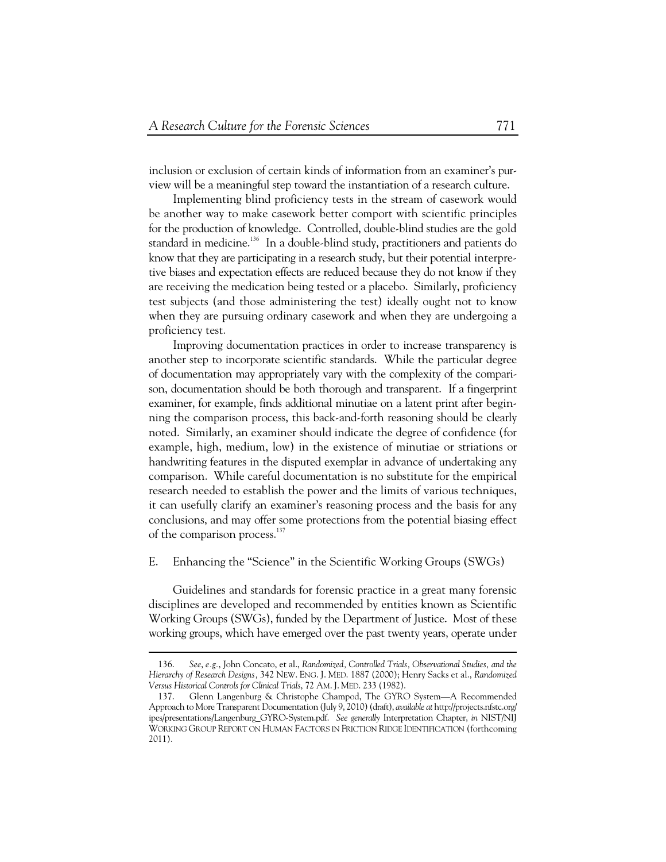inclusion or exclusion of certain kinds of information from an examiner's purview will be a meaningful step toward the instantiation of a research culture.

Implementing blind proficiency tests in the stream of casework would be another way to make casework better comport with scientific principles for the production of knowledge. Controlled, double-blind studies are the gold standard in medicine.<sup>136</sup> In a double-blind study, practitioners and patients do know that they are participating in a research study, but their potential interpretive biases and expectation effects are reduced because they do not know if they are receiving the medication being tested or a placebo. Similarly, proficiency test subjects (and those administering the test) ideally ought not to know when they are pursuing ordinary casework and when they are undergoing a proficiency test.

Improving documentation practices in order to increase transparency is another step to incorporate scientific standards. While the particular degree of documentation may appropriately vary with the complexity of the comparison, documentation should be both thorough and transparent. If a fingerprint examiner, for example, finds additional minutiae on a latent print after beginning the comparison process, this back-and-forth reasoning should be clearly noted. Similarly, an examiner should indicate the degree of confidence (for example, high, medium, low) in the existence of minutiae or striations or handwriting features in the disputed exemplar in advance of undertaking any comparison. While careful documentation is no substitute for the empirical research needed to establish the power and the limits of various techniques, it can usefully clarify an examiner's reasoning process and the basis for any conclusions, and may offer some protections from the potential biasing effect of the comparison process.<sup>137</sup>

E. Enhancing the "Science" in the Scientific Working Groups (SWGs)

Guidelines and standards for forensic practice in a great many forensic disciplines are developed and recommended by entities known as Scientific Working Groups (SWGs), funded by the Department of Justice. Most of these working groups, which have emerged over the past twenty years, operate under

 <sup>136.</sup> *See*, *e.g.*, John Concato, et al., *Randomized, Controlled Trials, Observational Studies, and the Hierarchy of Research Designs,* 342 NEW. ENG. J. MED. 1887 (2000); Henry Sacks et al., *Randomized Versus Historical Controls for Clinical Trials*, 72 AM. J. MED. 233 (1982).

 <sup>137.</sup> Glenn Langenburg & Christophe Champod, The GYRO System—A Recommended Approach to More Transparent Documentation (July 9, 2010) (draft), *available at* http://projects.nfstc.org/ ipes/presentations/Langenburg\_GYRO-System.pdf. *See generally* Interpretation Chapter, *in* NIST/NIJ WORKING GROUP REPORT ON HUMAN FACTORS IN FRICTION RIDGE IDENTIFICATION (forthcoming 2011).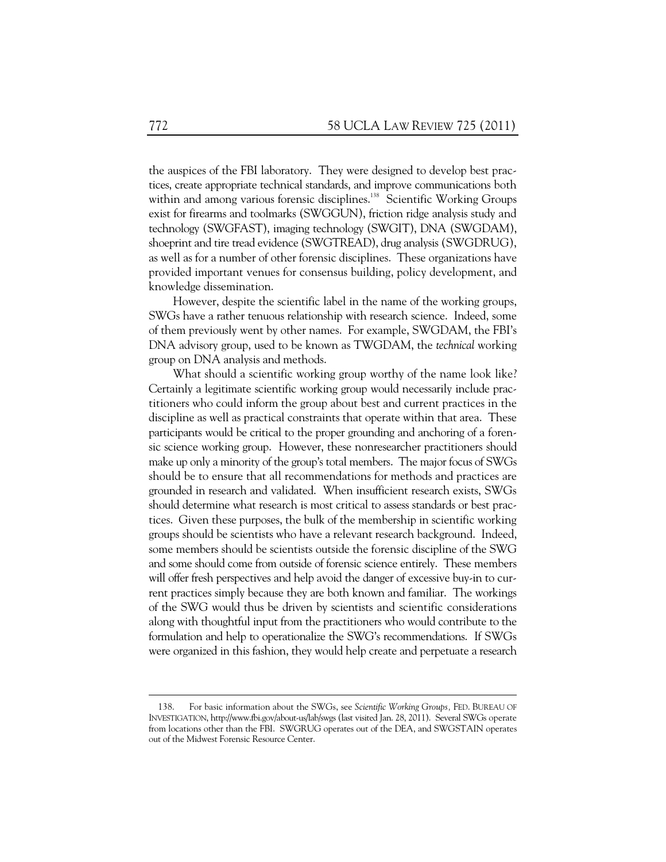the auspices of the FBI laboratory. They were designed to develop best practices, create appropriate technical standards, and improve communications both within and among various forensic disciplines.<sup>138</sup> Scientific Working Groups exist for firearms and toolmarks (SWGGUN), friction ridge analysis study and technology (SWGFAST), imaging technology (SWGIT), DNA (SWGDAM), shoeprint and tire tread evidence (SWGTREAD), drug analysis (SWGDRUG), as well as for a number of other forensic disciplines. These organizations have provided important venues for consensus building, policy development, and knowledge dissemination.

However, despite the scientific label in the name of the working groups, SWGs have a rather tenuous relationship with research science. Indeed, some of them previously went by other names. For example, SWGDAM, the FBI's DNA advisory group, used to be known as TWGDAM, the *technical* working group on DNA analysis and methods.

What should a scientific working group worthy of the name look like? Certainly a legitimate scientific working group would necessarily include practitioners who could inform the group about best and current practices in the discipline as well as practical constraints that operate within that area. These participants would be critical to the proper grounding and anchoring of a forensic science working group. However, these nonresearcher practitioners should make up only a minority of the group's total members. The major focus of SWGs should be to ensure that all recommendations for methods and practices are grounded in research and validated. When insufficient research exists, SWGs should determine what research is most critical to assess standards or best practices. Given these purposes, the bulk of the membership in scientific working groups should be scientists who have a relevant research background. Indeed, some members should be scientists outside the forensic discipline of the SWG and some should come from outside of forensic science entirely. These members will offer fresh perspectives and help avoid the danger of excessive buy-in to current practices simply because they are both known and familiar. The workings of the SWG would thus be driven by scientists and scientific considerations along with thoughtful input from the practitioners who would contribute to the formulation and help to operationalize the SWG's recommendations. If SWGs were organized in this fashion, they would help create and perpetuate a research

 <sup>138.</sup> For basic information about the SWGs, see *Scientific Working Groups,* FED. BUREAU OF INVESTIGATION, http://www.fbi.gov/about-us/lab/swgs (last visited Jan. 28, 2011). Several SWGs operate from locations other than the FBI. SWGRUG operates out of the DEA, and SWGSTAIN operates out of the Midwest Forensic Resource Center.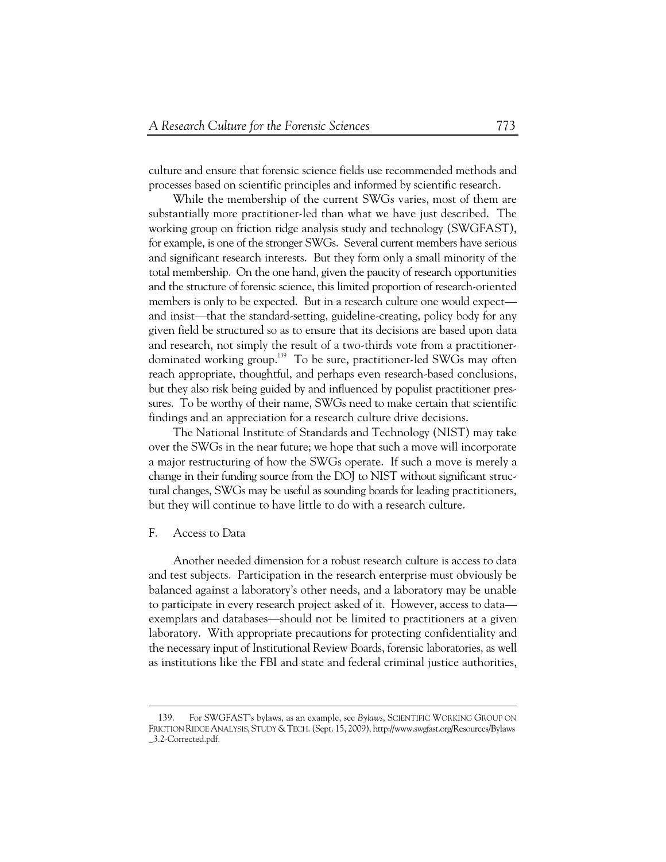culture and ensure that forensic science fields use recommended methods and processes based on scientific principles and informed by scientific research.

While the membership of the current SWGs varies, most of them are substantially more practitioner-led than what we have just described. The working group on friction ridge analysis study and technology (SWGFAST), for example, is one of the stronger SWGs. Several current members have serious and significant research interests. But they form only a small minority of the total membership. On the one hand, given the paucity of research opportunities and the structure of forensic science, this limited proportion of research-oriented members is only to be expected. But in a research culture one would expect and insist—that the standard-setting, guideline-creating, policy body for any given field be structured so as to ensure that its decisions are based upon data and research, not simply the result of a two-thirds vote from a practitionerdominated working group.<sup>139</sup> To be sure, practitioner-led SWGs may often reach appropriate, thoughtful, and perhaps even research-based conclusions, but they also risk being guided by and influenced by populist practitioner pressures. To be worthy of their name, SWGs need to make certain that scientific findings and an appreciation for a research culture drive decisions.

The National Institute of Standards and Technology (NIST) may take over the SWGs in the near future; we hope that such a move will incorporate a major restructuring of how the SWGs operate. If such a move is merely a change in their funding source from the DOJ to NIST without significant structural changes, SWGs may be useful as sounding boards for leading practitioners, but they will continue to have little to do with a research culture.

## F. Access to Data

Another needed dimension for a robust research culture is access to data and test subjects. Participation in the research enterprise must obviously be balanced against a laboratory's other needs, and a laboratory may be unable to participate in every research project asked of it. However, access to data exemplars and databases—should not be limited to practitioners at a given laboratory. With appropriate precautions for protecting confidentiality and the necessary input of Institutional Review Boards, forensic laboratories, as well as institutions like the FBI and state and federal criminal justice authorities,

 <sup>139.</sup> For SWGFAST's bylaws, as an example, see *Bylaws*, SCIENTIFIC WORKING GROUP ON FRICTION RIDGE ANALYSIS, STUDY &TECH. (Sept. 15, 2009), http://www.swgfast.org/Resources/Bylaws \_3.2-Corrected.pdf.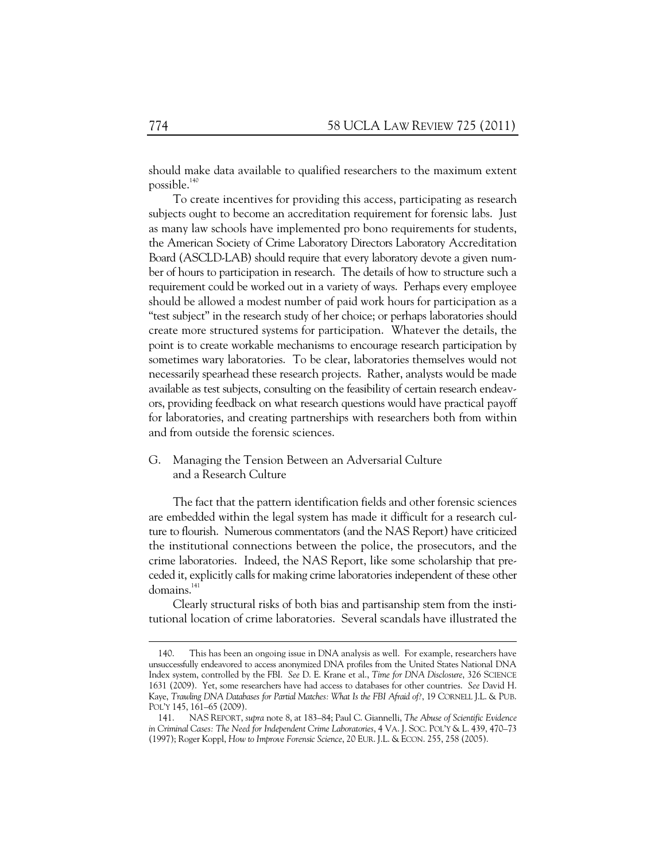should make data available to qualified researchers to the maximum extent  $_{\rm possible.}^{140}$ 

To create incentives for providing this access, participating as research subjects ought to become an accreditation requirement for forensic labs. Just as many law schools have implemented pro bono requirements for students, the American Society of Crime Laboratory Directors Laboratory Accreditation Board (ASCLD-LAB) should require that every laboratory devote a given number of hours to participation in research. The details of how to structure such a requirement could be worked out in a variety of ways. Perhaps every employee should be allowed a modest number of paid work hours for participation as a "test subject" in the research study of her choice; or perhaps laboratories should create more structured systems for participation. Whatever the details, the point is to create workable mechanisms to encourage research participation by sometimes wary laboratories. To be clear, laboratories themselves would not necessarily spearhead these research projects. Rather, analysts would be made available as test subjects, consulting on the feasibility of certain research endeavors, providing feedback on what research questions would have practical payoff for laboratories, and creating partnerships with researchers both from within and from outside the forensic sciences.

G. Managing the Tension Between an Adversarial Culture and a Research Culture

The fact that the pattern identification fields and other forensic sciences are embedded within the legal system has made it difficult for a research culture to flourish. Numerous commentators (and the NAS Report) have criticized the institutional connections between the police, the prosecutors, and the crime laboratories. Indeed, the NAS Report, like some scholarship that preceded it, explicitly calls for making crime laboratories independent of these other domains.<sup>141</sup>

Clearly structural risks of both bias and partisanship stem from the institutional location of crime laboratories. Several scandals have illustrated the

 <sup>140.</sup> This has been an ongoing issue in DNA analysis as well. For example, researchers have unsuccessfully endeavored to access anonymized DNA profiles from the United States National DNA Index system, controlled by the FBI. *See* D. E. Krane et al., *Time for DNA Disclosure*, 326 SCIENCE 1631 (2009). Yet, some researchers have had access to databases for other countries. *See* David H. Kaye, *Trawling DNA Databases for Partial Matches: What Is the FBI Afraid of?*, 19 CORNELL J.L. & PUB. POL'Y 145, 161–65 (2009).

 <sup>141.</sup> NAS REPORT, *supra* note 8, at 183–84; Paul C. Giannelli, *The Abuse of Scientific Evidence in Criminal Cases: The Need for Independent Crime Laboratories*, 4 VA. J. SOC. POL'Y & L. 439, 470–73 (1997); Roger Koppl, *How to Improve Forensic Science*, 20 EUR. J.L. & ECON. 255, 258 (2005).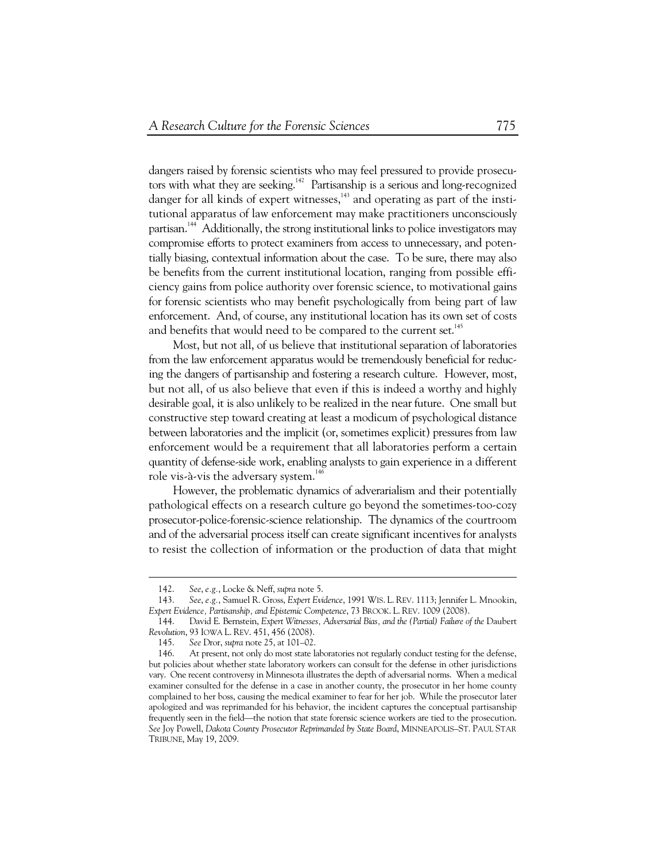dangers raised by forensic scientists who may feel pressured to provide prosecutors with what they are seeking.<sup>142</sup> Partisanship is a serious and long-recognized danger for all kinds of expert witnesses, $143$  and operating as part of the institutional apparatus of law enforcement may make practitioners unconsciously partisan.<sup>144</sup> Additionally, the strong institutional links to police investigators may compromise efforts to protect examiners from access to unnecessary, and potentially biasing, contextual information about the case. To be sure, there may also be benefits from the current institutional location, ranging from possible efficiency gains from police authority over forensic science, to motivational gains for forensic scientists who may benefit psychologically from being part of law enforcement. And, of course, any institutional location has its own set of costs and benefits that would need to be compared to the current set.<sup>145</sup>

Most, but not all, of us believe that institutional separation of laboratories from the law enforcement apparatus would be tremendously beneficial for reducing the dangers of partisanship and fostering a research culture. However, most, but not all, of us also believe that even if this is indeed a worthy and highly desirable goal, it is also unlikely to be realized in the near future. One small but constructive step toward creating at least a modicum of psychological distance between laboratories and the implicit (or, sometimes explicit) pressures from law enforcement would be a requirement that all laboratories perform a certain quantity of defense-side work, enabling analysts to gain experience in a different role vis-à-vis the adversary system.<sup>146</sup>

However, the problematic dynamics of adverarialism and their potentially pathological effects on a research culture go beyond the sometimes-too-cozy prosecutor-police-forensic-science relationship. The dynamics of the courtroom and of the adversarial process itself can create significant incentives for analysts to resist the collection of information or the production of data that might

 <sup>142.</sup> *See*, *e.g.*, Locke & Neff, *supra* note 5.

 <sup>143.</sup> *See*, *e.g.*, Samuel R. Gross, *Expert Evidence*, 1991 WIS. L. REV. 1113; Jennifer L. Mnookin, *Expert Evidence, Partisanship, and Epistemic Competence*, 73 BROOK. L. REV. 1009 (2008).

 <sup>144.</sup> David E. Bernstein, *Expert Witnesses, Adversarial Bias, and the (Partial) Failure of the* Daubert *Revolution*, 93 IOWA L. REV. 451, 456 (2008).

 <sup>145.</sup> *See* Dror, *supra* note 25, at 101–02.

 <sup>146.</sup> At present, not only do most state laboratories not regularly conduct testing for the defense, but policies about whether state laboratory workers can consult for the defense in other jurisdictions vary. One recent controversy in Minnesota illustrates the depth of adversarial norms. When a medical examiner consulted for the defense in a case in another county, the prosecutor in her home county complained to her boss, causing the medical examiner to fear for her job. While the prosecutor later apologized and was reprimanded for his behavior, the incident captures the conceptual partisanship frequently seen in the field—the notion that state forensic science workers are tied to the prosecution. *See* Joy Powell, *Dakota County Prosecutor Reprimanded by State Board*, MINNEAPOLIS–ST. PAUL STAR TRIBUNE, May 19, 2009.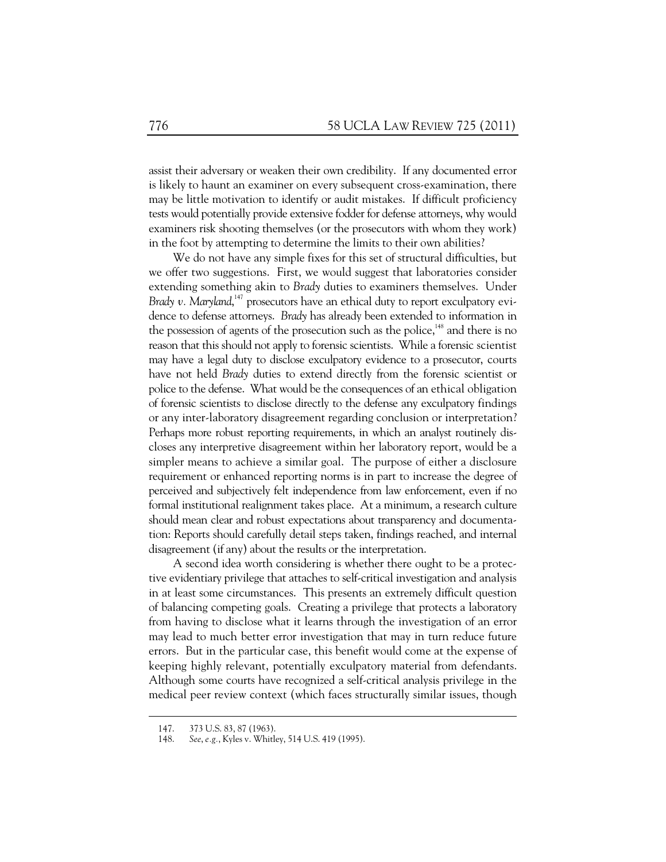assist their adversary or weaken their own credibility. If any documented error is likely to haunt an examiner on every subsequent cross-examination, there may be little motivation to identify or audit mistakes. If difficult proficiency tests would potentially provide extensive fodder for defense attorneys, why would examiners risk shooting themselves (or the prosecutors with whom they work) in the foot by attempting to determine the limits to their own abilities?

We do not have any simple fixes for this set of structural difficulties, but we offer two suggestions. First, we would suggest that laboratories consider extending something akin to *Brady* duties to examiners themselves. Under Brady v. Maryland,<sup>147</sup> prosecutors have an ethical duty to report exculpatory evidence to defense attorneys. *Brady* has already been extended to information in the possession of agents of the prosecution such as the police, $148$  and there is no reason that this should not apply to forensic scientists. While a forensic scientist may have a legal duty to disclose exculpatory evidence to a prosecutor, courts have not held *Brady* duties to extend directly from the forensic scientist or police to the defense. What would be the consequences of an ethical obligation of forensic scientists to disclose directly to the defense any exculpatory findings or any inter-laboratory disagreement regarding conclusion or interpretation? Perhaps more robust reporting requirements, in which an analyst routinely discloses any interpretive disagreement within her laboratory report, would be a simpler means to achieve a similar goal. The purpose of either a disclosure requirement or enhanced reporting norms is in part to increase the degree of perceived and subjectively felt independence from law enforcement, even if no formal institutional realignment takes place. At a minimum, a research culture should mean clear and robust expectations about transparency and documentation: Reports should carefully detail steps taken, findings reached, and internal disagreement (if any) about the results or the interpretation.

A second idea worth considering is whether there ought to be a protective evidentiary privilege that attaches to self-critical investigation and analysis in at least some circumstances. This presents an extremely difficult question of balancing competing goals. Creating a privilege that protects a laboratory from having to disclose what it learns through the investigation of an error may lead to much better error investigation that may in turn reduce future errors. But in the particular case, this benefit would come at the expense of keeping highly relevant, potentially exculpatory material from defendants. Although some courts have recognized a self-critical analysis privilege in the medical peer review context (which faces structurally similar issues, though

 <sup>147. 373</sup> U.S. 83, 87 (1963).

 <sup>148.</sup> *See*, *e.g.*, Kyles v. Whitley, 514 U.S. 419 (1995).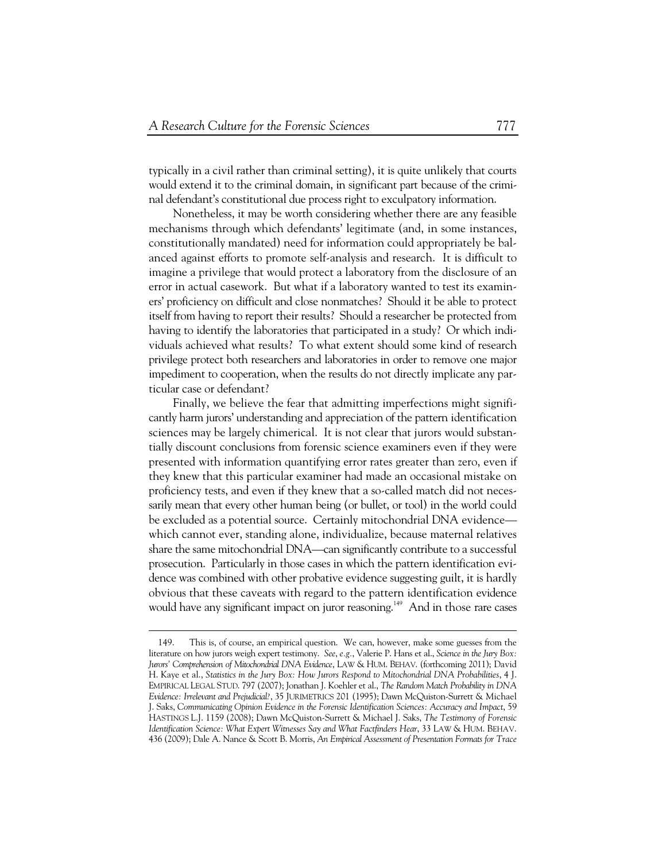typically in a civil rather than criminal setting), it is quite unlikely that courts would extend it to the criminal domain, in significant part because of the criminal defendant's constitutional due process right to exculpatory information.

Nonetheless, it may be worth considering whether there are any feasible mechanisms through which defendants' legitimate (and, in some instances, constitutionally mandated) need for information could appropriately be balanced against efforts to promote self-analysis and research. It is difficult to imagine a privilege that would protect a laboratory from the disclosure of an error in actual casework. But what if a laboratory wanted to test its examiners' proficiency on difficult and close nonmatches? Should it be able to protect itself from having to report their results? Should a researcher be protected from having to identify the laboratories that participated in a study? Or which individuals achieved what results? To what extent should some kind of research privilege protect both researchers and laboratories in order to remove one major impediment to cooperation, when the results do not directly implicate any particular case or defendant?

Finally, we believe the fear that admitting imperfections might significantly harm jurors' understanding and appreciation of the pattern identification sciences may be largely chimerical. It is not clear that jurors would substantially discount conclusions from forensic science examiners even if they were presented with information quantifying error rates greater than zero, even if they knew that this particular examiner had made an occasional mistake on proficiency tests, and even if they knew that a so-called match did not necessarily mean that every other human being (or bullet, or tool) in the world could be excluded as a potential source. Certainly mitochondrial DNA evidence which cannot ever, standing alone, individualize, because maternal relatives share the same mitochondrial DNA—can significantly contribute to a successful prosecution. Particularly in those cases in which the pattern identification evidence was combined with other probative evidence suggesting guilt, it is hardly obvious that these caveats with regard to the pattern identification evidence would have any significant impact on juror reasoning.<sup>149</sup> And in those rare cases

 <sup>149.</sup> This is, of course, an empirical question. We can, however, make some guesses from the literature on how jurors weigh expert testimony. *See*, *e.g.*, Valerie P. Hans et al., *Science in the Jury Box: Jurors' Comprehension of Mitochondrial DNA Evidence*, LAW & HUM. BEHAV. (forthcoming 2011); David H. Kaye et al., *Statistics in the Jury Box: How Jurors Respond to Mitochondrial DNA Probabilities*, 4 J. EMPIRICAL LEGAL STUD. 797 (2007); Jonathan J. Koehler et al., *The Random Match Probability in DNA Evidence: Irrelevant and Prejudicial?*, 35 JURIMETRICS 201 (1995); Dawn McQuiston-Surrett & Michael J. Saks, *Communicating Opinion Evidence in the Forensic Identification Sciences: Accuracy and Impact*, 59 HASTINGS L.J. 1159 (2008); Dawn McQuiston-Surrett & Michael J. Saks, *The Testimony of Forensic Identification Science: What Expert Witnesses Say and What Factfinders Hear*, 33 LAW & HUM. BEHAV. 436 (2009); Dale A. Nance & Scott B. Morris, *An Empirical Assessment of Presentation Formats for Trace*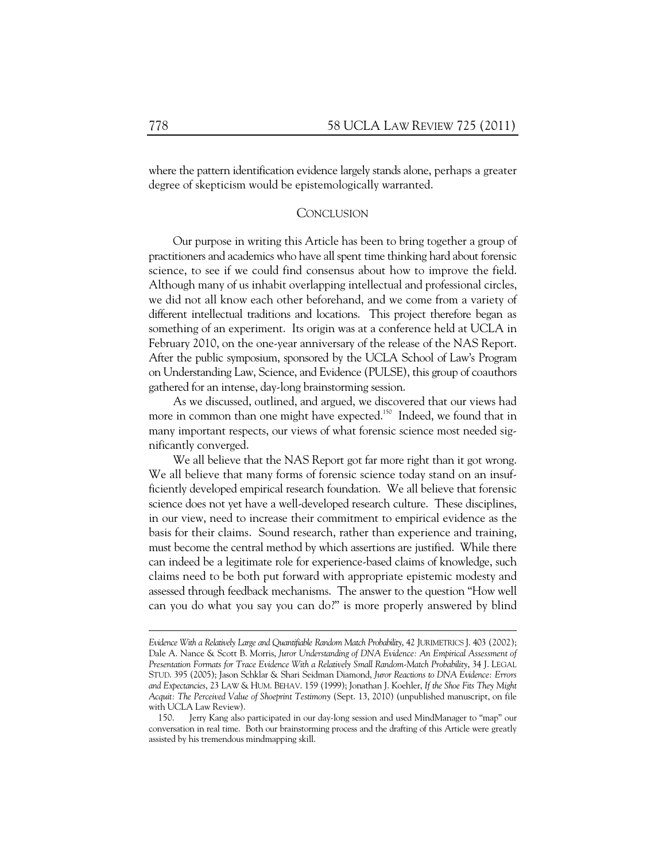where the pattern identification evidence largely stands alone, perhaps a greater degree of skepticism would be epistemologically warranted.

## CONCLUSION

Our purpose in writing this Article has been to bring together a group of practitioners and academics who have all spent time thinking hard about forensic science, to see if we could find consensus about how to improve the field. Although many of us inhabit overlapping intellectual and professional circles, we did not all know each other beforehand, and we come from a variety of different intellectual traditions and locations. This project therefore began as something of an experiment. Its origin was at a conference held at UCLA in February 2010, on the one-year anniversary of the release of the NAS Report. After the public symposium, sponsored by the UCLA School of Law's Program on Understanding Law, Science, and Evidence (PULSE), this group of coauthors gathered for an intense, day-long brainstorming session.

As we discussed, outlined, and argued, we discovered that our views had more in common than one might have expected.<sup>150</sup> Indeed, we found that in many important respects, our views of what forensic science most needed significantly converged.

We all believe that the NAS Report got far more right than it got wrong. We all believe that many forms of forensic science today stand on an insufficiently developed empirical research foundation. We all believe that forensic science does not yet have a well-developed research culture. These disciplines, in our view, need to increase their commitment to empirical evidence as the basis for their claims. Sound research, rather than experience and training, must become the central method by which assertions are justified. While there can indeed be a legitimate role for experience-based claims of knowledge, such claims need to be both put forward with appropriate epistemic modesty and assessed through feedback mechanisms. The answer to the question "How well can you do what you say you can do?" is more properly answered by blind

*Evidence With a Relatively Large and Quantifiable Random Match Probability*, 42 JURIMETRICS J. 403 (2002); Dale A. Nance & Scott B. Morris, *Juror Understanding of DNA Evidence: An Empirical Assessment of Presentation Formats for Trace Evidence With a Relatively Small Random-Match Probability*, 34 J. LEGAL STUD. 395 (2005); Jason Schklar & Shari Seidman Diamond, *Juror Reactions to DNA Evidence: Errors and Expectancies*, 23 LAW & HUM. BEHAV. 159 (1999); Jonathan J. Koehler, *If the Shoe Fits They Might Acquit: The Perceived Value of Shoeprint Testimony* (Sept. 13, 2010) (unpublished manuscript, on file with UCLA Law Review).

 <sup>150.</sup> Jerry Kang also participated in our day-long session and used MindManager to "map" our conversation in real time. Both our brainstorming process and the drafting of this Article were greatly assisted by his tremendous mindmapping skill.